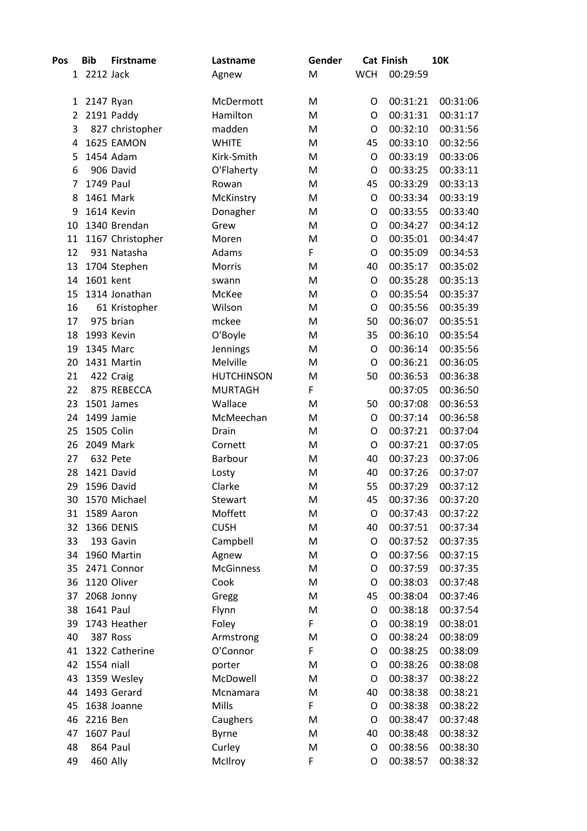| Pos | <b>Bib</b>  | <b>Firstname</b>  | Lastname          | Gender |            | <b>Cat Finish</b> | <b>10K</b> |
|-----|-------------|-------------------|-------------------|--------|------------|-------------------|------------|
|     | 1 2212 Jack |                   | Agnew             | M      | <b>WCH</b> | 00:29:59          |            |
|     |             |                   |                   |        |            |                   |            |
| 1   | 2147 Ryan   |                   | McDermott         | M      | O          | 00:31:21          | 00:31:06   |
| 2   |             | 2191 Paddy        | Hamilton          | M      | O          | 00:31:31          | 00:31:17   |
| 3   |             | 827 christopher   | madden            | M      | O          | 00:32:10          | 00:31:56   |
| 4   |             | 1625 EAMON        | <b>WHITE</b>      | M      | 45         | 00:33:10          | 00:32:56   |
| 5   |             | 1454 Adam         | Kirk-Smith        | M      | O          | 00:33:19          | 00:33:06   |
| 6   |             | 906 David         | O'Flaherty        | M      | O          | 00:33:25          | 00:33:11   |
| 7   | 1749 Paul   |                   | Rowan             | M      | 45         | 00:33:29          | 00:33:13   |
| 8   |             | 1461 Mark         | McKinstry         | M      | O          | 00:33:34          | 00:33:19   |
| 9   |             | 1614 Kevin        | Donagher          | M      | O          | 00:33:55          | 00:33:40   |
| 10  |             | 1340 Brendan      | Grew              | M      | O          | 00:34:27          | 00:34:12   |
| 11  |             | 1167 Christopher  | Moren             | M      | O          | 00:35:01          | 00:34:47   |
| 12  |             | 931 Natasha       | Adams             | F      | O          | 00:35:09          | 00:34:53   |
| 13  |             | 1704 Stephen      | Morris            | M      | 40         | 00:35:17          | 00:35:02   |
| 14  | 1601 kent   |                   | swann             | M      | O          | 00:35:28          | 00:35:13   |
| 15  |             | 1314 Jonathan     | McKee             | M      | $\circ$    | 00:35:54          | 00:35:37   |
| 16  |             | 61 Kristopher     | Wilson            | M      | $\circ$    | 00:35:56          | 00:35:39   |
| 17  |             | 975 brian         | mckee             | M      | 50         | 00:36:07          | 00:35:51   |
| 18  |             | 1993 Kevin        | O'Boyle           | M      | 35         | 00:36:10          | 00:35:54   |
| 19  |             | 1345 Marc         | Jennings          | M      | O          | 00:36:14          | 00:35:56   |
| 20  |             | 1431 Martin       | Melville          | M      | $\circ$    | 00:36:21          | 00:36:05   |
| 21  |             | 422 Craig         | <b>HUTCHINSON</b> | M      | 50         | 00:36:53          | 00:36:38   |
| 22  |             | 875 REBECCA       | <b>MURTAGH</b>    | F      |            | 00:37:05          | 00:36:50   |
| 23  |             | 1501 James        | Wallace           | M      | 50         | 00:37:08          | 00:36:53   |
| 24  |             | 1499 Jamie        | McMeechan         | M      | O          | 00:37:14          | 00:36:58   |
| 25  |             | 1505 Colin        | Drain             | M      | O          | 00:37:21          | 00:37:04   |
| 26  |             | 2049 Mark         | Cornett           | M      | O          | 00:37:21          | 00:37:05   |
| 27  |             | 632 Pete          | Barbour           | M      | 40         | 00:37:23          | 00:37:06   |
| 28  |             | 1421 David        | Losty             | M      | 40         | 00:37:26          | 00:37:07   |
| 29  |             | 1596 David        | Clarke            | M      | 55         | 00:37:29          | 00:37:12   |
| 30  |             | 1570 Michael      | Stewart           | M      | 45         | 00:37:36          | 00:37:20   |
| 31  |             | 1589 Aaron        | Moffett           | M      | $\circ$    | 00:37:43          | 00:37:22   |
| 32  |             | <b>1366 DENIS</b> | <b>CUSH</b>       | M      | 40         | 00:37:51          | 00:37:34   |
| 33  |             | 193 Gavin         | Campbell          | M      | O          | 00:37:52          | 00:37:35   |
| 34  |             | 1960 Martin       | Agnew             | M      | O          | 00:37:56          | 00:37:15   |
| 35  |             | 2471 Connor       | <b>McGinness</b>  | M      | O          | 00:37:59          | 00:37:35   |
| 36  |             | 1120 Oliver       | Cook              | M      | O          | 00:38:03          | 00:37:48   |
| 37  |             | 2068 Jonny        | Gregg             | M      | 45         | 00:38:04          | 00:37:46   |
| 38  | 1641 Paul   |                   | Flynn             | M      | O          | 00:38:18          | 00:37:54   |
| 39  |             | 1743 Heather      | Foley             | F      | O          | 00:38:19          | 00:38:01   |
| 40  |             | 387 Ross          | Armstrong         | M      | O          | 00:38:24          | 00:38:09   |
| 41  |             | 1322 Catherine    | O'Connor          | F      | O          | 00:38:25          | 00:38:09   |
| 42  | 1554 niall  |                   | porter            | M      | O          | 00:38:26          | 00:38:08   |
| 43  |             | 1359 Wesley       | McDowell          | M      | O          | 00:38:37          | 00:38:22   |
| 44  |             | 1493 Gerard       | Mcnamara          | M      | 40         | 00:38:38          | 00:38:21   |
| 45  |             | 1638 Joanne       | Mills             | F      | O          | 00:38:38          | 00:38:22   |
| 46  | 2216 Ben    |                   | Caughers          | M      | O          | 00:38:47          | 00:37:48   |
| 47  | 1607 Paul   |                   | <b>Byrne</b>      | M      | 40         | 00:38:48          | 00:38:32   |
| 48  |             | 864 Paul          | Curley            | M      | O          | 00:38:56          | 00:38:30   |
| 49  |             | 460 Ally          | McIlroy           | F      | O          | 00:38:57          | 00:38:32   |
|     |             |                   |                   |        |            |                   |            |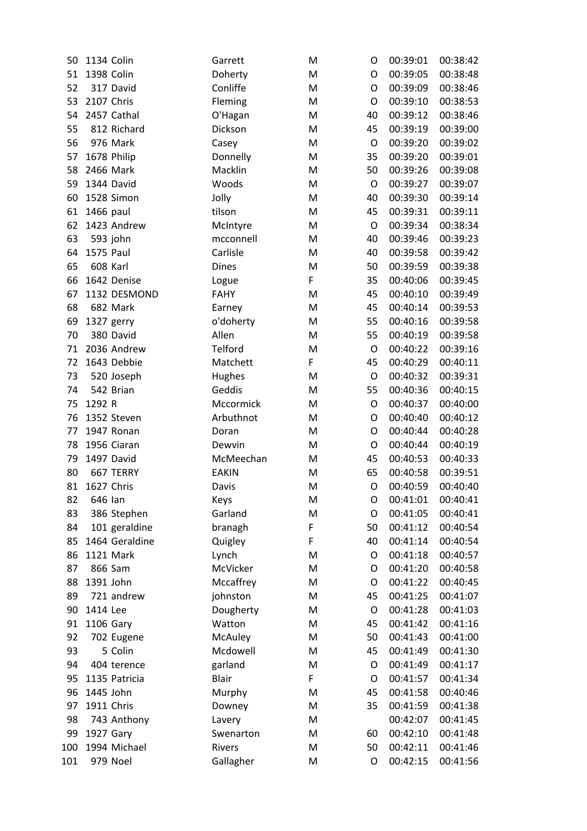| 50  | 1134 Colin     | Garrett      | M | O       | 00:39:01 | 00:38:42 |
|-----|----------------|--------------|---|---------|----------|----------|
| 51  | 1398 Colin     | Doherty      | M | O       | 00:39:05 | 00:38:48 |
| 52  | 317 David      | Conliffe     | M | O       | 00:39:09 | 00:38:46 |
| 53  | 2107 Chris     | Fleming      | M | O       | 00:39:10 | 00:38:53 |
| 54  | 2457 Cathal    | O'Hagan      | M | 40      | 00:39:12 | 00:38:46 |
| 55  | 812 Richard    | Dickson      | M | 45      | 00:39:19 | 00:39:00 |
| 56  | 976 Mark       | Casey        | M | $\circ$ | 00:39:20 | 00:39:02 |
| 57  | 1678 Philip    | Donnelly     | M | 35      | 00:39:20 | 00:39:01 |
| 58  | 2466 Mark      | Macklin      | M | 50      | 00:39:26 | 00:39:08 |
| 59  | 1344 David     | Woods        | M | $\circ$ | 00:39:27 | 00:39:07 |
| 60  | 1528 Simon     | Jolly        | M | 40      | 00:39:30 | 00:39:14 |
| 61  | 1466 paul      | tilson       | M | 45      | 00:39:31 | 00:39:11 |
| 62  | 1423 Andrew    | McIntyre     | M | O       | 00:39:34 | 00:38:34 |
| 63  | 593 john       | mcconnell    | M | 40      | 00:39:46 | 00:39:23 |
| 64  | 1575 Paul      | Carlisle     | M | 40      | 00:39:58 | 00:39:42 |
| 65  | 608 Karl       | <b>Dines</b> | M | 50      | 00:39:59 | 00:39:38 |
| 66  | 1642 Denise    | Logue        | F | 35      | 00:40:06 | 00:39:45 |
| 67  | 1132 DESMOND   | <b>FAHY</b>  | M | 45      | 00:40:10 | 00:39:49 |
| 68  | 682 Mark       | Earney       | M | 45      | 00:40:14 | 00:39:53 |
| 69  | 1327 gerry     | o'doherty    | M | 55      | 00:40:16 | 00:39:58 |
| 70  | 380 David      | Allen        | M | 55      | 00:40:19 | 00:39:58 |
| 71  | 2036 Andrew    | Telford      | M | $\circ$ | 00:40:22 | 00:39:16 |
| 72  | 1643 Debbie    | Matchett     | F | 45      | 00:40:29 | 00:40:11 |
| 73  | 520 Joseph     | Hughes       | M | $\circ$ | 00:40:32 | 00:39:31 |
| 74  | 542 Brian      | Geddis       | M | 55      | 00:40:36 | 00:40:15 |
| 75  | 1292 R         | Mccormick    | M | O       | 00:40:37 | 00:40:00 |
| 76  | 1352 Steven    | Arbuthnot    | M | O       | 00:40:40 | 00:40:12 |
| 77  | 1947 Ronan     | Doran        | M | O       | 00:40:44 | 00:40:28 |
| 78  | 1956 Ciaran    | Dewvin       | M | O       | 00:40:44 | 00:40:19 |
| 79  | 1497 David     | McMeechan    | M | 45      | 00:40:53 | 00:40:33 |
| 80  | 667 TERRY      | <b>EAKIN</b> | M | 65      | 00:40:58 | 00:39:51 |
| 81  | 1627 Chris     | Davis        | M | O       | 00:40:59 | 00:40:40 |
| 82  | 646 Ian        | Keys         | M | O       | 00:41:01 | 00:40:41 |
| 83  | 386 Stephen    | Garland      | M | O       | 00:41:05 | 00:40:41 |
| 84  | 101 geraldine  | branagh      | F | 50      | 00:41:12 | 00:40:54 |
| 85  | 1464 Geraldine | Quigley      | F | 40      | 00:41:14 | 00:40:54 |
| 86  | 1121 Mark      | Lynch        | M | O       | 00:41:18 | 00:40:57 |
| 87  | 866 Sam        | McVicker     | M | O       | 00:41:20 | 00:40:58 |
| 88  | 1391 John      | Mccaffrey    | M | O       | 00:41:22 | 00:40:45 |
| 89  | 721 andrew     | johnston     | M | 45      | 00:41:25 | 00:41:07 |
| 90  | 1414 Lee       | Dougherty    | M | O       | 00:41:28 | 00:41:03 |
| 91  | 1106 Gary      | Watton       | M | 45      | 00:41:42 | 00:41:16 |
| 92  | 702 Eugene     | McAuley      | M | 50      | 00:41:43 | 00:41:00 |
| 93  | 5 Colin        | Mcdowell     | M | 45      | 00:41:49 | 00:41:30 |
| 94  | 404 terence    | garland      | M | O       | 00:41:49 | 00:41:17 |
| 95  | 1135 Patricia  | <b>Blair</b> | F | O       | 00:41:57 | 00:41:34 |
| 96  | 1445 John      | Murphy       | M | 45      | 00:41:58 | 00:40:46 |
| 97  | 1911 Chris     | Downey       | M | 35      | 00:41:59 | 00:41:38 |
| 98  | 743 Anthony    | Lavery       | M |         | 00:42:07 | 00:41:45 |
| 99  | 1927 Gary      | Swenarton    | M | 60      | 00:42:10 | 00:41:48 |
| 100 | 1994 Michael   | Rivers       | M | 50      | 00:42:11 | 00:41:46 |
| 101 | 979 Noel       | Gallagher    | M | O       | 00:42:15 | 00:41:56 |
|     |                |              |   |         |          |          |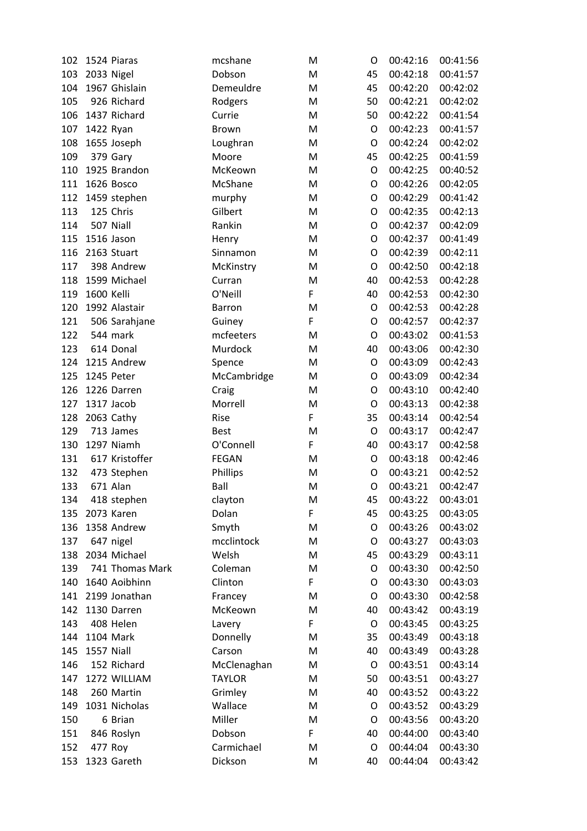| 102 |            | 1524 Piaras     | mcshane       | M | O  | 00:42:16 | 00:41:56 |
|-----|------------|-----------------|---------------|---|----|----------|----------|
| 103 |            | 2033 Nigel      | Dobson        | M | 45 | 00:42:18 | 00:41:57 |
| 104 |            | 1967 Ghislain   | Demeuldre     | M | 45 | 00:42:20 | 00:42:02 |
| 105 |            | 926 Richard     | Rodgers       | M | 50 | 00:42:21 | 00:42:02 |
| 106 |            | 1437 Richard    | Currie        | M | 50 | 00:42:22 | 00:41:54 |
| 107 |            | 1422 Ryan       | Brown         | M | O  | 00:42:23 | 00:41:57 |
| 108 |            | 1655 Joseph     | Loughran      | M | O  | 00:42:24 | 00:42:02 |
| 109 |            | 379 Gary        | Moore         | M | 45 | 00:42:25 | 00:41:59 |
| 110 |            | 1925 Brandon    | McKeown       | M | O  | 00:42:25 | 00:40:52 |
| 111 |            | 1626 Bosco      | McShane       | M | O  | 00:42:26 | 00:42:05 |
| 112 |            | 1459 stephen    | murphy        | M | O  | 00:42:29 | 00:41:42 |
| 113 |            | 125 Chris       | Gilbert       | M | O  | 00:42:35 | 00:42:13 |
| 114 |            | 507 Niall       | Rankin        | M | O  | 00:42:37 | 00:42:09 |
| 115 |            | 1516 Jason      | Henry         | M | O  | 00:42:37 | 00:41:49 |
| 116 |            | 2163 Stuart     | Sinnamon      | M | O  | 00:42:39 | 00:42:11 |
| 117 |            | 398 Andrew      | McKinstry     | M | O  | 00:42:50 | 00:42:18 |
| 118 |            | 1599 Michael    | Curran        | M | 40 | 00:42:53 | 00:42:28 |
| 119 | 1600 Kelli |                 | O'Neill       | F | 40 | 00:42:53 | 00:42:30 |
| 120 |            | 1992 Alastair   | Barron        | M | O  | 00:42:53 | 00:42:28 |
| 121 |            | 506 Sarahjane   | Guiney        | F | O  | 00:42:57 | 00:42:37 |
| 122 |            | 544 mark        | mcfeeters     | M | O  | 00:43:02 | 00:41:53 |
| 123 |            | 614 Donal       | Murdock       | M | 40 | 00:43:06 | 00:42:30 |
| 124 |            | 1215 Andrew     | Spence        | M | O  | 00:43:09 | 00:42:43 |
| 125 |            | 1245 Peter      | McCambridge   | M | O  | 00:43:09 | 00:42:34 |
| 126 |            | 1226 Darren     | Craig         | M | O  | 00:43:10 | 00:42:40 |
| 127 |            | 1317 Jacob      | Morrell       | M | O  | 00:43:13 | 00:42:38 |
| 128 |            | 2063 Cathy      | Rise          | F | 35 | 00:43:14 | 00:42:54 |
| 129 |            | 713 James       | <b>Best</b>   | M | O  | 00:43:17 | 00:42:47 |
| 130 |            | 1297 Niamh      | O'Connell     | F | 40 | 00:43:17 | 00:42:58 |
| 131 |            | 617 Kristoffer  | <b>FEGAN</b>  | M | O  | 00:43:18 | 00:42:46 |
| 132 |            | 473 Stephen     | Phillips      | M | O  | 00:43:21 | 00:42:52 |
| 133 |            | 671 Alan        | Ball          | M | O  | 00:43:21 | 00:42:47 |
| 134 |            | 418 stephen     | clayton       | M | 45 | 00:43:22 | 00:43:01 |
| 135 |            | 2073 Karen      | Dolan         | F | 45 | 00:43:25 | 00:43:05 |
| 136 |            | 1358 Andrew     | Smyth         | M | O  | 00:43:26 | 00:43:02 |
| 137 |            | 647 nigel       | mcclintock    | M | O  | 00:43:27 | 00:43:03 |
| 138 |            | 2034 Michael    | Welsh         | M | 45 | 00:43:29 | 00:43:11 |
| 139 |            | 741 Thomas Mark | Coleman       | M | O  | 00:43:30 | 00:42:50 |
| 140 |            | 1640 Aoibhinn   | Clinton       | F | O  | 00:43:30 | 00:43:03 |
| 141 |            | 2199 Jonathan   | Francey       | M | O  | 00:43:30 | 00:42:58 |
| 142 |            | 1130 Darren     | McKeown       | M | 40 | 00:43:42 | 00:43:19 |
| 143 |            | 408 Helen       | Lavery        | F | O  | 00:43:45 | 00:43:25 |
| 144 |            | 1104 Mark       | Donnelly      | M | 35 | 00:43:49 | 00:43:18 |
| 145 | 1557 Niall |                 | Carson        | M | 40 | 00:43:49 | 00:43:28 |
| 146 |            | 152 Richard     | McClenaghan   | M | O  | 00:43:51 | 00:43:14 |
| 147 |            | 1272 WILLIAM    | <b>TAYLOR</b> | M | 50 | 00:43:51 | 00:43:27 |
| 148 |            | 260 Martin      | Grimley       | M | 40 | 00:43:52 | 00:43:22 |
| 149 |            | 1031 Nicholas   | Wallace       | M | O  | 00:43:52 | 00:43:29 |
| 150 |            | 6 Brian         | Miller        | M | O  | 00:43:56 | 00:43:20 |
| 151 |            | 846 Roslyn      | Dobson        | F | 40 | 00:44:00 | 00:43:40 |
| 152 |            | 477 Roy         | Carmichael    | M | O  | 00:44:04 | 00:43:30 |
| 153 |            | 1323 Gareth     | Dickson       | M | 40 | 00:44:04 | 00:43:42 |
|     |            |                 |               |   |    |          |          |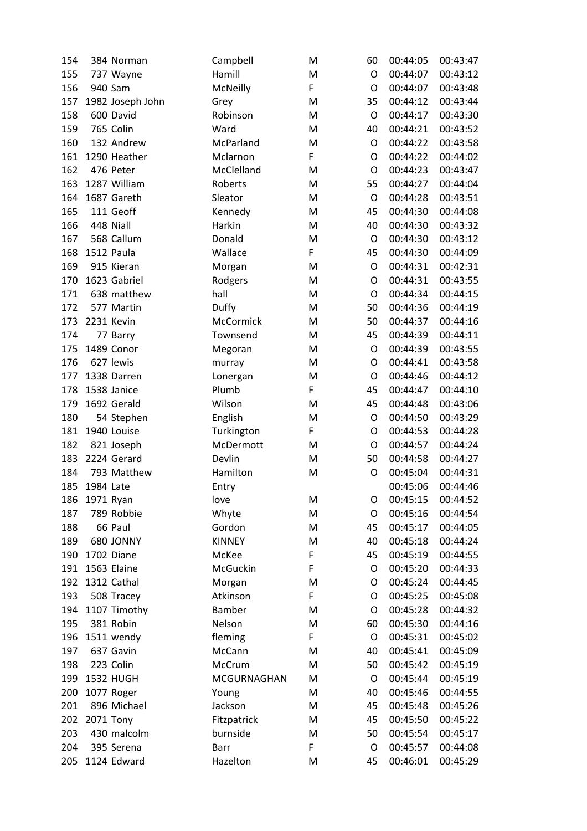| 154 |           | 384 Norman       | Campbell      | M | 60          | 00:44:05 | 00:43:47 |
|-----|-----------|------------------|---------------|---|-------------|----------|----------|
| 155 |           | 737 Wayne        | Hamill        | M | O           | 00:44:07 | 00:43:12 |
| 156 |           | 940 Sam          | McNeilly      | F | O           | 00:44:07 | 00:43:48 |
| 157 |           | 1982 Joseph John | Grey          | M | 35          | 00:44:12 | 00:43:44 |
| 158 |           | 600 David        | Robinson      | M | O           | 00:44:17 | 00:43:30 |
| 159 |           | 765 Colin        | Ward          | M | 40          | 00:44:21 | 00:43:52 |
| 160 |           | 132 Andrew       | McParland     | M | $\circ$     | 00:44:22 | 00:43:58 |
| 161 |           | 1290 Heather     | Mclarnon      | F | O           | 00:44:22 | 00:44:02 |
| 162 |           | 476 Peter        | McClelland    | M | O           | 00:44:23 | 00:43:47 |
| 163 |           | 1287 William     | Roberts       | M | 55          | 00:44:27 | 00:44:04 |
| 164 |           | 1687 Gareth      | Sleator       | M | O           | 00:44:28 | 00:43:51 |
| 165 |           | 111 Geoff        | Kennedy       | M | 45          | 00:44:30 | 00:44:08 |
| 166 |           | 448 Niall        | Harkin        | M | 40          | 00:44:30 | 00:43:32 |
| 167 |           | 568 Callum       | Donald        | M | O           | 00:44:30 | 00:43:12 |
| 168 |           | 1512 Paula       | Wallace       | F | 45          | 00:44:30 | 00:44:09 |
| 169 |           | 915 Kieran       | Morgan        | M | $\circ$     | 00:44:31 | 00:42:31 |
| 170 |           | 1623 Gabriel     | Rodgers       | M | O           | 00:44:31 | 00:43:55 |
| 171 |           | 638 matthew      | hall          | M | O           | 00:44:34 | 00:44:15 |
| 172 |           | 577 Martin       | Duffy         | M | 50          | 00:44:36 | 00:44:19 |
| 173 |           | 2231 Kevin       | McCormick     | M | 50          | 00:44:37 | 00:44:16 |
| 174 |           | 77 Barry         | Townsend      | M | 45          | 00:44:39 | 00:44:11 |
| 175 |           | 1489 Conor       | Megoran       | M | $\circ$     | 00:44:39 | 00:43:55 |
| 176 |           | 627 lewis        | murray        | M | O           | 00:44:41 | 00:43:58 |
| 177 |           | 1338 Darren      | Lonergan      | M | O           | 00:44:46 | 00:44:12 |
| 178 |           | 1538 Janice      | Plumb         | F | 45          | 00:44:47 | 00:44:10 |
| 179 |           | 1692 Gerald      | Wilson        | M | 45          | 00:44:48 | 00:43:06 |
| 180 |           | 54 Stephen       | English       | M | O           | 00:44:50 | 00:43:29 |
| 181 |           | 1940 Louise      | Turkington    | F | O           | 00:44:53 | 00:44:28 |
| 182 |           | 821 Joseph       | McDermott     | M | O           | 00:44:57 | 00:44:24 |
| 183 |           | 2224 Gerard      | Devlin        | M | 50          | 00:44:58 | 00:44:27 |
| 184 |           | 793 Matthew      | Hamilton      | M | O           | 00:45:04 | 00:44:31 |
| 185 | 1984 Late |                  | Entry         |   |             | 00:45:06 | 00:44:46 |
| 186 | 1971 Ryan |                  | love          | M | O           | 00:45:15 | 00:44:52 |
| 187 |           | 789 Robbie       | Whyte         | M | O           | 00:45:16 | 00:44:54 |
| 188 |           | 66 Paul          | Gordon        | M | 45          | 00:45:17 | 00:44:05 |
| 189 |           | 680 JONNY        | <b>KINNEY</b> | M | 40          | 00:45:18 | 00:44:24 |
| 190 |           | 1702 Diane       | McKee         | F | 45          | 00:45:19 | 00:44:55 |
| 191 |           | 1563 Elaine      | McGuckin      | F | O           | 00:45:20 | 00:44:33 |
| 192 |           | 1312 Cathal      | Morgan        | M | O           | 00:45:24 | 00:44:45 |
| 193 |           | 508 Tracey       | Atkinson      | F | O           | 00:45:25 | 00:45:08 |
| 194 |           | 1107 Timothy     | Bamber        | M | $\mathsf O$ | 00:45:28 | 00:44:32 |
| 195 |           | 381 Robin        | Nelson        | M | 60          | 00:45:30 | 00:44:16 |
| 196 |           | 1511 wendy       | fleming       | F | O           | 00:45:31 | 00:45:02 |
| 197 |           | 637 Gavin        | McCann        | M | 40          | 00:45:41 | 00:45:09 |
| 198 |           | 223 Colin        | McCrum        | M | 50          | 00:45:42 | 00:45:19 |
| 199 |           | <b>1532 HUGH</b> | MCGURNAGHAN   | M | O           | 00:45:44 | 00:45:19 |
| 200 |           | 1077 Roger       | Young         | M | 40          | 00:45:46 | 00:44:55 |
| 201 |           | 896 Michael      | Jackson       | M | 45          | 00:45:48 | 00:45:26 |
| 202 |           | 2071 Tony        | Fitzpatrick   | M | 45          | 00:45:50 | 00:45:22 |
| 203 |           | 430 malcolm      | burnside      | M | 50          | 00:45:54 | 00:45:17 |
| 204 |           | 395 Serena       | Barr          | F | O           | 00:45:57 | 00:44:08 |
| 205 |           | 1124 Edward      | Hazelton      | M | 45          | 00:46:01 | 00:45:29 |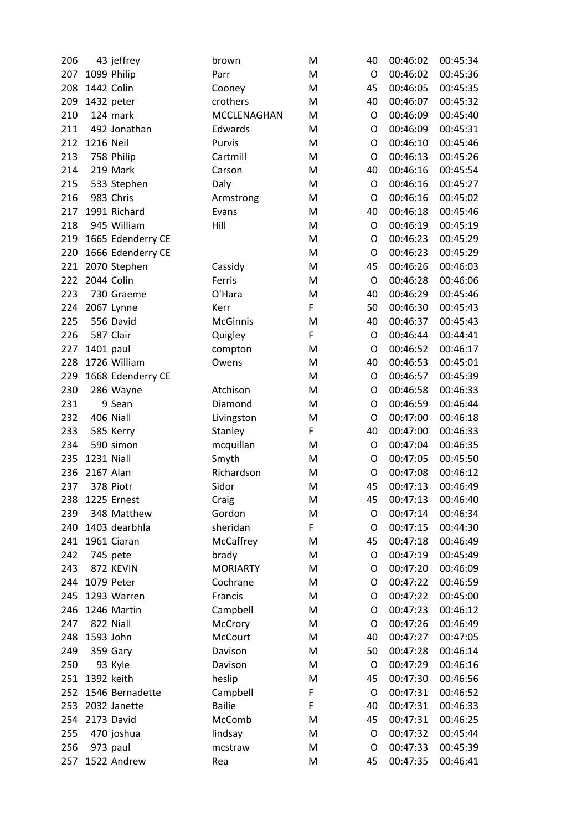| 206 |            | 43 jeffrey        | brown           | M | 40          | 00:46:02 | 00:45:34 |
|-----|------------|-------------------|-----------------|---|-------------|----------|----------|
| 207 |            | 1099 Philip       | Parr            | M | O           | 00:46:02 | 00:45:36 |
| 208 |            | 1442 Colin        | Cooney          | M | 45          | 00:46:05 | 00:45:35 |
| 209 |            | 1432 peter        | crothers        | M | 40          | 00:46:07 | 00:45:32 |
| 210 |            | 124 mark          | MCCLENAGHAN     | M | O           | 00:46:09 | 00:45:40 |
| 211 |            | 492 Jonathan      | Edwards         | M | O           | 00:46:09 | 00:45:31 |
| 212 | 1216 Neil  |                   | Purvis          | M | O           | 00:46:10 | 00:45:46 |
| 213 |            | 758 Philip        | Cartmill        | M | O           | 00:46:13 | 00:45:26 |
| 214 |            | 219 Mark          | Carson          | M | 40          | 00:46:16 | 00:45:54 |
| 215 |            | 533 Stephen       | Daly            | M | $\mathsf O$ | 00:46:16 | 00:45:27 |
| 216 |            | 983 Chris         | Armstrong       | M | O           | 00:46:16 | 00:45:02 |
| 217 |            | 1991 Richard      | Evans           | M | 40          | 00:46:18 | 00:45:46 |
| 218 |            | 945 William       | Hill            | M | $\mathsf O$ | 00:46:19 | 00:45:19 |
| 219 |            | 1665 Edenderry CE |                 | M | O           | 00:46:23 | 00:45:29 |
| 220 |            | 1666 Edenderry CE |                 | M | O           | 00:46:23 | 00:45:29 |
| 221 |            | 2070 Stephen      | Cassidy         | M | 45          | 00:46:26 | 00:46:03 |
| 222 |            | 2044 Colin        | Ferris          | M | O           | 00:46:28 | 00:46:06 |
| 223 |            | 730 Graeme        | O'Hara          | M | 40          | 00:46:29 | 00:45:46 |
| 224 |            | 2067 Lynne        | Kerr            | F | 50          | 00:46:30 | 00:45:43 |
| 225 |            | 556 David         | <b>McGinnis</b> | M | 40          | 00:46:37 | 00:45:43 |
| 226 |            | 587 Clair         | Quigley         | F | O           | 00:46:44 | 00:44:41 |
| 227 | 1401 paul  |                   | compton         | M | O           | 00:46:52 | 00:46:17 |
| 228 |            | 1726 William      | Owens           | M | 40          | 00:46:53 | 00:45:01 |
| 229 |            | 1668 Edenderry CE |                 | M | O           | 00:46:57 | 00:45:39 |
| 230 |            | 286 Wayne         | Atchison        | M | O           | 00:46:58 | 00:46:33 |
| 231 |            | 9 Sean            | Diamond         | M | O           | 00:46:59 | 00:46:44 |
| 232 |            | 406 Niall         | Livingston      | M | O           | 00:47:00 | 00:46:18 |
| 233 |            | 585 Kerry         | Stanley         | F | 40          | 00:47:00 | 00:46:33 |
| 234 |            | 590 simon         | mcquillan       | M | $\mathsf O$ | 00:47:04 | 00:46:35 |
| 235 | 1231 Niall |                   | Smyth           | M | O           | 00:47:05 | 00:45:50 |
| 236 | 2167 Alan  |                   | Richardson      | M | O           | 00:47:08 | 00:46:12 |
| 237 |            | 378 Piotr         | Sidor           | M | 45          | 00:47:13 | 00:46:49 |
| 238 |            | 1225 Ernest       | Craig           | M | 45          | 00:47:13 | 00:46:40 |
| 239 |            | 348 Matthew       | Gordon          | M | O           | 00:47:14 | 00:46:34 |
| 240 |            | 1403 dearbhla     | sheridan        | F | O           | 00:47:15 | 00:44:30 |
| 241 |            | 1961 Ciaran       | McCaffrey       | M | 45          | 00:47:18 | 00:46:49 |
| 242 |            | 745 pete          | brady           | M | O           | 00:47:19 | 00:45:49 |
| 243 |            | 872 KEVIN         | <b>MORIARTY</b> | M | O           | 00:47:20 | 00:46:09 |
| 244 |            | 1079 Peter        | Cochrane        | M | O           | 00:47:22 | 00:46:59 |
| 245 |            | 1293 Warren       | Francis         | M | O           | 00:47:22 | 00:45:00 |
| 246 |            | 1246 Martin       | Campbell        | M | O           | 00:47:23 | 00:46:12 |
| 247 |            | 822 Niall         | McCrory         | M | O           | 00:47:26 | 00:46:49 |
| 248 | 1593 John  |                   | McCourt         | M | 40          | 00:47:27 | 00:47:05 |
| 249 |            | 359 Gary          | Davison         | M | 50          | 00:47:28 | 00:46:14 |
| 250 |            | 93 Kyle           | Davison         | M | O           | 00:47:29 | 00:46:16 |
| 251 |            | 1392 keith        | heslip          | M | 45          | 00:47:30 | 00:46:56 |
| 252 |            | 1546 Bernadette   | Campbell        | F | O           | 00:47:31 | 00:46:52 |
| 253 |            | 2032 Janette      | <b>Bailie</b>   | F | 40          | 00:47:31 | 00:46:33 |
| 254 |            | 2173 David        | McComb          | M | 45          | 00:47:31 | 00:46:25 |
| 255 |            | 470 joshua        | lindsay         | M | O           | 00:47:32 | 00:45:44 |
| 256 |            | 973 paul          | mcstraw         | M | O           | 00:47:33 | 00:45:39 |
| 257 |            | 1522 Andrew       | Rea             | M | 45          | 00:47:35 | 00:46:41 |
|     |            |                   |                 |   |             |          |          |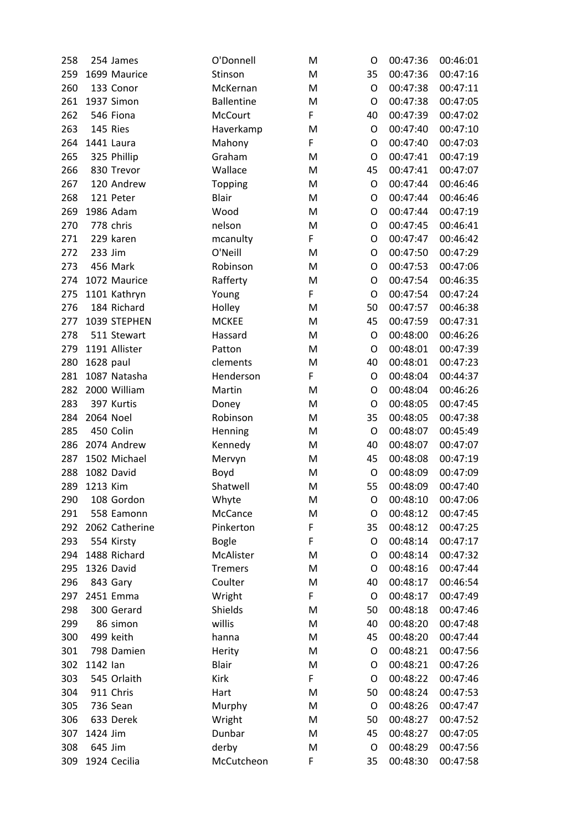| 258 |           | 254 James      | O'Donnell         | M | O           | 00:47:36 | 00:46:01 |
|-----|-----------|----------------|-------------------|---|-------------|----------|----------|
| 259 |           | 1699 Maurice   | Stinson           | M | 35          | 00:47:36 | 00:47:16 |
| 260 |           | 133 Conor      | McKernan          | M | O           | 00:47:38 | 00:47:11 |
| 261 |           | 1937 Simon     | <b>Ballentine</b> | M | O           | 00:47:38 | 00:47:05 |
| 262 |           | 546 Fiona      | <b>McCourt</b>    | F | 40          | 00:47:39 | 00:47:02 |
| 263 |           | 145 Ries       | Haverkamp         | M | O           | 00:47:40 | 00:47:10 |
| 264 |           | 1441 Laura     | Mahony            | F | O           | 00:47:40 | 00:47:03 |
| 265 |           | 325 Phillip    | Graham            | M | O           | 00:47:41 | 00:47:19 |
| 266 |           | 830 Trevor     | Wallace           | M | 45          | 00:47:41 | 00:47:07 |
| 267 |           | 120 Andrew     | <b>Topping</b>    | M | $\mathsf O$ | 00:47:44 | 00:46:46 |
| 268 |           | 121 Peter      | <b>Blair</b>      | M | O           | 00:47:44 | 00:46:46 |
| 269 |           | 1986 Adam      | Wood              | M | O           | 00:47:44 | 00:47:19 |
| 270 |           | 778 chris      | nelson            | M | $\mathsf O$ | 00:47:45 | 00:46:41 |
| 271 |           | 229 karen      | mcanulty          | F | O           | 00:47:47 | 00:46:42 |
| 272 | 233 Jim   |                | O'Neill           | M | O           | 00:47:50 | 00:47:29 |
| 273 |           | 456 Mark       | Robinson          | M | O           | 00:47:53 | 00:47:06 |
| 274 |           | 1072 Maurice   | Rafferty          | M | O           | 00:47:54 | 00:46:35 |
| 275 |           | 1101 Kathryn   | Young             | F | O           | 00:47:54 | 00:47:24 |
| 276 |           | 184 Richard    | Holley            | M | 50          | 00:47:57 | 00:46:38 |
| 277 |           | 1039 STEPHEN   | <b>MCKEE</b>      | M | 45          | 00:47:59 | 00:47:31 |
| 278 |           | 511 Stewart    | Hassard           | M | O           | 00:48:00 | 00:46:26 |
| 279 |           | 1191 Allister  | Patton            | M | O           | 00:48:01 | 00:47:39 |
| 280 | 1628 paul |                | clements          | M | 40          | 00:48:01 | 00:47:23 |
| 281 |           | 1087 Natasha   | Henderson         | F | O           | 00:48:04 | 00:44:37 |
| 282 |           | 2000 William   | Martin            | M | $\mathsf O$ | 00:48:04 | 00:46:26 |
| 283 |           | 397 Kurtis     | Doney             | M | $\mathsf O$ | 00:48:05 | 00:47:45 |
| 284 | 2064 Noel |                | Robinson          | M | 35          | 00:48:05 | 00:47:38 |
| 285 |           | 450 Colin      | Henning           | M | O           | 00:48:07 | 00:45:49 |
| 286 |           | 2074 Andrew    | Kennedy           | M | 40          | 00:48:07 | 00:47:07 |
| 287 |           | 1502 Michael   | Mervyn            | M | 45          | 00:48:08 | 00:47:19 |
| 288 |           | 1082 David     | Boyd              | M | O           | 00:48:09 | 00:47:09 |
| 289 | 1213 Kim  |                | Shatwell          | M | 55          | 00:48:09 | 00:47:40 |
| 290 |           | 108 Gordon     | Whyte             | M | $\circ$     | 00:48:10 | 00:47:06 |
| 291 |           | 558 Eamonn     | McCance           | M | O           | 00:48:12 | 00:47:45 |
| 292 |           | 2062 Catherine | Pinkerton         | F | 35          | 00:48:12 | 00:47:25 |
| 293 |           | 554 Kirsty     | <b>Bogle</b>      | F | O           | 00:48:14 | 00:47:17 |
| 294 |           | 1488 Richard   | McAlister         | M | O           | 00:48:14 | 00:47:32 |
| 295 |           | 1326 David     | <b>Tremers</b>    | M | O           | 00:48:16 | 00:47:44 |
| 296 |           | 843 Gary       | Coulter           | M | 40          | 00:48:17 | 00:46:54 |
| 297 |           | 2451 Emma      | Wright            | F | O           | 00:48:17 | 00:47:49 |
| 298 |           | 300 Gerard     | Shields           | M | 50          | 00:48:18 | 00:47:46 |
| 299 |           | 86 simon       | willis            | M | 40          | 00:48:20 | 00:47:48 |
| 300 |           | 499 keith      | hanna             | M | 45          | 00:48:20 | 00:47:44 |
| 301 |           | 798 Damien     | Herity            | M | O           | 00:48:21 | 00:47:56 |
| 302 | 1142 lan  |                | <b>Blair</b>      | M | O           | 00:48:21 | 00:47:26 |
| 303 |           | 545 Orlaith    | Kirk              | F | O           | 00:48:22 | 00:47:46 |
| 304 |           | 911 Chris      | Hart              | M | 50          | 00:48:24 | 00:47:53 |
| 305 |           | 736 Sean       | Murphy            | M | $\circ$     | 00:48:26 | 00:47:47 |
| 306 |           | 633 Derek      | Wright            | M | 50          | 00:48:27 | 00:47:52 |
| 307 | 1424 Jim  |                | Dunbar            | M | 45          | 00:48:27 | 00:47:05 |
| 308 | 645 Jim   |                | derby             | M | O           | 00:48:29 | 00:47:56 |
| 309 |           | 1924 Cecilia   | McCutcheon        | F | 35          | 00:48:30 | 00:47:58 |
|     |           |                |                   |   |             |          |          |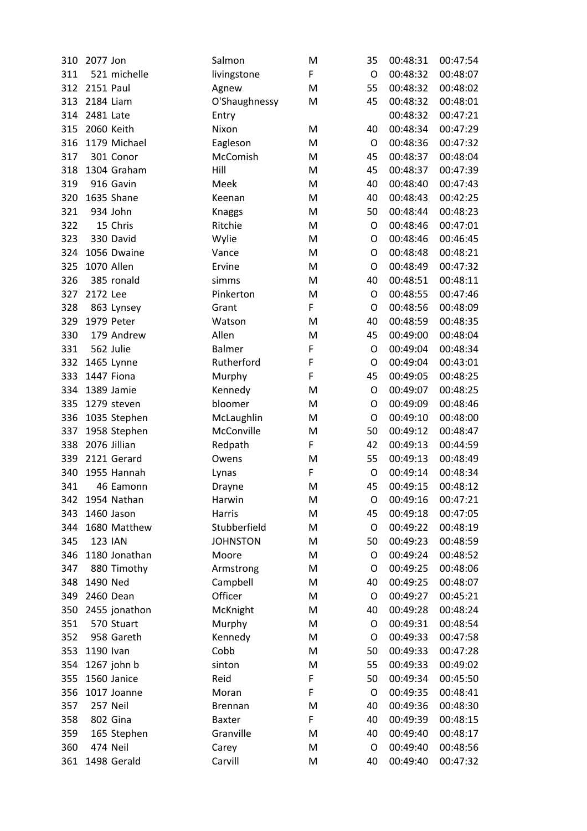| 310 | 2077 Jon         |                | Salmon          | M           | 35          | 00:48:31 | 00:47:54 |
|-----|------------------|----------------|-----------------|-------------|-------------|----------|----------|
| 311 |                  | 521 michelle   | livingstone     | F           | O           | 00:48:32 | 00:48:07 |
| 312 | <b>2151 Paul</b> |                | Agnew           | M           | 55          | 00:48:32 | 00:48:02 |
| 313 | 2184 Liam        |                | O'Shaughnessy   | M           | 45          | 00:48:32 | 00:48:01 |
| 314 | 2481 Late        |                | Entry           |             |             | 00:48:32 | 00:47:21 |
| 315 |                  | 2060 Keith     | Nixon           | M           | 40          | 00:48:34 | 00:47:29 |
| 316 |                  | 1179 Michael   | Eagleson        | M           | O           | 00:48:36 | 00:47:32 |
| 317 |                  | 301 Conor      | McComish        | M           | 45          | 00:48:37 | 00:48:04 |
| 318 |                  | 1304 Graham    | Hill            | M           | 45          | 00:48:37 | 00:47:39 |
| 319 |                  | 916 Gavin      | Meek            | M           | 40          | 00:48:40 | 00:47:43 |
| 320 |                  | 1635 Shane     | Keenan          | M           | 40          | 00:48:43 | 00:42:25 |
| 321 |                  | 934 John       | Knaggs          | M           | 50          | 00:48:44 | 00:48:23 |
| 322 |                  | 15 Chris       | Ritchie         | M           | O           | 00:48:46 | 00:47:01 |
| 323 |                  | 330 David      | Wylie           | M           | O           | 00:48:46 | 00:46:45 |
| 324 |                  | 1056 Dwaine    | Vance           | M           | O           | 00:48:48 | 00:48:21 |
| 325 |                  | 1070 Allen     | Ervine          | M           | O           | 00:48:49 | 00:47:32 |
| 326 |                  | 385 ronald     | simms           | M           | 40          | 00:48:51 | 00:48:11 |
| 327 | 2172 Lee         |                | Pinkerton       | M           | O           | 00:48:55 | 00:47:46 |
| 328 |                  | 863 Lynsey     | Grant           | F           | O           | 00:48:56 | 00:48:09 |
| 329 |                  | 1979 Peter     | Watson          | M           | 40          | 00:48:59 | 00:48:35 |
| 330 |                  | 179 Andrew     | Allen           | M           | 45          | 00:49:00 | 00:48:04 |
| 331 |                  | 562 Julie      | Balmer          | $\mathsf F$ | $\mathsf O$ | 00:49:04 | 00:48:34 |
| 332 |                  | 1465 Lynne     | Rutherford      | F           | O           | 00:49:04 | 00:43:01 |
| 333 |                  | 1447 Fiona     | Murphy          | F           | 45          | 00:49:05 | 00:48:25 |
| 334 |                  | 1389 Jamie     | Kennedy         | M           | $\mathsf O$ | 00:49:07 | 00:48:25 |
| 335 |                  | 1279 steven    | bloomer         | M           | O           | 00:49:09 | 00:48:46 |
| 336 |                  | 1035 Stephen   | McLaughlin      | M           | O           | 00:49:10 | 00:48:00 |
| 337 |                  | 1958 Stephen   | McConville      | M           | 50          | 00:49:12 | 00:48:47 |
| 338 |                  | 2076 Jillian   | Redpath         | $\mathsf F$ | 42          | 00:49:13 | 00:44:59 |
| 339 |                  | 2121 Gerard    | Owens           | M           | 55          | 00:49:13 | 00:48:49 |
| 340 |                  | 1955 Hannah    | Lynas           | F           | $\mathsf O$ | 00:49:14 | 00:48:34 |
| 341 |                  | 46 Eamonn      | Drayne          | M           | 45          | 00:49:15 | 00:48:12 |
| 342 |                  | 1954 Nathan    | Harwin          | M           | O           | 00:49:16 | 00:47:21 |
| 343 |                  | 1460 Jason     | Harris          | M           | 45          | 00:49:18 | 00:47:05 |
| 344 |                  | 1680 Matthew   | Stubberfield    | M           | O           | 00:49:22 | 00:48:19 |
| 345 |                  | <b>123 IAN</b> | <b>JOHNSTON</b> | M           | 50          | 00:49:23 | 00:48:59 |
| 346 |                  | 1180 Jonathan  | Moore           | M           | O           | 00:49:24 | 00:48:52 |
| 347 |                  | 880 Timothy    | Armstrong       | M           | O           | 00:49:25 | 00:48:06 |
| 348 | 1490 Ned         |                | Campbell        | M           | 40          | 00:49:25 | 00:48:07 |
| 349 |                  | 2460 Dean      | Officer         | M           | O           | 00:49:27 | 00:45:21 |
| 350 |                  | 2455 jonathon  | McKnight        | M           | 40          | 00:49:28 | 00:48:24 |
| 351 |                  | 570 Stuart     | Murphy          | M           | O           | 00:49:31 | 00:48:54 |
| 352 |                  | 958 Gareth     | Kennedy         | M           | O           | 00:49:33 | 00:47:58 |
| 353 | 1190 Ivan        |                | Cobb            | M           | 50          | 00:49:33 | 00:47:28 |
| 354 |                  | 1267 john b    | sinton          | M           | 55          | 00:49:33 | 00:49:02 |
| 355 |                  | 1560 Janice    | Reid            | F           | 50          | 00:49:34 | 00:45:50 |
| 356 |                  | 1017 Joanne    | Moran           | $\mathsf F$ | O           | 00:49:35 | 00:48:41 |
| 357 |                  | 257 Neil       | <b>Brennan</b>  | M           | 40          | 00:49:36 | 00:48:30 |
| 358 |                  | 802 Gina       | <b>Baxter</b>   | F           | 40          | 00:49:39 | 00:48:15 |
| 359 |                  | 165 Stephen    | Granville       | M           | 40          | 00:49:40 | 00:48:17 |
| 360 |                  | 474 Neil       | Carey           | M           | O           | 00:49:40 | 00:48:56 |
| 361 |                  | 1498 Gerald    | Carvill         | M           | 40          | 00:49:40 | 00:47:32 |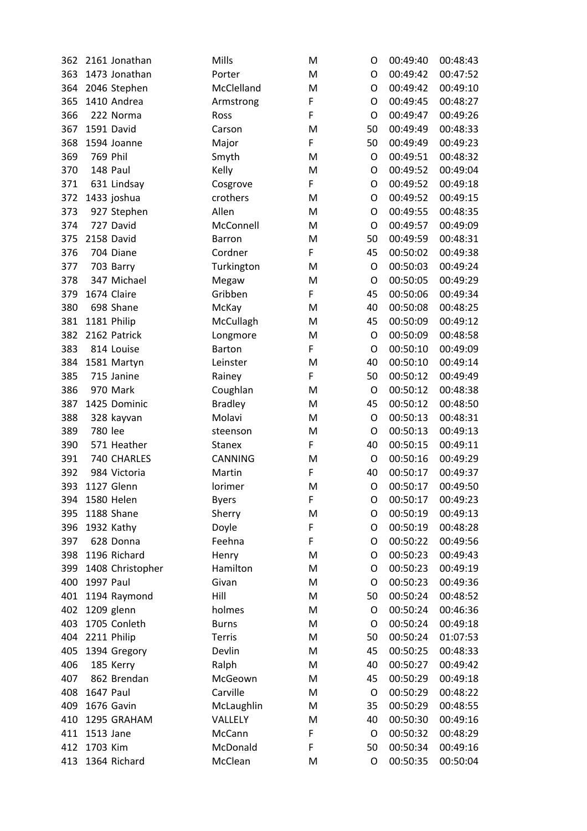| 362 |           | 2161 Jonathan    | Mills          | M           | O           | 00:49:40 | 00:48:43 |
|-----|-----------|------------------|----------------|-------------|-------------|----------|----------|
| 363 |           | 1473 Jonathan    | Porter         | M           | O           | 00:49:42 | 00:47:52 |
| 364 |           | 2046 Stephen     | McClelland     | M           | O           | 00:49:42 | 00:49:10 |
| 365 |           | 1410 Andrea      | Armstrong      | F           | O           | 00:49:45 | 00:48:27 |
| 366 |           | 222 Norma        | Ross           | $\mathsf F$ | O           | 00:49:47 | 00:49:26 |
| 367 |           | 1591 David       | Carson         | M           | 50          | 00:49:49 | 00:48:33 |
| 368 |           | 1594 Joanne      | Major          | F           | 50          | 00:49:49 | 00:49:23 |
| 369 | 769 Phil  |                  | Smyth          | M           | O           | 00:49:51 | 00:48:32 |
| 370 |           | 148 Paul         | Kelly          | M           | O           | 00:49:52 | 00:49:04 |
| 371 |           | 631 Lindsay      | Cosgrove       | F           | O           | 00:49:52 | 00:49:18 |
| 372 |           | 1433 joshua      | crothers       | M           | O           | 00:49:52 | 00:49:15 |
| 373 |           | 927 Stephen      | Allen          | M           | O           | 00:49:55 | 00:48:35 |
| 374 |           | 727 David        | McConnell      | M           | $\mathsf O$ | 00:49:57 | 00:49:09 |
| 375 |           | 2158 David       | <b>Barron</b>  | M           | 50          | 00:49:59 | 00:48:31 |
| 376 |           | 704 Diane        | Cordner        | F           | 45          | 00:50:02 | 00:49:38 |
| 377 |           | 703 Barry        | Turkington     | M           | O           | 00:50:03 | 00:49:24 |
| 378 |           | 347 Michael      | Megaw          | M           | O           | 00:50:05 | 00:49:29 |
| 379 |           | 1674 Claire      | Gribben        | F           | 45          | 00:50:06 | 00:49:34 |
| 380 |           | 698 Shane        | McKay          | M           | 40          | 00:50:08 | 00:48:25 |
| 381 |           | 1181 Philip      | McCullagh      | M           | 45          | 00:50:09 | 00:49:12 |
| 382 |           | 2162 Patrick     | Longmore       | M           | O           | 00:50:09 | 00:48:58 |
| 383 |           | 814 Louise       | <b>Barton</b>  | F           | O           | 00:50:10 | 00:49:09 |
| 384 |           | 1581 Martyn      | Leinster       | M           | 40          | 00:50:10 | 00:49:14 |
| 385 |           | 715 Janine       | Rainey         | F           | 50          | 00:50:12 | 00:49:49 |
| 386 |           | 970 Mark         | Coughlan       | M           | $\mathsf O$ | 00:50:12 | 00:48:38 |
| 387 |           | 1425 Dominic     | <b>Bradley</b> | M           | 45          | 00:50:12 | 00:48:50 |
| 388 |           | 328 kayvan       | Molavi         | M           | O           | 00:50:13 | 00:48:31 |
| 389 | 780 lee   |                  | steenson       | M           | O           | 00:50:13 | 00:49:13 |
| 390 |           | 571 Heather      | <b>Stanex</b>  | F           | 40          | 00:50:15 | 00:49:11 |
| 391 |           | 740 CHARLES      | <b>CANNING</b> | M           | O           | 00:50:16 | 00:49:29 |
| 392 |           | 984 Victoria     | Martin         | F           | 40          | 00:50:17 | 00:49:37 |
| 393 |           | 1127 Glenn       | lorimer        | M           | $\mathsf O$ | 00:50:17 | 00:49:50 |
| 394 |           | 1580 Helen       | <b>Byers</b>   | F           | O           | 00:50:17 | 00:49:23 |
| 395 |           | 1188 Shane       | Sherry         | M           | O           | 00:50:19 | 00:49:13 |
| 396 |           | 1932 Kathy       | Doyle          | F           | O           | 00:50:19 | 00:48:28 |
| 397 |           | 628 Donna        | Feehna         | F           | O           | 00:50:22 | 00:49:56 |
| 398 |           | 1196 Richard     | Henry          | M           | O           | 00:50:23 | 00:49:43 |
| 399 |           | 1408 Christopher | Hamilton       | M           | O           | 00:50:23 | 00:49:19 |
| 400 | 1997 Paul |                  | Givan          | M           | O           | 00:50:23 | 00:49:36 |
| 401 |           | 1194 Raymond     | Hill           | M           | 50          | 00:50:24 | 00:48:52 |
| 402 |           | 1209 glenn       | holmes         | M           | O           | 00:50:24 | 00:46:36 |
| 403 |           | 1705 Conleth     | <b>Burns</b>   | M           | O           | 00:50:24 | 00:49:18 |
| 404 |           | 2211 Philip      | <b>Terris</b>  | M           | 50          | 00:50:24 | 01:07:53 |
| 405 |           | 1394 Gregory     | Devlin         | M           | 45          | 00:50:25 | 00:48:33 |
| 406 |           | 185 Kerry        | Ralph          | M           | 40          | 00:50:27 | 00:49:42 |
| 407 |           | 862 Brendan      | McGeown        | M           | 45          | 00:50:29 | 00:49:18 |
| 408 | 1647 Paul |                  | Carville       | M           | O           | 00:50:29 | 00:48:22 |
| 409 |           | 1676 Gavin       | McLaughlin     | M           | 35          | 00:50:29 | 00:48:55 |
| 410 |           | 1295 GRAHAM      | <b>VALLELY</b> | M           | 40          | 00:50:30 | 00:49:16 |
| 411 | 1513 Jane |                  | McCann         | F           | O           | 00:50:32 | 00:48:29 |
| 412 | 1703 Kim  |                  | McDonald       | F           | 50          | 00:50:34 | 00:49:16 |
| 413 |           | 1364 Richard     | McClean        | M           | O           | 00:50:35 | 00:50:04 |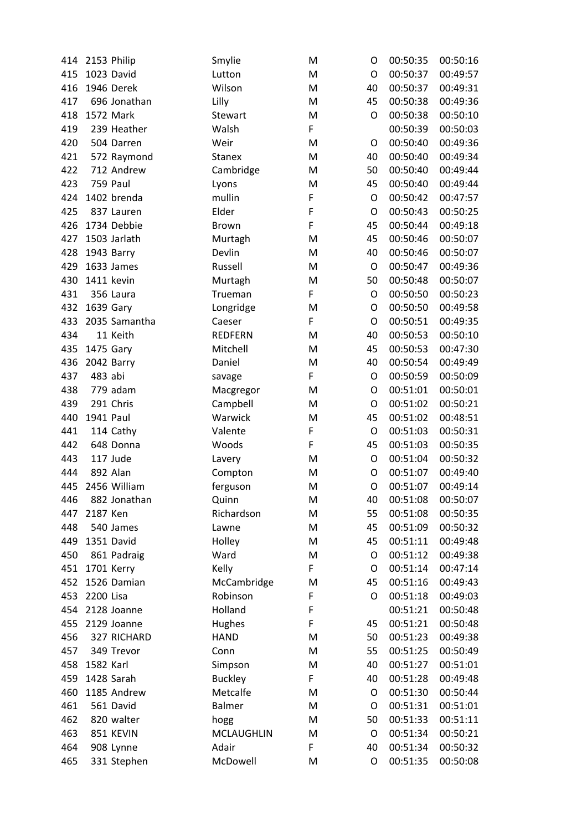| 414 |           | 2153 Philip   | Smylie            | M           | O           | 00:50:35 | 00:50:16 |
|-----|-----------|---------------|-------------------|-------------|-------------|----------|----------|
| 415 |           | 1023 David    | Lutton            | M           | O           | 00:50:37 | 00:49:57 |
| 416 |           | 1946 Derek    | Wilson            | M           | 40          | 00:50:37 | 00:49:31 |
| 417 |           | 696 Jonathan  | Lilly             | M           | 45          | 00:50:38 | 00:49:36 |
| 418 |           | 1572 Mark     | Stewart           | M           | O           | 00:50:38 | 00:50:10 |
| 419 |           | 239 Heather   | Walsh             | F           |             | 00:50:39 | 00:50:03 |
| 420 |           | 504 Darren    | Weir              | M           | O           | 00:50:40 | 00:49:36 |
| 421 |           | 572 Raymond   | <b>Stanex</b>     | M           | 40          | 00:50:40 | 00:49:34 |
| 422 |           | 712 Andrew    | Cambridge         | M           | 50          | 00:50:40 | 00:49:44 |
| 423 |           | 759 Paul      | Lyons             | M           | 45          | 00:50:40 | 00:49:44 |
| 424 |           | 1402 brenda   | mullin            | F           | O           | 00:50:42 | 00:47:57 |
| 425 |           | 837 Lauren    | Elder             | $\mathsf F$ | $\mathsf O$ | 00:50:43 | 00:50:25 |
| 426 |           | 1734 Debbie   | <b>Brown</b>      | $\mathsf F$ | 45          | 00:50:44 | 00:49:18 |
| 427 |           | 1503 Jarlath  | Murtagh           | M           | 45          | 00:50:46 | 00:50:07 |
| 428 |           | 1943 Barry    | Devlin            | M           | 40          | 00:50:46 | 00:50:07 |
| 429 |           | 1633 James    | Russell           | M           | O           | 00:50:47 | 00:49:36 |
| 430 |           | 1411 kevin    | Murtagh           | M           | 50          | 00:50:48 | 00:50:07 |
| 431 |           | 356 Laura     | Trueman           | F           | O           | 00:50:50 | 00:50:23 |
| 432 | 1639 Gary |               | Longridge         | M           | O           | 00:50:50 | 00:49:58 |
| 433 |           | 2035 Samantha | Caeser            | F           | O           | 00:50:51 | 00:49:35 |
| 434 |           | 11 Keith      | <b>REDFERN</b>    | M           | 40          | 00:50:53 | 00:50:10 |
| 435 | 1475 Gary |               | Mitchell          | M           | 45          | 00:50:53 | 00:47:30 |
| 436 |           | 2042 Barry    | Daniel            | M           | 40          | 00:50:54 | 00:49:49 |
| 437 | 483 abi   |               | savage            | F           | O           | 00:50:59 | 00:50:09 |
| 438 |           | 779 adam      | Macgregor         | M           | $\mathsf O$ | 00:51:01 | 00:50:01 |
| 439 |           | 291 Chris     | Campbell          | M           | O           | 00:51:02 | 00:50:21 |
| 440 | 1941 Paul |               | Warwick           | M           | 45          | 00:51:02 | 00:48:51 |
| 441 |           | 114 Cathy     | Valente           | F           | O           | 00:51:03 | 00:50:31 |
| 442 |           | 648 Donna     | Woods             | F           | 45          | 00:51:03 | 00:50:35 |
| 443 |           | 117 Jude      | Lavery            | M           | O           | 00:51:04 | 00:50:32 |
| 444 |           | 892 Alan      | Compton           | M           | O           | 00:51:07 | 00:49:40 |
| 445 |           | 2456 William  | ferguson          | M           | O           | 00:51:07 | 00:49:14 |
| 446 |           | 882 Jonathan  | Quinn             | м           | 40          | 00:51:08 | 00:50:07 |
| 447 | 2187 Ken  |               | Richardson        | M           | 55          | 00:51:08 | 00:50:35 |
| 448 |           | 540 James     | Lawne             | M           | 45          | 00:51:09 | 00:50:32 |
| 449 |           | 1351 David    | Holley            | M           | 45          | 00:51:11 | 00:49:48 |
| 450 |           | 861 Padraig   | Ward              | M           | O           | 00:51:12 | 00:49:38 |
| 451 |           | 1701 Kerry    | Kelly             | F           | O           | 00:51:14 | 00:47:14 |
| 452 |           | 1526 Damian   | McCambridge       | M           | 45          | 00:51:16 | 00:49:43 |
| 453 | 2200 Lisa |               | Robinson          | F           | O           | 00:51:18 | 00:49:03 |
| 454 |           | 2128 Joanne   | Holland           | F           |             | 00:51:21 | 00:50:48 |
| 455 |           | 2129 Joanne   | Hughes            | F           | 45          | 00:51:21 | 00:50:48 |
| 456 |           | 327 RICHARD   | <b>HAND</b>       | M           | 50          | 00:51:23 | 00:49:38 |
| 457 |           | 349 Trevor    | Conn              | M           | 55          | 00:51:25 | 00:50:49 |
| 458 | 1582 Karl |               | Simpson           | M           | 40          | 00:51:27 | 00:51:01 |
| 459 |           | 1428 Sarah    | <b>Buckley</b>    | F           | 40          | 00:51:28 | 00:49:48 |
| 460 |           | 1185 Andrew   | Metcalfe          | M           | O           | 00:51:30 | 00:50:44 |
| 461 |           | 561 David     | Balmer            | M           | O           | 00:51:31 | 00:51:01 |
| 462 |           | 820 walter    | hogg              | M           | 50          | 00:51:33 | 00:51:11 |
| 463 |           | 851 KEVIN     | <b>MCLAUGHLIN</b> | M           | O           | 00:51:34 | 00:50:21 |
| 464 |           | 908 Lynne     | Adair             | F           | 40          | 00:51:34 | 00:50:32 |
| 465 |           | 331 Stephen   | McDowell          | M           | O           | 00:51:35 | 00:50:08 |
|     |           |               |                   |             |             |          |          |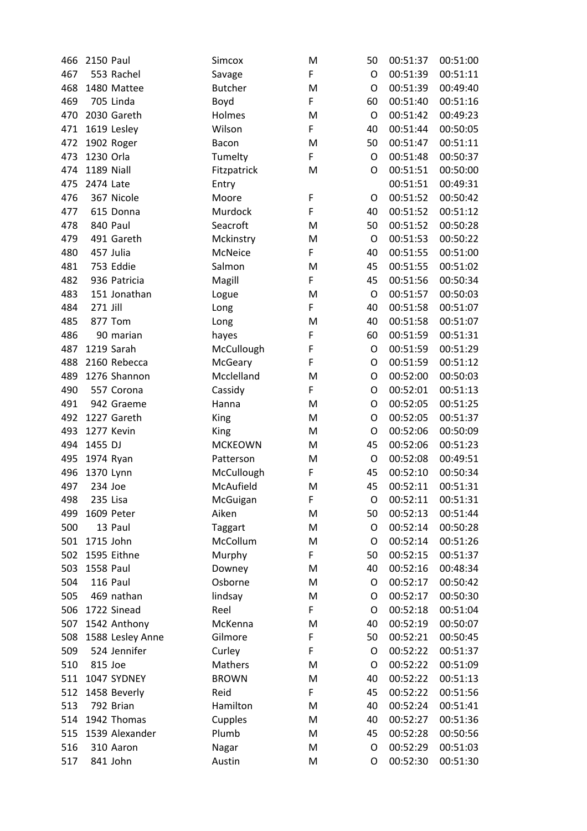| 466 | <b>2150 Paul</b> |                  | Simcox         | M           | 50          | 00:51:37 | 00:51:00 |
|-----|------------------|------------------|----------------|-------------|-------------|----------|----------|
| 467 |                  | 553 Rachel       | Savage         | F           | O           | 00:51:39 | 00:51:11 |
| 468 |                  | 1480 Mattee      | <b>Butcher</b> | M           | O           | 00:51:39 | 00:49:40 |
| 469 |                  | 705 Linda        | Boyd           | F           | 60          | 00:51:40 | 00:51:16 |
| 470 |                  | 2030 Gareth      | Holmes         | M           | O           | 00:51:42 | 00:49:23 |
| 471 |                  | 1619 Lesley      | Wilson         | F           | 40          | 00:51:44 | 00:50:05 |
| 472 |                  | 1902 Roger       | Bacon          | M           | 50          | 00:51:47 | 00:51:11 |
| 473 | 1230 Orla        |                  | Tumelty        | F           | O           | 00:51:48 | 00:50:37 |
| 474 | 1189 Niall       |                  | Fitzpatrick    | M           | O           | 00:51:51 | 00:50:00 |
| 475 | 2474 Late        |                  | Entry          |             |             | 00:51:51 | 00:49:31 |
| 476 |                  | 367 Nicole       | Moore          | F           | O           | 00:51:52 | 00:50:42 |
| 477 |                  | 615 Donna        | Murdock        | F           | 40          | 00:51:52 | 00:51:12 |
| 478 |                  | 840 Paul         | Seacroft       | M           | 50          | 00:51:52 | 00:50:28 |
| 479 |                  | 491 Gareth       | Mckinstry      | M           | O           | 00:51:53 | 00:50:22 |
| 480 |                  | 457 Julia        | McNeice        | F           | 40          | 00:51:55 | 00:51:00 |
| 481 |                  | 753 Eddie        | Salmon         | M           | 45          | 00:51:55 | 00:51:02 |
| 482 |                  | 936 Patricia     | Magill         | F           | 45          | 00:51:56 | 00:50:34 |
| 483 |                  | 151 Jonathan     | Logue          | M           | $\mathsf O$ | 00:51:57 | 00:50:03 |
| 484 | 271 Jill         |                  | Long           | F           | 40          | 00:51:58 | 00:51:07 |
| 485 |                  | 877 Tom          | Long           | M           | 40          | 00:51:58 | 00:51:07 |
| 486 |                  | 90 marian        | hayes          | F           | 60          | 00:51:59 | 00:51:31 |
| 487 |                  | 1219 Sarah       | McCullough     | F           | O           | 00:51:59 | 00:51:29 |
| 488 |                  | 2160 Rebecca     | McGeary        | $\mathsf F$ | O           | 00:51:59 | 00:51:12 |
| 489 |                  | 1276 Shannon     | Mcclelland     | M           | O           | 00:52:00 | 00:50:03 |
| 490 |                  | 557 Corona       | Cassidy        | F           | O           | 00:52:01 | 00:51:13 |
| 491 |                  | 942 Graeme       | Hanna          | M           | O           | 00:52:05 | 00:51:25 |
| 492 |                  | 1227 Gareth      | King           | M           | O           | 00:52:05 | 00:51:37 |
| 493 |                  | 1277 Kevin       | King           | M           | $\mathsf O$ | 00:52:06 | 00:50:09 |
| 494 | 1455 DJ          |                  | <b>MCKEOWN</b> | M           | 45          | 00:52:06 | 00:51:23 |
| 495 | 1974 Ryan        |                  | Patterson      | M           | O           | 00:52:08 | 00:49:51 |
| 496 | 1370 Lynn        |                  | McCullough     | F           | 45          | 00:52:10 | 00:50:34 |
| 497 | 234 Joe          |                  | McAufield      | M           | 45          | 00:52:11 | 00:51:31 |
| 498 |                  | 235 Lisa         | McGuigan       | F           | O           | 00:52:11 | 00:51:31 |
| 499 |                  | 1609 Peter       | Aiken          | M           | 50          | 00:52:13 | 00:51:44 |
| 500 |                  | 13 Paul          | Taggart        | M           | O           | 00:52:14 | 00:50:28 |
| 501 | 1715 John        |                  | McCollum       | M           | O           | 00:52:14 | 00:51:26 |
| 502 |                  | 1595 Eithne      | Murphy         | F           | 50          | 00:52:15 | 00:51:37 |
| 503 | 1558 Paul        |                  | Downey         | M           | 40          | 00:52:16 | 00:48:34 |
| 504 |                  | 116 Paul         | Osborne        | M           | O           | 00:52:17 | 00:50:42 |
| 505 |                  | 469 nathan       | lindsay        | M           | O           | 00:52:17 | 00:50:30 |
| 506 |                  | 1722 Sinead      | Reel           | F           | O           | 00:52:18 | 00:51:04 |
| 507 |                  | 1542 Anthony     | McKenna        | M           | 40          | 00:52:19 | 00:50:07 |
| 508 |                  | 1588 Lesley Anne | Gilmore        | F           | 50          | 00:52:21 | 00:50:45 |
| 509 |                  | 524 Jennifer     | Curley         | F           | O           | 00:52:22 | 00:51:37 |
| 510 | 815 Joe          |                  | Mathers        | M           | O           | 00:52:22 | 00:51:09 |
| 511 |                  | 1047 SYDNEY      | <b>BROWN</b>   | M           | 40          | 00:52:22 | 00:51:13 |
| 512 |                  | 1458 Beverly     | Reid           | F           | 45          | 00:52:22 | 00:51:56 |
| 513 |                  | 792 Brian        | Hamilton       | M           | 40          | 00:52:24 | 00:51:41 |
| 514 |                  | 1942 Thomas      | Cupples        | M           | 40          | 00:52:27 | 00:51:36 |
| 515 |                  | 1539 Alexander   | Plumb          | M           | 45          | 00:52:28 | 00:50:56 |
| 516 |                  | 310 Aaron        | Nagar          | M           | O           | 00:52:29 | 00:51:03 |
| 517 |                  | 841 John         | Austin         | M           | O           | 00:52:30 | 00:51:30 |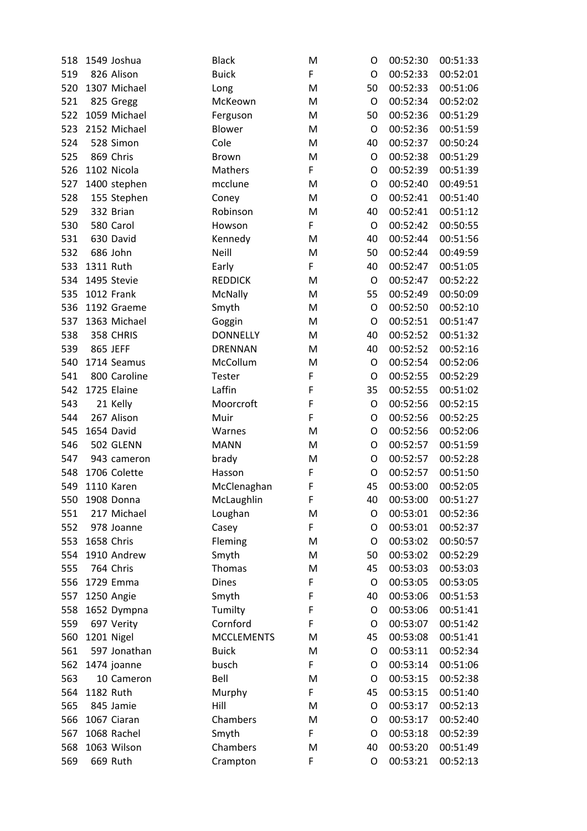| 518 |           | 1549 Joshua  | <b>Black</b>      | M | O  | 00:52:30 | 00:51:33 |
|-----|-----------|--------------|-------------------|---|----|----------|----------|
| 519 |           | 826 Alison   | <b>Buick</b>      | F | O  | 00:52:33 | 00:52:01 |
| 520 |           | 1307 Michael | Long              | M | 50 | 00:52:33 | 00:51:06 |
| 521 |           | 825 Gregg    | McKeown           | M | O  | 00:52:34 | 00:52:02 |
| 522 |           | 1059 Michael | Ferguson          | M | 50 | 00:52:36 | 00:51:29 |
| 523 |           | 2152 Michael | Blower            | M | O  | 00:52:36 | 00:51:59 |
| 524 |           | 528 Simon    | Cole              | M | 40 | 00:52:37 | 00:50:24 |
| 525 |           | 869 Chris    | <b>Brown</b>      | M | O  | 00:52:38 | 00:51:29 |
| 526 |           | 1102 Nicola  | Mathers           | F | O  | 00:52:39 | 00:51:39 |
| 527 |           | 1400 stephen | mcclune           | M | O  | 00:52:40 | 00:49:51 |
| 528 |           | 155 Stephen  | Coney             | M | O  | 00:52:41 | 00:51:40 |
| 529 |           | 332 Brian    | Robinson          | M | 40 | 00:52:41 | 00:51:12 |
| 530 |           | 580 Carol    | Howson            | F | O  | 00:52:42 | 00:50:55 |
| 531 |           | 630 David    | Kennedy           | M | 40 | 00:52:44 | 00:51:56 |
| 532 |           | 686 John     | Neill             | M | 50 | 00:52:44 | 00:49:59 |
| 533 | 1311 Ruth |              | Early             | F | 40 | 00:52:47 | 00:51:05 |
| 534 |           | 1495 Stevie  | <b>REDDICK</b>    | M | O  | 00:52:47 | 00:52:22 |
| 535 |           | 1012 Frank   | McNally           | M | 55 | 00:52:49 | 00:50:09 |
| 536 |           | 1192 Graeme  | Smyth             | M | O  | 00:52:50 | 00:52:10 |
| 537 |           | 1363 Michael | Goggin            | M | O  | 00:52:51 | 00:51:47 |
| 538 |           | 358 CHRIS    | <b>DONNELLY</b>   | M | 40 | 00:52:52 | 00:51:32 |
| 539 |           | 865 JEFF     | <b>DRENNAN</b>    | M | 40 | 00:52:52 | 00:52:16 |
| 540 |           | 1714 Seamus  | McCollum          | M | O  | 00:52:54 | 00:52:06 |
| 541 |           | 800 Caroline | Tester            | F | O  | 00:52:55 | 00:52:29 |
| 542 |           | 1725 Elaine  | Laffin            | F | 35 | 00:52:55 | 00:51:02 |
| 543 |           | 21 Kelly     | Moorcroft         | F | O  | 00:52:56 | 00:52:15 |
| 544 |           | 267 Alison   | Muir              | F | O  | 00:52:56 | 00:52:25 |
| 545 |           | 1654 David   | Warnes            | M | O  | 00:52:56 | 00:52:06 |
| 546 |           | 502 GLENN    | <b>MANN</b>       | M | O  | 00:52:57 | 00:51:59 |
| 547 |           | 943 cameron  | brady             | M | O  | 00:52:57 | 00:52:28 |
| 548 |           | 1706 Colette | Hasson            | F | O  | 00:52:57 | 00:51:50 |
| 549 |           | 1110 Karen   | McClenaghan       | F | 45 | 00:53:00 | 00:52:05 |
| 550 |           | 1908 Donna   | McLaughlin        | F | 40 | 00:53:00 | 00:51:27 |
| 551 |           | 217 Michael  | Loughan           | M | O  | 00:53:01 | 00:52:36 |
| 552 |           | 978 Joanne   | Casey             | F | O  | 00:53:01 | 00:52:37 |
| 553 |           | 1658 Chris   | Fleming           | M | O  | 00:53:02 | 00:50:57 |
| 554 |           | 1910 Andrew  | Smyth             | M | 50 | 00:53:02 | 00:52:29 |
| 555 |           | 764 Chris    | Thomas            | M | 45 | 00:53:03 | 00:53:03 |
| 556 |           | 1729 Emma    | <b>Dines</b>      | F | O  | 00:53:05 | 00:53:05 |
| 557 |           | 1250 Angie   | Smyth             | F | 40 | 00:53:06 | 00:51:53 |
| 558 |           | 1652 Dympna  | Tumilty           | F | O  | 00:53:06 | 00:51:41 |
| 559 |           | 697 Verity   | Cornford          | F | O  | 00:53:07 | 00:51:42 |
| 560 |           | 1201 Nigel   | <b>MCCLEMENTS</b> | M | 45 | 00:53:08 | 00:51:41 |
| 561 |           | 597 Jonathan | <b>Buick</b>      | M | O  | 00:53:11 | 00:52:34 |
| 562 |           | 1474 joanne  | busch             | F | O  | 00:53:14 | 00:51:06 |
| 563 |           | 10 Cameron   | Bell              | M | O  | 00:53:15 | 00:52:38 |
| 564 | 1182 Ruth |              | Murphy            | F | 45 | 00:53:15 | 00:51:40 |
| 565 |           | 845 Jamie    | Hill              | M | O  | 00:53:17 | 00:52:13 |
| 566 |           | 1067 Ciaran  | Chambers          | M | O  | 00:53:17 | 00:52:40 |
| 567 |           | 1068 Rachel  | Smyth             | F | O  | 00:53:18 | 00:52:39 |
| 568 |           | 1063 Wilson  | Chambers          | M | 40 | 00:53:20 | 00:51:49 |
| 569 |           | 669 Ruth     | Crampton          | F | O  | 00:53:21 | 00:52:13 |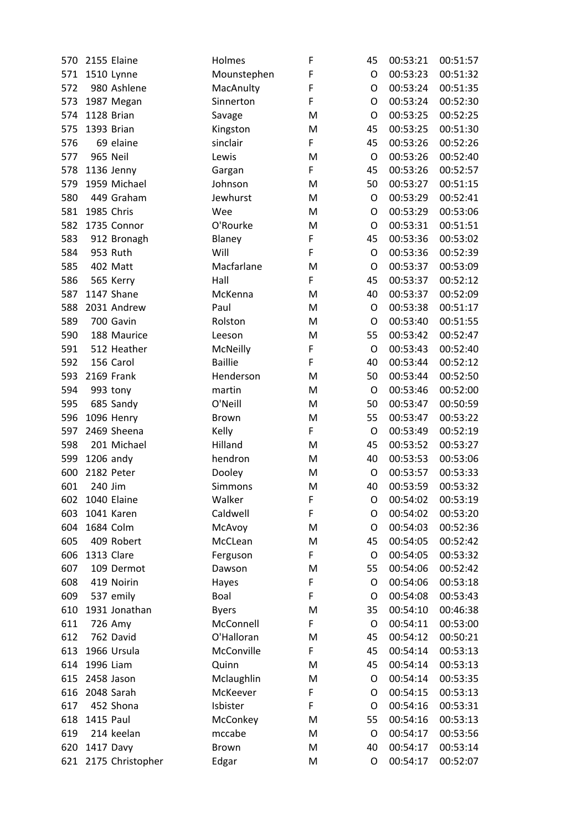| 570 |           | 2155 Elaine      | Holmes         | F | 45          | 00:53:21 | 00:51:57 |
|-----|-----------|------------------|----------------|---|-------------|----------|----------|
| 571 |           | 1510 Lynne       | Mounstephen    | F | O           | 00:53:23 | 00:51:32 |
| 572 |           | 980 Ashlene      | MacAnulty      | F | O           | 00:53:24 | 00:51:35 |
| 573 |           | 1987 Megan       | Sinnerton      | F | O           | 00:53:24 | 00:52:30 |
| 574 |           | 1128 Brian       | Savage         | M | O           | 00:53:25 | 00:52:25 |
| 575 |           | 1393 Brian       | Kingston       | M | 45          | 00:53:25 | 00:51:30 |
| 576 |           | 69 elaine        | sinclair       | F | 45          | 00:53:26 | 00:52:26 |
| 577 |           | 965 Neil         | Lewis          | M | O           | 00:53:26 | 00:52:40 |
| 578 |           | 1136 Jenny       | Gargan         | F | 45          | 00:53:26 | 00:52:57 |
| 579 |           | 1959 Michael     | Johnson        | M | 50          | 00:53:27 | 00:51:15 |
| 580 |           | 449 Graham       | Jewhurst       | M | O           | 00:53:29 | 00:52:41 |
| 581 |           | 1985 Chris       | Wee            | M | O           | 00:53:29 | 00:53:06 |
| 582 |           | 1735 Connor      | O'Rourke       | M | $\mathsf O$ | 00:53:31 | 00:51:51 |
| 583 |           | 912 Bronagh      | Blaney         | F | 45          | 00:53:36 | 00:53:02 |
| 584 |           | 953 Ruth         | Will           | F | O           | 00:53:36 | 00:52:39 |
| 585 |           | 402 Matt         | Macfarlane     | M | O           | 00:53:37 | 00:53:09 |
| 586 |           | 565 Kerry        | Hall           | F | 45          | 00:53:37 | 00:52:12 |
| 587 |           | 1147 Shane       | McKenna        | M | 40          | 00:53:37 | 00:52:09 |
| 588 |           | 2031 Andrew      | Paul           | M | $\circ$     | 00:53:38 | 00:51:17 |
| 589 |           | 700 Gavin        | Rolston        | M | O           | 00:53:40 | 00:51:55 |
| 590 |           | 188 Maurice      | Leeson         | M | 55          | 00:53:42 | 00:52:47 |
| 591 |           | 512 Heather      | McNeilly       | F | $\circ$     | 00:53:43 | 00:52:40 |
| 592 |           | 156 Carol        | <b>Baillie</b> | F | 40          | 00:53:44 | 00:52:12 |
| 593 |           | 2169 Frank       | Henderson      | M | 50          | 00:53:44 | 00:52:50 |
| 594 |           | 993 tony         | martin         | M | $\circ$     | 00:53:46 | 00:52:00 |
| 595 |           | 685 Sandy        | O'Neill        | M | 50          | 00:53:47 | 00:50:59 |
| 596 |           | 1096 Henry       | Brown          | M | 55          | 00:53:47 | 00:53:22 |
| 597 |           | 2469 Sheena      | Kelly          | F | O           | 00:53:49 | 00:52:19 |
| 598 |           | 201 Michael      | Hilland        | M | 45          | 00:53:52 | 00:53:27 |
| 599 |           | 1206 andy        | hendron        | M | 40          | 00:53:53 | 00:53:06 |
| 600 |           | 2182 Peter       | Dooley         | M | O           | 00:53:57 | 00:53:33 |
| 601 | 240 Jim   |                  | <b>Simmons</b> | M | 40          | 00:53:59 | 00:53:32 |
| 602 |           | 1040 Elaine      | Walker         | F | O           | 00:54:02 | 00:53:19 |
| 603 |           | 1041 Karen       | Caldwell       | F | O           | 00:54:02 | 00:53:20 |
| 604 |           | 1684 Colm        | McAvoy         | M | O           | 00:54:03 | 00:52:36 |
| 605 |           | 409 Robert       | McCLean        | M | 45          | 00:54:05 | 00:52:42 |
| 606 |           | 1313 Clare       | Ferguson       | F | O           | 00:54:05 | 00:53:32 |
| 607 |           | 109 Dermot       | Dawson         | M | 55          | 00:54:06 | 00:52:42 |
| 608 |           | 419 Noirin       | Hayes          | F | O           | 00:54:06 | 00:53:18 |
| 609 |           | 537 emily        | Boal           | F | O           | 00:54:08 | 00:53:43 |
| 610 |           | 1931 Jonathan    | <b>Byers</b>   | M | 35          | 00:54:10 | 00:46:38 |
| 611 |           | 726 Amy          | McConnell      | F | O           | 00:54:11 | 00:53:00 |
| 612 |           | 762 David        | O'Halloran     | M | 45          | 00:54:12 | 00:50:21 |
| 613 |           | 1966 Ursula      | McConville     | F | 45          | 00:54:14 | 00:53:13 |
| 614 | 1996 Liam |                  | Quinn          | M | 45          | 00:54:14 | 00:53:13 |
| 615 |           | 2458 Jason       | Mclaughlin     | M | O           | 00:54:14 | 00:53:35 |
| 616 |           | 2048 Sarah       | McKeever       | F | O           | 00:54:15 | 00:53:13 |
| 617 |           | 452 Shona        | Isbister       | F | O           | 00:54:16 | 00:53:31 |
| 618 | 1415 Paul |                  | McConkey       | M | 55          | 00:54:16 | 00:53:13 |
| 619 |           | 214 keelan       | mccabe         | M | O           | 00:54:17 | 00:53:56 |
| 620 |           | 1417 Davy        | Brown          | M | 40          | 00:54:17 | 00:53:14 |
| 621 |           | 2175 Christopher | Edgar          | M | O           | 00:54:17 | 00:52:07 |
|     |           |                  |                |   |             |          |          |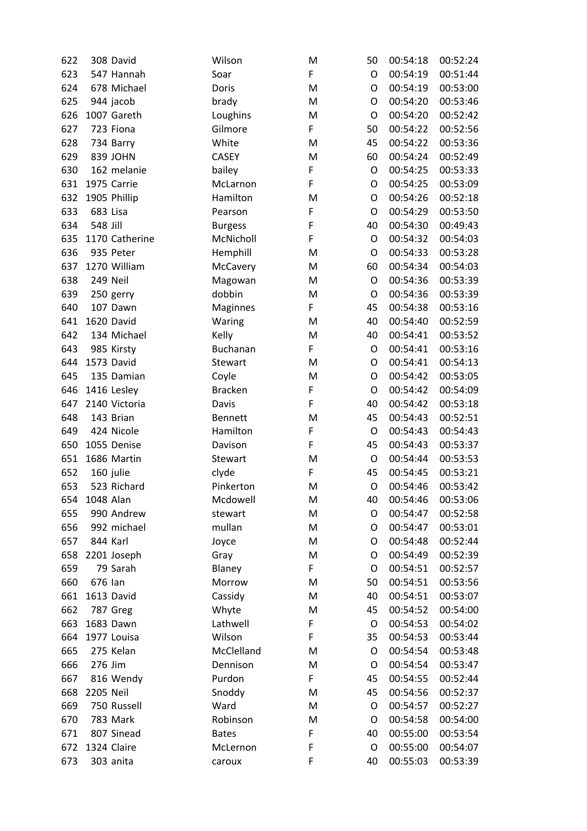| 622 |           | 308 David      | Wilson          | M  | 50 | 00:54:18 | 00:52:24 |
|-----|-----------|----------------|-----------------|----|----|----------|----------|
| 623 |           | 547 Hannah     | Soar            | F. | O  | 00:54:19 | 00:51:44 |
| 624 |           | 678 Michael    | Doris           | M  | O  | 00:54:19 | 00:53:00 |
| 625 |           | 944 jacob      | brady           | M  | O  | 00:54:20 | 00:53:46 |
| 626 |           | 1007 Gareth    | Loughins        | M  | O  | 00:54:20 | 00:52:42 |
| 627 |           | 723 Fiona      | Gilmore         | F  | 50 | 00:54:22 | 00:52:56 |
| 628 |           | 734 Barry      | White           | M  | 45 | 00:54:22 | 00:53:36 |
| 629 |           | 839 JOHN       | <b>CASEY</b>    | M  | 60 | 00:54:24 | 00:52:49 |
| 630 |           | 162 melanie    | bailey          | F  | O  | 00:54:25 | 00:53:33 |
| 631 |           | 1975 Carrie    | McLarnon        | F  | O  | 00:54:25 | 00:53:09 |
| 632 |           | 1905 Phillip   | Hamilton        | M  | O  | 00:54:26 | 00:52:18 |
| 633 | 683 Lisa  |                | Pearson         | F  | O  | 00:54:29 | 00:53:50 |
| 634 | 548 Jill  |                | <b>Burgess</b>  | F  | 40 | 00:54:30 | 00:49:43 |
| 635 |           | 1170 Catherine | McNicholl       | F  | O  | 00:54:32 | 00:54:03 |
| 636 |           | 935 Peter      | Hemphill        | M  | O  | 00:54:33 | 00:53:28 |
| 637 |           | 1270 William   | McCavery        | M  | 60 | 00:54:34 | 00:54:03 |
| 638 |           | 249 Neil       | Magowan         | M  | O  | 00:54:36 | 00:53:39 |
| 639 |           | 250 gerry      | dobbin          | M  | O  | 00:54:36 | 00:53:39 |
| 640 |           | 107 Dawn       | <b>Maginnes</b> | F  | 45 | 00:54:38 | 00:53:16 |
| 641 |           | 1620 David     | Waring          | M  | 40 | 00:54:40 | 00:52:59 |
| 642 |           | 134 Michael    | Kelly           | M  | 40 | 00:54:41 | 00:53:52 |
| 643 |           | 985 Kirsty     | <b>Buchanan</b> | F  | O  | 00:54:41 | 00:53:16 |
| 644 |           | 1573 David     | Stewart         | M  | O  | 00:54:41 | 00:54:13 |
| 645 |           | 135 Damian     | Coyle           | M  | O  | 00:54:42 | 00:53:05 |
| 646 |           | 1416 Lesley    | <b>Bracken</b>  | F  | O  | 00:54:42 | 00:54:09 |
| 647 |           | 2140 Victoria  | Davis           | F  | 40 | 00:54:42 | 00:53:18 |
| 648 |           | 143 Brian      | <b>Bennett</b>  | M  | 45 | 00:54:43 | 00:52:51 |
| 649 |           | 424 Nicole     | Hamilton        | F  | O  | 00:54:43 | 00:54:43 |
| 650 |           | 1055 Denise    | Davison         | F  | 45 | 00:54:43 | 00:53:37 |
| 651 |           | 1686 Martin    | Stewart         | M  | O  | 00:54:44 | 00:53:53 |
| 652 |           | 160 julie      | clyde           | F  | 45 | 00:54:45 | 00:53:21 |
| 653 |           | 523 Richard    | Pinkerton       | M  | O  | 00:54:46 | 00:53:42 |
| 654 | 1048 Alan |                | Mcdowell        | M  | 40 | 00:54:46 | 00:53:06 |
| 655 |           | 990 Andrew     | stewart         | M  | O  | 00:54:47 | 00:52:58 |
| 656 |           | 992 michael    | mullan          | M  | O  | 00:54:47 | 00:53:01 |
| 657 |           | 844 Karl       | Joyce           | M  | O  | 00:54:48 | 00:52:44 |
| 658 |           | 2201 Joseph    | Gray            | M  | O  | 00:54:49 | 00:52:39 |
| 659 |           | 79 Sarah       | Blaney          | F  | O  | 00:54:51 | 00:52:57 |
| 660 | 676 Ian   |                | Morrow          | M  | 50 | 00:54:51 | 00:53:56 |
| 661 |           | 1613 David     | Cassidy         | M  | 40 | 00:54:51 | 00:53:07 |
| 662 |           | 787 Greg       | Whyte           | M  | 45 | 00:54:52 | 00:54:00 |
| 663 |           | 1683 Dawn      | Lathwell        | F  | O  | 00:54:53 | 00:54:02 |
| 664 |           | 1977 Louisa    | Wilson          | F  | 35 | 00:54:53 | 00:53:44 |
| 665 |           | 275 Kelan      | McClelland      | M  | O  | 00:54:54 | 00:53:48 |
| 666 | 276 Jim   |                | Dennison        | M  | O  | 00:54:54 | 00:53:47 |
| 667 |           | 816 Wendy      | Purdon          | F  | 45 | 00:54:55 | 00:52:44 |
| 668 | 2205 Neil |                | Snoddy          | M  | 45 | 00:54:56 | 00:52:37 |
| 669 |           | 750 Russell    | Ward            | M  | O  | 00:54:57 | 00:52:27 |
| 670 |           | 783 Mark       | Robinson        | M  | O  | 00:54:58 | 00:54:00 |
| 671 |           | 807 Sinead     | <b>Bates</b>    | F  | 40 | 00:55:00 | 00:53:54 |
| 672 |           | 1324 Claire    | McLernon        | F  | O  | 00:55:00 | 00:54:07 |
| 673 |           | 303 anita      | caroux          | F  | 40 | 00:55:03 | 00:53:39 |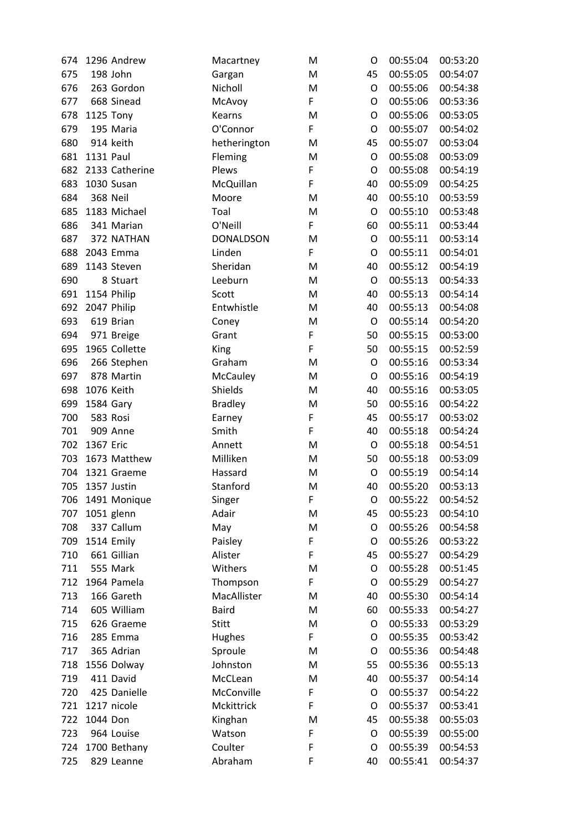| 674 |           | 1296 Andrew     | Macartney        | M | O           | 00:55:04 | 00:53:20 |
|-----|-----------|-----------------|------------------|---|-------------|----------|----------|
| 675 |           | 198 John        | Gargan           | M | 45          | 00:55:05 | 00:54:07 |
| 676 |           | 263 Gordon      | Nicholl          | M | O           | 00:55:06 | 00:54:38 |
| 677 |           | 668 Sinead      | McAvoy           | F | $\mathsf O$ | 00:55:06 | 00:53:36 |
| 678 |           | 1125 Tony       | Kearns           | M | O           | 00:55:06 | 00:53:05 |
| 679 |           | 195 Maria       | O'Connor         | F | O           | 00:55:07 | 00:54:02 |
| 680 |           | 914 keith       | hetherington     | M | 45          | 00:55:07 | 00:53:04 |
| 681 | 1131 Paul |                 | Fleming          | M | O           | 00:55:08 | 00:53:09 |
| 682 |           | 2133 Catherine  | Plews            | F | O           | 00:55:08 | 00:54:19 |
| 683 |           | 1030 Susan      | McQuillan        | F | 40          | 00:55:09 | 00:54:25 |
| 684 |           | <b>368 Neil</b> | Moore            | M | 40          | 00:55:10 | 00:53:59 |
| 685 |           | 1183 Michael    | Toal             | M | O           | 00:55:10 | 00:53:48 |
| 686 |           | 341 Marian      | O'Neill          | F | 60          | 00:55:11 | 00:53:44 |
| 687 |           | 372 NATHAN      | <b>DONALDSON</b> | M | O           | 00:55:11 | 00:53:14 |
| 688 |           | 2043 Emma       | Linden           | F | O           | 00:55:11 | 00:54:01 |
| 689 |           | 1143 Steven     | Sheridan         | M | 40          | 00:55:12 | 00:54:19 |
| 690 |           | 8 Stuart        | Leeburn          | M | $\circ$     | 00:55:13 | 00:54:33 |
| 691 |           | 1154 Philip     | Scott            | M | 40          | 00:55:13 | 00:54:14 |
| 692 |           | 2047 Philip     | Entwhistle       | M | 40          | 00:55:13 | 00:54:08 |
| 693 |           | 619 Brian       | Coney            | M | $\circ$     | 00:55:14 | 00:54:20 |
| 694 |           | 971 Breige      | Grant            | F | 50          | 00:55:15 | 00:53:00 |
| 695 |           | 1965 Collette   | King             | F | 50          | 00:55:15 | 00:52:59 |
| 696 |           | 266 Stephen     | Graham           | M | $\mathsf O$ | 00:55:16 | 00:53:34 |
| 697 |           | 878 Martin      | McCauley         | M | O           | 00:55:16 | 00:54:19 |
| 698 |           | 1076 Keith      | Shields          | M | 40          | 00:55:16 | 00:53:05 |
| 699 | 1584 Gary |                 | <b>Bradley</b>   | M | 50          | 00:55:16 | 00:54:22 |
| 700 |           | 583 Rosi        | Earney           | F | 45          | 00:55:17 | 00:53:02 |
| 701 |           | 909 Anne        | Smith            | F | 40          | 00:55:18 | 00:54:24 |
| 702 | 1367 Eric |                 | Annett           | M | $\circ$     | 00:55:18 | 00:54:51 |
| 703 |           | 1673 Matthew    | Milliken         | M | 50          | 00:55:18 | 00:53:09 |
| 704 |           | 1321 Graeme     | Hassard          | M | O           | 00:55:19 | 00:54:14 |
| 705 |           | 1357 Justin     | Stanford         | M | 40          | 00:55:20 | 00:53:13 |
| 706 |           | 1491 Monique    | Singer           | F | $\circ$     | 00:55:22 | 00:54:52 |
| 707 |           | 1051 glenn      | Adair            | M | 45          | 00:55:23 | 00:54:10 |
| 708 |           | 337 Callum      | May              | M | $\mathsf O$ | 00:55:26 | 00:54:58 |
| 709 |           | 1514 Emily      | Paisley          | F | O           | 00:55:26 | 00:53:22 |
| 710 |           | 661 Gillian     | Alister          | F | 45          | 00:55:27 | 00:54:29 |
| 711 |           | 555 Mark        | Withers          | M | O           | 00:55:28 | 00:51:45 |
| 712 |           | 1964 Pamela     | Thompson         | F | O           | 00:55:29 | 00:54:27 |
| 713 |           | 166 Gareth      | MacAllister      | M | 40          | 00:55:30 | 00:54:14 |
| 714 |           | 605 William     | <b>Baird</b>     | M | 60          | 00:55:33 | 00:54:27 |
| 715 |           | 626 Graeme      | <b>Stitt</b>     | M | O           | 00:55:33 | 00:53:29 |
| 716 |           | 285 Emma        | Hughes           | F | O           | 00:55:35 | 00:53:42 |
| 717 |           | 365 Adrian      | Sproule          | M | O           | 00:55:36 | 00:54:48 |
| 718 |           | 1556 Dolway     | Johnston         | M | 55          | 00:55:36 | 00:55:13 |
| 719 |           | 411 David       | McCLean          | M | 40          | 00:55:37 | 00:54:14 |
| 720 |           | 425 Danielle    | McConville       | F | $\circ$     | 00:55:37 | 00:54:22 |
| 721 |           | 1217 nicole     | Mckittrick       | F | O           | 00:55:37 | 00:53:41 |
| 722 | 1044 Don  |                 | Kinghan          | M | 45          | 00:55:38 | 00:55:03 |
| 723 |           | 964 Louise      | Watson           | F | O           | 00:55:39 | 00:55:00 |
| 724 |           | 1700 Bethany    | Coulter          | F | O           | 00:55:39 | 00:54:53 |
| 725 |           | 829 Leanne      | Abraham          | F | 40          | 00:55:41 | 00:54:37 |
|     |           |                 |                  |   |             |          |          |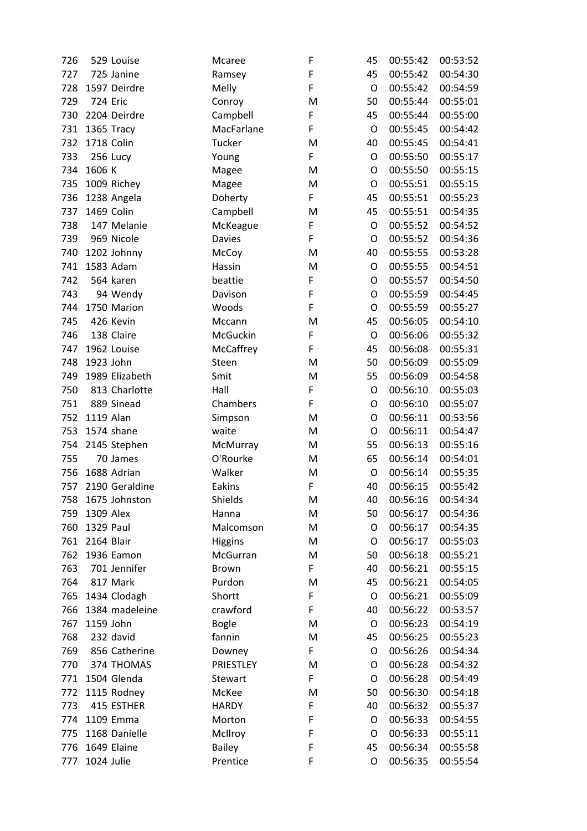| 726 |            | 529 Louise      | Mcaree         | F           | 45          | 00:55:42 | 00:53:52 |
|-----|------------|-----------------|----------------|-------------|-------------|----------|----------|
| 727 |            | 725 Janine      | Ramsey         | F           | 45          | 00:55:42 | 00:54:30 |
| 728 |            | 1597 Deirdre    | Melly          | F           | O           | 00:55:42 | 00:54:59 |
| 729 |            | <b>724 Eric</b> | Conroy         | M           | 50          | 00:55:44 | 00:55:01 |
| 730 |            | 2204 Deirdre    | Campbell       | F           | 45          | 00:55:44 | 00:55:00 |
| 731 |            | 1365 Tracy      | MacFarlane     | F           | O           | 00:55:45 | 00:54:42 |
| 732 |            | 1718 Colin      | Tucker         | M           | 40          | 00:55:45 | 00:54:41 |
| 733 |            | 256 Lucy        | Young          | F           | O           | 00:55:50 | 00:55:17 |
| 734 | 1606 K     |                 | Magee          | M           | O           | 00:55:50 | 00:55:15 |
| 735 |            | 1009 Richey     | Magee          | M           | $\mathsf O$ | 00:55:51 | 00:55:15 |
| 736 |            | 1238 Angela     | Doherty        | F           | 45          | 00:55:51 | 00:55:23 |
| 737 |            | 1469 Colin      | Campbell       | M           | 45          | 00:55:51 | 00:54:35 |
| 738 |            | 147 Melanie     | McKeague       | F           | O           | 00:55:52 | 00:54:52 |
| 739 |            | 969 Nicole      | <b>Davies</b>  | F           | O           | 00:55:52 | 00:54:36 |
| 740 |            | 1202 Johnny     | McCoy          | M           | 40          | 00:55:55 | 00:53:28 |
| 741 |            | 1583 Adam       | Hassin         | M           | $\mathsf O$ | 00:55:55 | 00:54:51 |
| 742 |            | 564 karen       | beattie        | F           | O           | 00:55:57 | 00:54:50 |
| 743 |            | 94 Wendy        | Davison        | F           | O           | 00:55:59 | 00:54:45 |
| 744 |            | 1750 Marion     | Woods          | F           | O           | 00:55:59 | 00:55:27 |
| 745 |            | 426 Kevin       | Mccann         | M           | 45          | 00:56:05 | 00:54:10 |
| 746 |            | 138 Claire      | McGuckin       | F           | O           | 00:56:06 | 00:55:32 |
| 747 |            | 1962 Louise     | McCaffrey      | F           | 45          | 00:56:08 | 00:55:31 |
| 748 | 1923 John  |                 | Steen          | M           | 50          | 00:56:09 | 00:55:09 |
| 749 |            | 1989 Elizabeth  | Smit           | M           | 55          | 00:56:09 | 00:54:58 |
| 750 |            | 813 Charlotte   | Hall           | F           | O           | 00:56:10 | 00:55:03 |
| 751 |            | 889 Sinead      | Chambers       | $\mathsf F$ | O           | 00:56:10 | 00:55:07 |
| 752 | 1119 Alan  |                 | Simpson        | M           | O           | 00:56:11 | 00:53:56 |
| 753 |            | 1574 shane      | waite          | M           | O           | 00:56:11 | 00:54:47 |
| 754 |            | 2145 Stephen    | McMurray       | M           | 55          | 00:56:13 | 00:55:16 |
| 755 |            | 70 James        | O'Rourke       | M           | 65          | 00:56:14 | 00:54:01 |
| 756 |            | 1688 Adrian     | Walker         | M           | $\mathsf O$ | 00:56:14 | 00:55:35 |
| 757 |            | 2190 Geraldine  | Eakins         | F           | 40          | 00:56:15 | 00:55:42 |
| 758 |            | 1675 Johnston   | Shields        | M           | 40          | 00:56:16 | 00:54:34 |
| 759 | 1309 Alex  |                 | Hanna          | M           | 50          | 00:56:17 | 00:54:36 |
| 760 | 1329 Paul  |                 | Malcomson      | M           | O           | 00:56:17 | 00:54:35 |
| 761 | 2164 Blair |                 | <b>Higgins</b> | M           | O           | 00:56:17 | 00:55:03 |
| 762 |            | 1936 Eamon      | McGurran       | M           | 50          | 00:56:18 | 00:55:21 |
| 763 |            | 701 Jennifer    | <b>Brown</b>   | F           | 40          | 00:56:21 | 00:55:15 |
| 764 |            | 817 Mark        | Purdon         | M           | 45          | 00:56:21 | 00:54:05 |
| 765 |            | 1434 Clodagh    | Shortt         | F           | O           | 00:56:21 | 00:55:09 |
| 766 |            | 1384 madeleine  | crawford       | $\mathsf F$ | 40          | 00:56:22 | 00:53:57 |
| 767 | 1159 John  |                 | <b>Bogle</b>   | M           | O           | 00:56:23 | 00:54:19 |
| 768 |            | 232 david       | fannin         | M           | 45          | 00:56:25 | 00:55:23 |
| 769 |            | 856 Catherine   | Downey         | F           | O           | 00:56:26 | 00:54:34 |
| 770 |            | 374 THOMAS      | PRIESTLEY      | M           | O           | 00:56:28 | 00:54:32 |
| 771 |            | 1504 Glenda     | Stewart        | F           | O           | 00:56:28 | 00:54:49 |
| 772 |            | 1115 Rodney     | McKee          | M           | 50          | 00:56:30 | 00:54:18 |
| 773 |            | 415 ESTHER      | <b>HARDY</b>   | F           | 40          | 00:56:32 | 00:55:37 |
| 774 |            | 1109 Emma       | Morton         | F           | O           | 00:56:33 | 00:54:55 |
| 775 |            | 1168 Danielle   | McIlroy        | F           | O           | 00:56:33 | 00:55:11 |
| 776 |            | 1649 Elaine     | <b>Bailey</b>  | F           | 45          | 00:56:34 | 00:55:58 |
| 777 | 1024 Julie |                 | Prentice       | F           | O           | 00:56:35 | 00:55:54 |
|     |            |                 |                |             |             |          |          |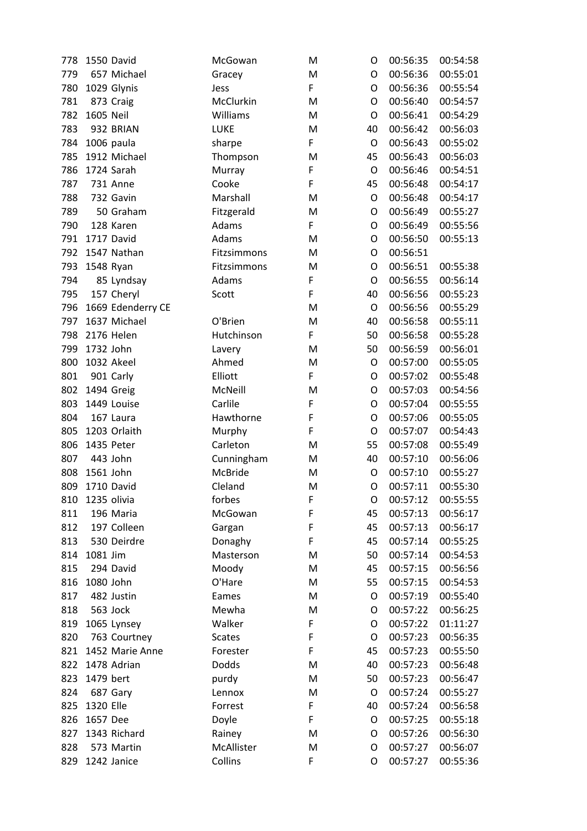| 778 |           | 1550 David        | McGowan        | M | O           | 00:56:35 | 00:54:58 |
|-----|-----------|-------------------|----------------|---|-------------|----------|----------|
| 779 |           | 657 Michael       | Gracey         | M | O           | 00:56:36 | 00:55:01 |
| 780 |           | 1029 Glynis       | Jess           | F | O           | 00:56:36 | 00:55:54 |
| 781 |           | 873 Craig         | McClurkin      | M | O           | 00:56:40 | 00:54:57 |
| 782 | 1605 Neil |                   | Williams       | M | O           | 00:56:41 | 00:54:29 |
| 783 |           | 932 BRIAN         | <b>LUKE</b>    | M | 40          | 00:56:42 | 00:56:03 |
| 784 |           | 1006 paula        | sharpe         | F | $\circ$     | 00:56:43 | 00:55:02 |
| 785 |           | 1912 Michael      | Thompson       | M | 45          | 00:56:43 | 00:56:03 |
| 786 |           | 1724 Sarah        | Murray         | F | $\circ$     | 00:56:46 | 00:54:51 |
| 787 |           | <b>731 Anne</b>   | Cooke          | F | 45          | 00:56:48 | 00:54:17 |
| 788 |           | 732 Gavin         | Marshall       | M | O           | 00:56:48 | 00:54:17 |
| 789 |           | 50 Graham         | Fitzgerald     | M | $\mathsf O$ | 00:56:49 | 00:55:27 |
| 790 |           | 128 Karen         | Adams          | F | $\mathsf O$ | 00:56:49 | 00:55:56 |
| 791 |           | 1717 David        | Adams          | M | O           | 00:56:50 | 00:55:13 |
| 792 |           | 1547 Nathan       | Fitzsimmons    | M | O           | 00:56:51 |          |
| 793 |           | 1548 Ryan         | Fitzsimmons    | M | $\mathsf O$ | 00:56:51 | 00:55:38 |
| 794 |           | 85 Lyndsay        | Adams          | F | O           | 00:56:55 | 00:56:14 |
| 795 |           | 157 Cheryl        | Scott          | F | 40          | 00:56:56 | 00:55:23 |
| 796 |           | 1669 Edenderry CE |                | M | $\circ$     | 00:56:56 | 00:55:29 |
| 797 |           | 1637 Michael      | O'Brien        | M | 40          | 00:56:58 | 00:55:11 |
| 798 |           | 2176 Helen        | Hutchinson     | F | 50          | 00:56:58 | 00:55:28 |
| 799 | 1732 John |                   | Lavery         | M | 50          | 00:56:59 | 00:56:01 |
| 800 |           | 1032 Akeel        | Ahmed          | M | O           | 00:57:00 | 00:55:05 |
| 801 |           | 901 Carly         | Elliott        | F | O           | 00:57:02 | 00:55:48 |
| 802 |           | 1494 Greig        | McNeill        | M | O           | 00:57:03 | 00:54:56 |
| 803 |           | 1449 Louise       | Carlile        | F | O           | 00:57:04 | 00:55:55 |
| 804 |           | 167 Laura         | Hawthorne      | F | O           | 00:57:06 | 00:55:05 |
| 805 |           | 1203 Orlaith      | Murphy         | F | $\circ$     | 00:57:07 | 00:54:43 |
| 806 |           | 1435 Peter        | Carleton       | M | 55          | 00:57:08 | 00:55:49 |
| 807 |           | 443 John          | Cunningham     | M | 40          | 00:57:10 | 00:56:06 |
| 808 | 1561 John |                   | <b>McBride</b> | M | O           | 00:57:10 | 00:55:27 |
| 809 |           | 1710 David        | Cleland        | M | O           | 00:57:11 | 00:55:30 |
| 810 |           | 1235 olivia       | forbes         | F | O           | 00:57:12 | 00:55:55 |
| 811 |           | 196 Maria         | McGowan        | F | 45          | 00:57:13 | 00:56:17 |
| 812 |           | 197 Colleen       | Gargan         | F | 45          | 00:57:13 | 00:56:17 |
| 813 |           | 530 Deirdre       | Donaghy        | F | 45          | 00:57:14 | 00:55:25 |
| 814 | 1081 Jim  |                   | Masterson      | M | 50          | 00:57:14 | 00:54:53 |
| 815 |           | 294 David         | Moody          | M | 45          | 00:57:15 | 00:56:56 |
| 816 | 1080 John |                   | O'Hare         | M | 55          | 00:57:15 | 00:54:53 |
| 817 |           | 482 Justin        | Eames          | M | O           | 00:57:19 | 00:55:40 |
| 818 |           | 563 Jock          | Mewha          | M | $\circ$     | 00:57:22 | 00:56:25 |
| 819 |           | 1065 Lynsey       | Walker         | F | O           | 00:57:22 | 01:11:27 |
| 820 |           | 763 Courtney      | <b>Scates</b>  | F | O           | 00:57:23 | 00:56:35 |
| 821 |           | 1452 Marie Anne   | Forester       | F | 45          | 00:57:23 | 00:55:50 |
| 822 |           | 1478 Adrian       | Dodds          | M | 40          | 00:57:23 | 00:56:48 |
| 823 | 1479 bert |                   | purdy          | M | 50          | 00:57:23 | 00:56:47 |
| 824 |           | 687 Gary          | Lennox         | M | $\circ$     | 00:57:24 | 00:55:27 |
| 825 | 1320 Elle |                   | Forrest        | F | 40          | 00:57:24 | 00:56:58 |
| 826 | 1657 Dee  |                   | Doyle          | F | O           | 00:57:25 | 00:55:18 |
| 827 |           | 1343 Richard      | Rainey         | M | O           | 00:57:26 | 00:56:30 |
| 828 |           | 573 Martin        | McAllister     | M | O           | 00:57:27 | 00:56:07 |
| 829 |           | 1242 Janice       | Collins        | F | O           | 00:57:27 | 00:55:36 |
|     |           |                   |                |   |             |          |          |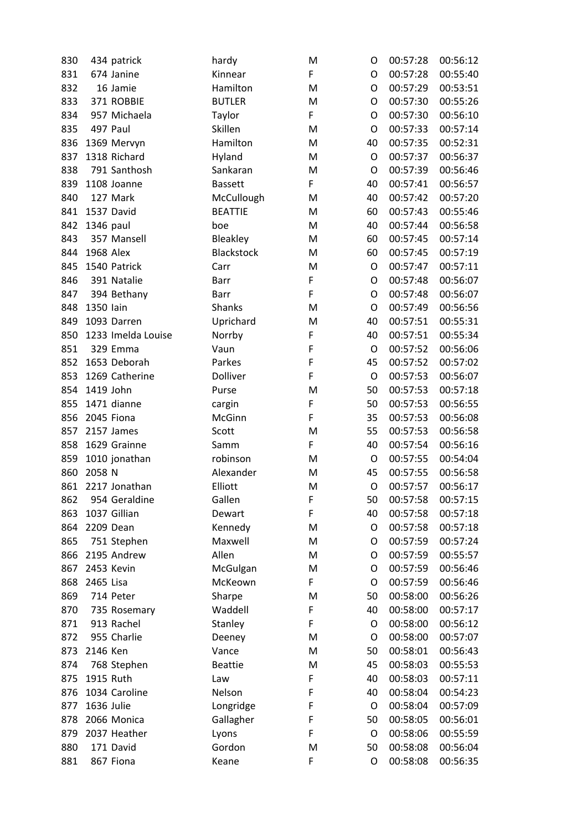| 830 |            | 434 patrick        | hardy             | M           | O  | 00:57:28 | 00:56:12 |
|-----|------------|--------------------|-------------------|-------------|----|----------|----------|
| 831 |            | 674 Janine         | Kinnear           | F           | O  | 00:57:28 | 00:55:40 |
| 832 |            | 16 Jamie           | Hamilton          | M           | O  | 00:57:29 | 00:53:51 |
| 833 |            | 371 ROBBIE         | <b>BUTLER</b>     | M           | O  | 00:57:30 | 00:55:26 |
| 834 |            | 957 Michaela       | Taylor            | F           | O  | 00:57:30 | 00:56:10 |
| 835 |            | 497 Paul           | Skillen           | M           | O  | 00:57:33 | 00:57:14 |
| 836 |            | 1369 Mervyn        | Hamilton          | M           | 40 | 00:57:35 | 00:52:31 |
| 837 |            | 1318 Richard       | Hyland            | M           | O  | 00:57:37 | 00:56:37 |
| 838 |            | 791 Santhosh       | Sankaran          | M           | O  | 00:57:39 | 00:56:46 |
| 839 |            | 1108 Joanne        | <b>Bassett</b>    | F           | 40 | 00:57:41 | 00:56:57 |
| 840 |            | 127 Mark           | McCullough        | M           | 40 | 00:57:42 | 00:57:20 |
| 841 |            | 1537 David         | <b>BEATTIE</b>    | M           | 60 | 00:57:43 | 00:55:46 |
| 842 | 1346 paul  |                    | boe               | M           | 40 | 00:57:44 | 00:56:58 |
| 843 |            | 357 Mansell        | Bleakley          | M           | 60 | 00:57:45 | 00:57:14 |
| 844 | 1968 Alex  |                    | <b>Blackstock</b> | M           | 60 | 00:57:45 | 00:57:19 |
| 845 |            | 1540 Patrick       | Carr              | M           | O  | 00:57:47 | 00:57:11 |
| 846 |            | 391 Natalie        | Barr              | F           | O  | 00:57:48 | 00:56:07 |
| 847 |            | 394 Bethany        | <b>Barr</b>       | F           | O  | 00:57:48 | 00:56:07 |
| 848 | 1350 lain  |                    | <b>Shanks</b>     | M           | O  | 00:57:49 | 00:56:56 |
| 849 |            | 1093 Darren        | Uprichard         | M           | 40 | 00:57:51 | 00:55:31 |
| 850 |            | 1233 Imelda Louise | Norrby            | F           | 40 | 00:57:51 | 00:55:34 |
| 851 |            | 329 Emma           | Vaun              | F           | O  | 00:57:52 | 00:56:06 |
| 852 |            | 1653 Deborah       | Parkes            | F           | 45 | 00:57:52 | 00:57:02 |
| 853 |            | 1269 Catherine     | Dolliver          | F           | O  | 00:57:53 | 00:56:07 |
| 854 | 1419 John  |                    | Purse             | M           | 50 | 00:57:53 | 00:57:18 |
| 855 |            | 1471 dianne        | cargin            | $\mathsf F$ | 50 | 00:57:53 | 00:56:55 |
| 856 |            | 2045 Fiona         | McGinn            | F           | 35 | 00:57:53 | 00:56:08 |
| 857 |            | 2157 James         | Scott             | M           | 55 | 00:57:53 | 00:56:58 |
| 858 |            | 1629 Grainne       | Samm              | F           | 40 | 00:57:54 | 00:56:16 |
| 859 |            | 1010 jonathan      | robinson          | M           | O  | 00:57:55 | 00:54:04 |
| 860 | 2058 N     |                    | Alexander         | M           | 45 | 00:57:55 | 00:56:58 |
| 861 |            | 2217 Jonathan      | Elliott           | M           | O  | 00:57:57 | 00:56:17 |
| 862 |            | 954 Geraldine      | Gallen            | F           | 50 | 00:57:58 | 00:57:15 |
| 863 |            | 1037 Gillian       | Dewart            | F           | 40 | 00:57:58 | 00:57:18 |
| 864 |            | 2209 Dean          | Kennedy           | M           | O  | 00:57:58 | 00:57:18 |
| 865 |            | 751 Stephen        | Maxwell           | M           | O  | 00:57:59 | 00:57:24 |
| 866 |            | 2195 Andrew        | Allen             | M           | O  | 00:57:59 | 00:55:57 |
| 867 |            | 2453 Kevin         | McGulgan          | M           | O  | 00:57:59 | 00:56:46 |
| 868 | 2465 Lisa  |                    | McKeown           | F           | O  | 00:57:59 | 00:56:46 |
| 869 |            | 714 Peter          | Sharpe            | M           | 50 | 00:58:00 | 00:56:26 |
| 870 |            | 735 Rosemary       | Waddell           | F           | 40 | 00:58:00 | 00:57:17 |
| 871 |            | 913 Rachel         | Stanley           | F           | O  | 00:58:00 | 00:56:12 |
| 872 |            | 955 Charlie        | Deeney            | M           | O  | 00:58:00 | 00:57:07 |
| 873 | 2146 Ken   |                    | Vance             | M           | 50 | 00:58:01 | 00:56:43 |
| 874 |            | 768 Stephen        | <b>Beattie</b>    | M           | 45 | 00:58:03 | 00:55:53 |
| 875 | 1915 Ruth  |                    | Law               | F           | 40 | 00:58:03 | 00:57:11 |
| 876 |            | 1034 Caroline      | Nelson            | F           | 40 | 00:58:04 | 00:54:23 |
| 877 | 1636 Julie |                    | Longridge         | F           | O  | 00:58:04 | 00:57:09 |
| 878 |            | 2066 Monica        | Gallagher         | F           | 50 | 00:58:05 | 00:56:01 |
| 879 |            | 2037 Heather       | Lyons             | F           | O  | 00:58:06 | 00:55:59 |
| 880 |            | 171 David          | Gordon            | M           | 50 | 00:58:08 | 00:56:04 |
| 881 |            | 867 Fiona          | Keane             | F           | O  | 00:58:08 | 00:56:35 |
|     |            |                    |                   |             |    |          |          |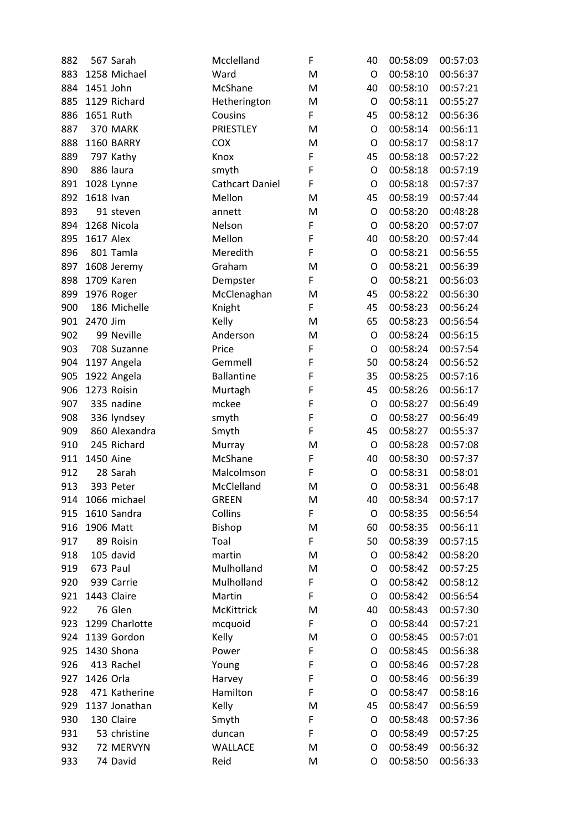| 882 |                  | 567 Sarah         | Mcclelland             | F | 40      | 00:58:09 | 00:57:03 |
|-----|------------------|-------------------|------------------------|---|---------|----------|----------|
| 883 |                  | 1258 Michael      | Ward                   | M | O       | 00:58:10 | 00:56:37 |
| 884 | 1451 John        |                   | McShane                | M | 40      | 00:58:10 | 00:57:21 |
| 885 |                  | 1129 Richard      | Hetherington           | M | O       | 00:58:11 | 00:55:27 |
| 886 | 1651 Ruth        |                   | Cousins                | F | 45      | 00:58:12 | 00:56:36 |
| 887 |                  | 370 MARK          | PRIESTLEY              | M | O       | 00:58:14 | 00:56:11 |
| 888 |                  | <b>1160 BARRY</b> | <b>COX</b>             | M | O       | 00:58:17 | 00:58:17 |
| 889 |                  | 797 Kathy         | Knox                   | F | 45      | 00:58:18 | 00:57:22 |
| 890 |                  | 886 laura         | smyth                  | F | O       | 00:58:18 | 00:57:19 |
| 891 |                  | 1028 Lynne        | <b>Cathcart Daniel</b> | F | O       | 00:58:18 | 00:57:37 |
| 892 | 1618 Ivan        |                   | Mellon                 | M | 45      | 00:58:19 | 00:57:44 |
| 893 |                  | 91 steven         | annett                 | M | O       | 00:58:20 | 00:48:28 |
| 894 |                  | 1268 Nicola       | Nelson                 | F | O       | 00:58:20 | 00:57:07 |
| 895 | <b>1617 Alex</b> |                   | Mellon                 | F | 40      | 00:58:20 | 00:57:44 |
| 896 |                  | 801 Tamla         | Meredith               | F | O       | 00:58:21 | 00:56:55 |
| 897 |                  | 1608 Jeremy       | Graham                 | M | O       | 00:58:21 | 00:56:39 |
| 898 |                  | 1709 Karen        | Dempster               | F | O       | 00:58:21 | 00:56:03 |
| 899 |                  | 1976 Roger        | McClenaghan            | M | 45      | 00:58:22 | 00:56:30 |
| 900 |                  | 186 Michelle      | Knight                 | F | 45      | 00:58:23 | 00:56:24 |
| 901 | 2470 Jim         |                   | Kelly                  | M | 65      | 00:58:23 | 00:56:54 |
| 902 |                  | 99 Neville        | Anderson               | M | O       | 00:58:24 | 00:56:15 |
| 903 |                  | 708 Suzanne       | Price                  | F | O       | 00:58:24 | 00:57:54 |
| 904 |                  | 1197 Angela       | Gemmell                | F | 50      | 00:58:24 | 00:56:52 |
| 905 |                  | 1922 Angela       | <b>Ballantine</b>      | F | 35      | 00:58:25 | 00:57:16 |
| 906 |                  | 1273 Roisin       | Murtagh                | F | 45      | 00:58:26 | 00:56:17 |
| 907 |                  | 335 nadine        | mckee                  | F | O       | 00:58:27 | 00:56:49 |
| 908 |                  | 336 lyndsey       | smyth                  | F | O       | 00:58:27 | 00:56:49 |
| 909 |                  | 860 Alexandra     | Smyth                  | F | 45      | 00:58:27 | 00:55:37 |
| 910 |                  | 245 Richard       | Murray                 | M | O       | 00:58:28 | 00:57:08 |
| 911 | 1450 Aine        |                   | McShane                | F | 40      | 00:58:30 | 00:57:37 |
| 912 |                  | 28 Sarah          | Malcolmson             | F | O       | 00:58:31 | 00:58:01 |
| 913 |                  | 393 Peter         | McClelland             | M | $\circ$ | 00:58:31 | 00:56:48 |
| 914 |                  | 1066 michael      | <b>GREEN</b>           | M | 40      | 00:58:34 | 00:57:17 |
| 915 |                  | 1610 Sandra       | Collins                | F | O       | 00:58:35 | 00:56:54 |
| 916 |                  | 1906 Matt         | Bishop                 | M | 60      | 00:58:35 | 00:56:11 |
| 917 |                  | 89 Roisin         | Toal                   | F | 50      | 00:58:39 | 00:57:15 |
| 918 |                  | 105 david         | martin                 | M | O       | 00:58:42 | 00:58:20 |
| 919 |                  | 673 Paul          | Mulholland             | M | O       | 00:58:42 | 00:57:25 |
| 920 |                  | 939 Carrie        | Mulholland             | F | O       | 00:58:42 | 00:58:12 |
| 921 |                  | 1443 Claire       | Martin                 | F | O       | 00:58:42 | 00:56:54 |
| 922 |                  | 76 Glen           | McKittrick             | M | 40      | 00:58:43 | 00:57:30 |
| 923 |                  | 1299 Charlotte    | mcquoid                | F | O       | 00:58:44 | 00:57:21 |
| 924 |                  | 1139 Gordon       | Kelly                  | M | O       | 00:58:45 | 00:57:01 |
| 925 |                  | 1430 Shona        | Power                  | F | O       | 00:58:45 | 00:56:38 |
| 926 |                  | 413 Rachel        | Young                  | F | O       | 00:58:46 | 00:57:28 |
| 927 | 1426 Orla        |                   | Harvey                 | F | O       | 00:58:46 | 00:56:39 |
| 928 |                  | 471 Katherine     | Hamilton               | F | O       | 00:58:47 | 00:58:16 |
| 929 |                  | 1137 Jonathan     | Kelly                  | M | 45      | 00:58:47 | 00:56:59 |
| 930 |                  | 130 Claire        | Smyth                  | F | O       | 00:58:48 | 00:57:36 |
| 931 |                  | 53 christine      | duncan                 | F | O       | 00:58:49 | 00:57:25 |
| 932 |                  | 72 MERVYN         | WALLACE                | M | O       | 00:58:49 | 00:56:32 |
| 933 |                  | 74 David          | Reid                   | M | O       | 00:58:50 | 00:56:33 |
|     |                  |                   |                        |   |         |          |          |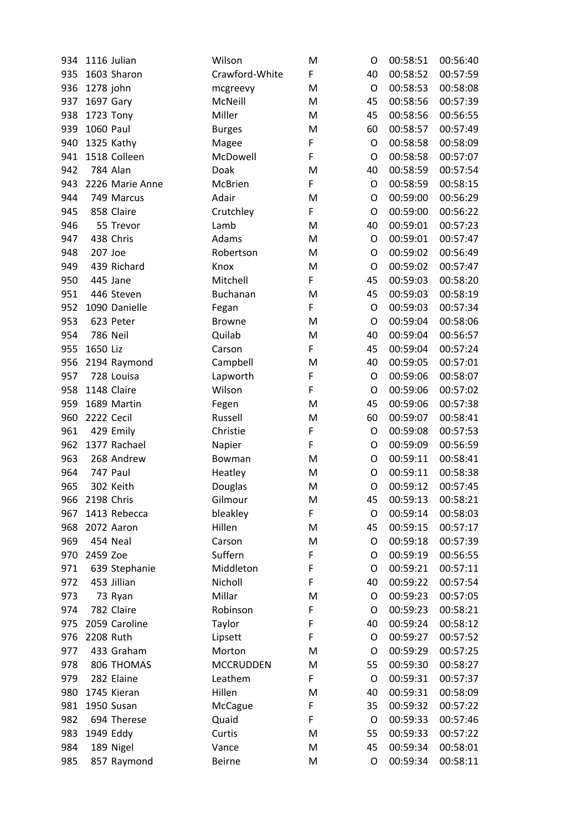| 934 |            | 1116 Julian     | Wilson           | M | O       | 00:58:51 | 00:56:40 |
|-----|------------|-----------------|------------------|---|---------|----------|----------|
| 935 |            | 1603 Sharon     | Crawford-White   | F | 40      | 00:58:52 | 00:57:59 |
| 936 | 1278 john  |                 | mcgreevy         | M | $\circ$ | 00:58:53 | 00:58:08 |
| 937 | 1697 Gary  |                 | McNeill          | M | 45      | 00:58:56 | 00:57:39 |
| 938 |            | 1723 Tony       | Miller           | M | 45      | 00:58:56 | 00:56:55 |
| 939 | 1060 Paul  |                 | <b>Burges</b>    | M | 60      | 00:58:57 | 00:57:49 |
| 940 |            | 1325 Kathy      | Magee            | F | O       | 00:58:58 | 00:58:09 |
| 941 |            | 1518 Colleen    | McDowell         | F | O       | 00:58:58 | 00:57:07 |
| 942 |            | 784 Alan        | Doak             | M | 40      | 00:58:59 | 00:57:54 |
| 943 |            | 2226 Marie Anne | <b>McBrien</b>   | F | O       | 00:58:59 | 00:58:15 |
| 944 |            | 749 Marcus      | Adair            | M | O       | 00:59:00 | 00:56:29 |
| 945 |            | 858 Claire      | Crutchley        | F | O       | 00:59:00 | 00:56:22 |
| 946 |            | 55 Trevor       | Lamb             | M | 40      | 00:59:01 | 00:57:23 |
| 947 |            | 438 Chris       | Adams            | M | O       | 00:59:01 | 00:57:47 |
| 948 | 207 Joe    |                 | Robertson        | M | O       | 00:59:02 | 00:56:49 |
| 949 |            | 439 Richard     | Knox             | M | O       | 00:59:02 | 00:57:47 |
| 950 |            | 445 Jane        | Mitchell         | F | 45      | 00:59:03 | 00:58:20 |
| 951 |            | 446 Steven      | Buchanan         | M | 45      | 00:59:03 | 00:58:19 |
| 952 |            | 1090 Danielle   | Fegan            | F | O       | 00:59:03 | 00:57:34 |
| 953 |            | 623 Peter       | <b>Browne</b>    | M | O       | 00:59:04 | 00:58:06 |
| 954 |            | <b>786 Neil</b> | Quilab           | M | 40      | 00:59:04 | 00:56:57 |
| 955 | 1650 Liz   |                 | Carson           | F | 45      | 00:59:04 | 00:57:24 |
| 956 |            | 2194 Raymond    | Campbell         | M | 40      | 00:59:05 | 00:57:01 |
| 957 |            | 728 Louisa      | Lapworth         | F | O       | 00:59:06 | 00:58:07 |
| 958 |            | 1148 Claire     | Wilson           | F | O       | 00:59:06 | 00:57:02 |
| 959 |            | 1689 Martin     | Fegen            | M | 45      | 00:59:06 | 00:57:38 |
| 960 | 2222 Cecil |                 | Russell          | M | 60      | 00:59:07 | 00:58:41 |
| 961 |            | 429 Emily       | Christie         | F | O       | 00:59:08 | 00:57:53 |
| 962 |            | 1377 Rachael    | Napier           | F | O       | 00:59:09 | 00:56:59 |
| 963 |            | 268 Andrew      | Bowman           | M | O       | 00:59:11 | 00:58:41 |
| 964 |            | 747 Paul        | Heatley          | M | O       | 00:59:11 | 00:58:38 |
| 965 |            | 302 Keith       | Douglas          | M | O       | 00:59:12 | 00:57:45 |
| 966 | 2198 Chris |                 | Gilmour          | M | 45      | 00:59:13 | 00:58:21 |
| 967 |            | 1413 Rebecca    | bleakley         | F | O       | 00:59:14 | 00:58:03 |
| 968 |            | 2072 Aaron      | Hillen           | M | 45      | 00:59:15 | 00:57:17 |
| 969 |            | 454 Neal        | Carson           | M | O       | 00:59:18 | 00:57:39 |
| 970 | 2459 Zoe   |                 | Suffern          | F | O       | 00:59:19 | 00:56:55 |
| 971 |            | 639 Stephanie   | Middleton        | F | O       | 00:59:21 | 00:57:11 |
| 972 |            | 453 Jillian     | Nicholl          | F | 40      | 00:59:22 | 00:57:54 |
| 973 |            | 73 Ryan         | Millar           | M | O       | 00:59:23 | 00:57:05 |
| 974 |            | 782 Claire      | Robinson         | F | O       | 00:59:23 | 00:58:21 |
| 975 |            | 2059 Caroline   | Taylor           | F | 40      | 00:59:24 | 00:58:12 |
| 976 | 2208 Ruth  |                 | Lipsett          | F | O       | 00:59:27 | 00:57:52 |
| 977 |            | 433 Graham      | Morton           | M | O       | 00:59:29 | 00:57:25 |
| 978 |            | 806 THOMAS      | <b>MCCRUDDEN</b> | M | 55      | 00:59:30 | 00:58:27 |
| 979 |            | 282 Elaine      | Leathem          | F | O       | 00:59:31 | 00:57:37 |
| 980 |            | 1745 Kieran     | Hillen           | M | 40      | 00:59:31 | 00:58:09 |
| 981 |            | 1950 Susan      | McCague          | F | 35      | 00:59:32 | 00:57:22 |
| 982 |            | 694 Therese     | Quaid            | F | O       | 00:59:33 | 00:57:46 |
| 983 |            | 1949 Eddy       | Curtis           | M | 55      | 00:59:33 | 00:57:22 |
| 984 |            | 189 Nigel       | Vance            | M | 45      | 00:59:34 | 00:58:01 |
| 985 |            | 857 Raymond     | <b>Beirne</b>    | M | O       | 00:59:34 | 00:58:11 |
|     |            |                 |                  |   |         |          |          |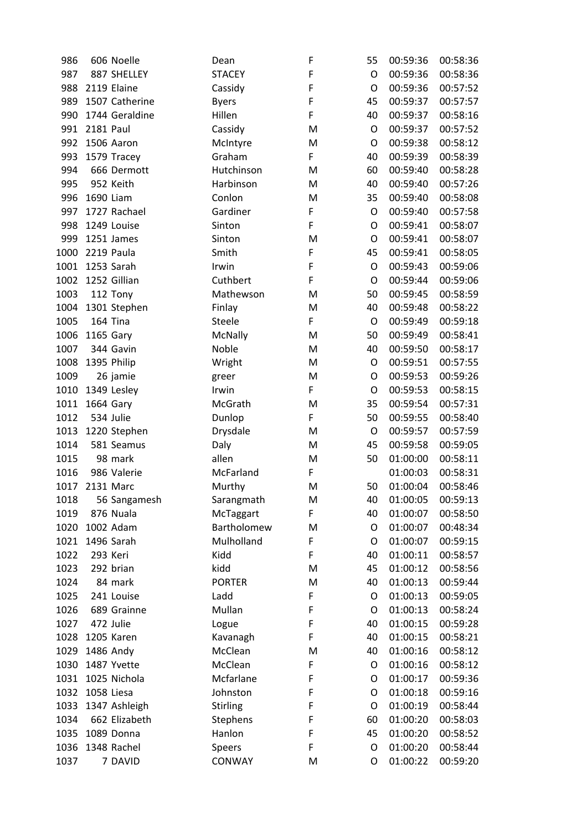| 986  |                | 606 Noelle     | Dean            | F                                                                                                          | 55      | 00:59:36 | 00:58:36 |
|------|----------------|----------------|-----------------|------------------------------------------------------------------------------------------------------------|---------|----------|----------|
| 987  |                | 887 SHELLEY    | <b>STACEY</b>   | $\mathsf F$                                                                                                | O       | 00:59:36 | 00:58:36 |
| 988  |                | 2119 Elaine    | Cassidy         | $\mathsf F$                                                                                                | O       | 00:59:36 | 00:57:52 |
| 989  |                | 1507 Catherine | <b>Byers</b>    | $\mathsf F$                                                                                                | 45      | 00:59:37 | 00:57:57 |
| 990  |                | 1744 Geraldine | Hillen          | $\mathsf F$                                                                                                | 40      | 00:59:37 | 00:58:16 |
| 991  | 2181 Paul      |                | Cassidy         | M                                                                                                          | O       | 00:59:37 | 00:57:52 |
| 992  |                | 1506 Aaron     | McIntyre        | M                                                                                                          | O       | 00:59:38 | 00:58:12 |
| 993  |                | 1579 Tracey    | Graham          | F                                                                                                          | 40      | 00:59:39 | 00:58:39 |
| 994  |                | 666 Dermott    | Hutchinson      | M                                                                                                          | 60      | 00:59:40 | 00:58:28 |
| 995  |                | 952 Keith      | Harbinson       | M                                                                                                          | 40      | 00:59:40 | 00:57:26 |
| 996  | 1690 Liam      |                | Conlon          | M                                                                                                          | 35      | 00:59:40 | 00:58:08 |
| 997  |                | 1727 Rachael   | Gardiner        | F                                                                                                          | O       | 00:59:40 | 00:57:58 |
| 998  |                | 1249 Louise    | Sinton          | F                                                                                                          | O       | 00:59:41 | 00:58:07 |
| 999  |                | 1251 James     | Sinton          | M                                                                                                          | O       | 00:59:41 | 00:58:07 |
| 1000 |                | 2219 Paula     | Smith           | F                                                                                                          | 45      | 00:59:41 | 00:58:05 |
| 1001 |                | 1253 Sarah     | Irwin           | $\mathsf F$                                                                                                | O       | 00:59:43 | 00:59:06 |
| 1002 |                | 1252 Gillian   | Cuthbert        | $\mathsf F$                                                                                                | O       | 00:59:44 | 00:59:06 |
| 1003 |                | 112 Tony       | Mathewson       | M                                                                                                          | 50      | 00:59:45 | 00:58:59 |
| 1004 |                | 1301 Stephen   | Finlay          | M                                                                                                          | 40      | 00:59:48 | 00:58:22 |
| 1005 |                | 164 Tina       | Steele          | F                                                                                                          | $\circ$ | 00:59:49 | 00:59:18 |
| 1006 | 1165 Gary      |                | McNally         | M                                                                                                          | 50      | 00:59:49 | 00:58:41 |
| 1007 |                | 344 Gavin      | Noble           | M                                                                                                          | 40      | 00:59:50 | 00:58:17 |
| 1008 |                | 1395 Philip    | Wright          | M                                                                                                          | O       | 00:59:51 | 00:57:55 |
| 1009 |                | 26 jamie       | greer           | M                                                                                                          | O       | 00:59:53 | 00:59:26 |
| 1010 |                | 1349 Lesley    | Irwin           | F                                                                                                          | O       | 00:59:53 | 00:58:15 |
| 1011 | 1664 Gary      |                | McGrath         | M                                                                                                          | 35      | 00:59:54 | 00:57:31 |
| 1012 |                | 534 Julie      | Dunlop          | F                                                                                                          | 50      | 00:59:55 | 00:58:40 |
| 1013 |                | 1220 Stephen   | Drysdale        | M                                                                                                          | O       | 00:59:57 | 00:57:59 |
| 1014 |                | 581 Seamus     | Daly            | M                                                                                                          | 45      | 00:59:58 | 00:59:05 |
| 1015 |                | 98 mark        | allen           | M                                                                                                          | 50      | 01:00:00 | 00:58:11 |
| 1016 |                | 986 Valerie    | McFarland       | F                                                                                                          |         | 01:00:03 | 00:58:31 |
|      | 1017 2131 Marc |                | Murthy          | M                                                                                                          | 50      | 01:00:04 | 00:58:46 |
| 1018 |                | 56 Sangamesh   | Sarangmath      | $\mathsf{M}% _{T}=\mathsf{M}_{T}\!\left( a,b\right) ,\ \mathsf{M}_{T}=\mathsf{M}_{T}\!\left( a,b\right) ,$ | 40      | 01:00:05 | 00:59:13 |
| 1019 |                | 876 Nuala      | McTaggart       | F                                                                                                          | 40      | 01:00:07 | 00:58:50 |
| 1020 |                | 1002 Adam      | Bartholomew     | M                                                                                                          | O       | 01:00:07 | 00:48:34 |
| 1021 |                | 1496 Sarah     | Mulholland      | F                                                                                                          | O       | 01:00:07 | 00:59:15 |
| 1022 |                | 293 Keri       | Kidd            | F                                                                                                          | 40      | 01:00:11 | 00:58:57 |
| 1023 |                | 292 brian      | kidd            | M                                                                                                          | 45      | 01:00:12 | 00:58:56 |
| 1024 |                | 84 mark        | <b>PORTER</b>   | M                                                                                                          | 40      | 01:00:13 | 00:59:44 |
| 1025 |                | 241 Louise     | Ladd            | F                                                                                                          | O       | 01:00:13 | 00:59:05 |
| 1026 |                | 689 Grainne    | Mullan          | F                                                                                                          | O       | 01:00:13 | 00:58:24 |
| 1027 |                | 472 Julie      | Logue           | F                                                                                                          | 40      | 01:00:15 | 00:59:28 |
| 1028 |                | 1205 Karen     | Kavanagh        | F                                                                                                          | 40      | 01:00:15 | 00:58:21 |
| 1029 |                | 1486 Andy      | McClean         | M                                                                                                          | 40      | 01:00:16 | 00:58:12 |
| 1030 |                | 1487 Yvette    | McClean         | F                                                                                                          | O       | 01:00:16 | 00:58:12 |
| 1031 |                | 1025 Nichola   | Mcfarlane       | F                                                                                                          | O       | 01:00:17 | 00:59:36 |
| 1032 | 1058 Liesa     |                | Johnston        | F                                                                                                          | O       | 01:00:18 | 00:59:16 |
| 1033 |                | 1347 Ashleigh  | <b>Stirling</b> | F                                                                                                          | O       | 01:00:19 | 00:58:44 |
| 1034 |                | 662 Elizabeth  | <b>Stephens</b> | F                                                                                                          | 60      | 01:00:20 | 00:58:03 |
| 1035 |                | 1089 Donna     | Hanlon          | F                                                                                                          | 45      | 01:00:20 | 00:58:52 |
| 1036 |                | 1348 Rachel    | Speers          | F                                                                                                          | O       | 01:00:20 | 00:58:44 |
| 1037 |                | 7 DAVID        | CONWAY          | M                                                                                                          | O       | 01:00:22 | 00:59:20 |
|      |                |                |                 |                                                                                                            |         |          |          |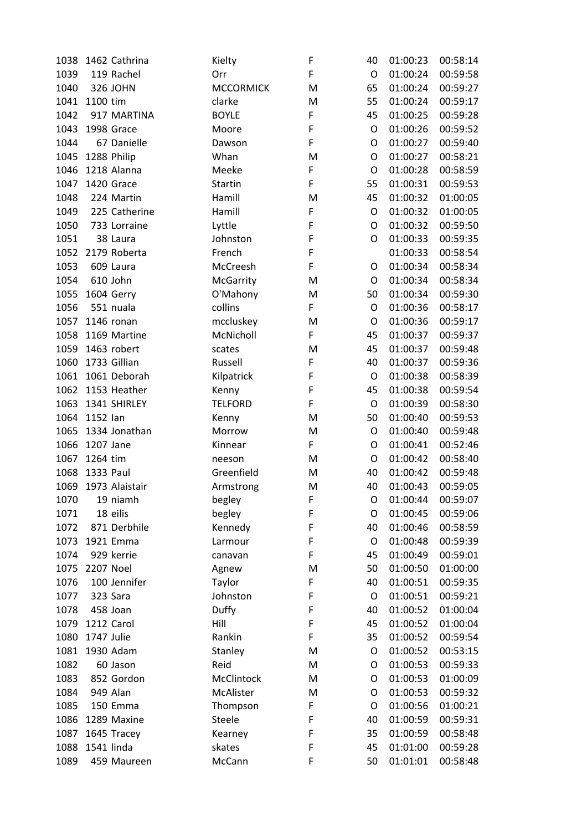| 1038 | 1462 Cathrina  | Kielty           | F      | 40      | 01:00:23 | 00:58:14 |
|------|----------------|------------------|--------|---------|----------|----------|
| 1039 | 119 Rachel     | Orr              | F      | O       | 01:00:24 | 00:59:58 |
| 1040 | 326 JOHN       | <b>MCCORMICK</b> | M      | 65      | 01:00:24 | 00:59:27 |
|      | 1041 1100 tim  | clarke           | M      | 55      | 01:00:24 | 00:59:17 |
| 1042 | 917 MARTINA    | <b>BOYLE</b>     | F      | 45      | 01:00:25 | 00:59:28 |
| 1043 | 1998 Grace     | Moore            | F      | O       | 01:00:26 | 00:59:52 |
| 1044 | 67 Danielle    | Dawson           | F      | O       | 01:00:27 | 00:59:40 |
| 1045 | 1288 Philip    | Whan             | M      | O       | 01:00:27 | 00:58:21 |
| 1046 | 1218 Alanna    | Meeke            | F      | O       | 01:00:28 | 00:58:59 |
| 1047 | 1420 Grace     | <b>Startin</b>   | F      | 55      | 01:00:31 | 00:59:53 |
| 1048 | 224 Martin     | Hamill           | M      | 45      | 01:00:32 | 01:00:05 |
| 1049 | 225 Catherine  | Hamill           | F      | $\circ$ | 01:00:32 | 01:00:05 |
| 1050 | 733 Lorraine   | Lyttle           | F      | O       | 01:00:32 | 00:59:50 |
| 1051 | 38 Laura       | Johnston         | F      | O       | 01:00:33 | 00:59:35 |
| 1052 | 2179 Roberta   | French           | F      |         | 01:00:33 | 00:58:54 |
| 1053 | 609 Laura      | McCreesh         | F      | O       | 01:00:34 | 00:58:34 |
| 1054 | 610 John       | <b>McGarrity</b> | M      | O       | 01:00:34 | 00:58:34 |
| 1055 | 1604 Gerry     | O'Mahony         | M      | 50      | 01:00:34 | 00:59:30 |
| 1056 | 551 nuala      | collins          | F      | O       | 01:00:36 | 00:58:17 |
| 1057 | 1146 ronan     | mccluskey        | M      | O       | 01:00:36 | 00:59:17 |
| 1058 | 1169 Martine   | McNicholl        | F.     | 45      | 01:00:37 | 00:59:37 |
| 1059 | 1463 robert    |                  |        | 45      | 01:00:37 | 00:59:48 |
|      |                | scates           | M<br>F |         |          |          |
| 1060 | 1733 Gillian   | Russell          |        | 40      | 01:00:37 | 00:59:36 |
| 1061 | 1061 Deborah   | Kilpatrick       | F      | O       | 01:00:38 | 00:58:39 |
| 1062 | 1153 Heather   | Kenny            | F      | 45      | 01:00:38 | 00:59:54 |
| 1063 | 1341 SHIRLEY   | <b>TELFORD</b>   | F      | O       | 01:00:39 | 00:58:30 |
| 1064 | 1152 lan       | Kenny            | M      | 50      | 01:00:40 | 00:59:53 |
| 1065 | 1334 Jonathan  | Morrow           | M      | O       | 01:00:40 | 00:59:48 |
| 1066 | 1207 Jane      | Kinnear          | F      | O       | 01:00:41 | 00:52:46 |
| 1067 | 1264 tim       | neeson           | M      | O       | 01:00:42 | 00:58:40 |
| 1068 | 1333 Paul      | Greenfield       | M      | 40      | 01:00:42 | 00:59:48 |
| 1069 | 1973 Alaistair | Armstrong        | M      | 40      | 01:00:43 | 00:59:05 |
| 1070 | 19 niamh       | begley           | F      | O       | 01:00:44 | 00:59:07 |
| 1071 | 18 eilis       | begley           | F      | O       | 01:00:45 | 00:59:06 |
| 1072 | 871 Derbhile   | Kennedy          | F      | 40      | 01:00:46 | 00:58:59 |
| 1073 | 1921 Emma      | Larmour          | F      | O       | 01:00:48 | 00:59:39 |
| 1074 | 929 kerrie     | canavan          | F      | 45      | 01:00:49 | 00:59:01 |
| 1075 | 2207 Noel      | Agnew            | M      | 50      | 01:00:50 | 01:00:00 |
| 1076 | 100 Jennifer   | Taylor           | F      | 40      | 01:00:51 | 00:59:35 |
| 1077 | 323 Sara       | Johnston         | F      | O       | 01:00:51 | 00:59:21 |
| 1078 | 458 Joan       | Duffy            | F      | 40      | 01:00:52 | 01:00:04 |
| 1079 | 1212 Carol     | Hill             | F      | 45      | 01:00:52 | 01:00:04 |
| 1080 | 1747 Julie     | Rankin           | F      | 35      | 01:00:52 | 00:59:54 |
| 1081 | 1930 Adam      | Stanley          | M      | O       | 01:00:52 | 00:53:15 |
| 1082 | 60 Jason       | Reid             | M      | O       | 01:00:53 | 00:59:33 |
| 1083 | 852 Gordon     | McClintock       | M      | O       | 01:00:53 | 01:00:09 |
| 1084 | 949 Alan       | McAlister        | M      | $\circ$ | 01:00:53 | 00:59:32 |
| 1085 | 150 Emma       | Thompson         | F      | O       | 01:00:56 | 01:00:21 |
| 1086 | 1289 Maxine    | Steele           | F      | 40      | 01:00:59 | 00:59:31 |
| 1087 | 1645 Tracey    | Kearney          | F      | 35      | 01:00:59 | 00:58:48 |
| 1088 | 1541 linda     | skates           | F      | 45      | 01:01:00 | 00:59:28 |
| 1089 | 459 Maureen    | McCann           | F      | 50      | 01:01:01 | 00:58:48 |
|      |                |                  |        |         |          |          |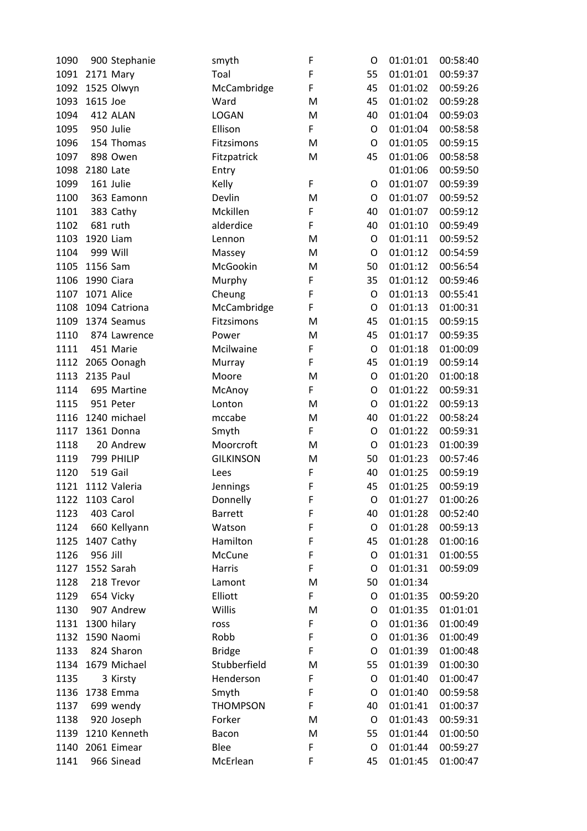| 1090 | 900 Stephanie     | smyth            | F | O       | 01:01:01 | 00:58:40 |
|------|-------------------|------------------|---|---------|----------|----------|
|      | 1091 2171 Mary    | Toal             | F | 55      | 01:01:01 | 00:59:37 |
| 1092 | 1525 Olwyn        | McCambridge      | F | 45      | 01:01:02 | 00:59:26 |
| 1093 | 1615 Joe          | Ward             | M | 45      | 01:01:02 | 00:59:28 |
| 1094 | 412 ALAN          | <b>LOGAN</b>     | M | 40      | 01:01:04 | 00:59:03 |
| 1095 | 950 Julie         | Ellison          | F | O       | 01:01:04 | 00:58:58 |
| 1096 | 154 Thomas        | Fitzsimons       | M | O       | 01:01:05 | 00:59:15 |
| 1097 | 898 Owen          | Fitzpatrick      | M | 45      | 01:01:06 | 00:58:58 |
| 1098 | 2180 Late         | Entry            |   |         | 01:01:06 | 00:59:50 |
| 1099 | 161 Julie         | Kelly            | F | O       | 01:01:07 | 00:59:39 |
| 1100 | 363 Eamonn        | Devlin           | M | O       | 01:01:07 | 00:59:52 |
| 1101 | 383 Cathy         | Mckillen         | F | 40      | 01:01:07 | 00:59:12 |
| 1102 | 681 ruth          | alderdice        | F | 40      | 01:01:10 | 00:59:49 |
| 1103 | 1920 Liam         | Lennon           | M | O       | 01:01:11 | 00:59:52 |
| 1104 | 999 Will          | Massey           | M | O       | 01:01:12 | 00:54:59 |
|      | 1105 1156 Sam     | McGookin         | M | 50      | 01:01:12 | 00:56:54 |
| 1106 | 1990 Ciara        | Murphy           | F | 35      | 01:01:12 | 00:59:46 |
| 1107 | 1071 Alice        | Cheung           | F | $\circ$ | 01:01:13 | 00:55:41 |
| 1108 | 1094 Catriona     | McCambridge      | F | O       | 01:01:13 | 01:00:31 |
| 1109 | 1374 Seamus       | Fitzsimons       | M | 45      | 01:01:15 | 00:59:15 |
| 1110 | 874 Lawrence      | Power            | M | 45      | 01:01:17 | 00:59:35 |
| 1111 | 451 Marie         | Mcilwaine        | F | O       | 01:01:18 | 01:00:09 |
|      | 1112 2065 Oonagh  | Murray           | F | 45      | 01:01:19 | 00:59:14 |
| 1113 | 2135 Paul         | Moore            | M | $\circ$ | 01:01:20 | 01:00:18 |
| 1114 | 695 Martine       | McAnoy           | F | O       | 01:01:22 | 00:59:31 |
| 1115 | 951 Peter         | Lonton           | M | O       | 01:01:22 | 00:59:13 |
| 1116 | 1240 michael      | mccabe           | M | 40      | 01:01:22 | 00:58:24 |
| 1117 | 1361 Donna        | Smyth            | F | O       | 01:01:22 | 00:59:31 |
| 1118 | 20 Andrew         | Moorcroft        | M | O       | 01:01:23 | 01:00:39 |
| 1119 | 799 PHILIP        | <b>GILKINSON</b> | M | 50      | 01:01:23 | 00:57:46 |
| 1120 | 519 Gail          | Lees             | F | 40      | 01:01:25 | 00:59:19 |
|      | 1121 1112 Valeria | Jennings         | F | 45      | 01:01:25 | 00:59:19 |
|      | 1122 1103 Carol   | Donnelly         | F | O       | 01:01:27 | 01:00:26 |
| 1123 | 403 Carol         | <b>Barrett</b>   | F | 40      | 01:01:28 | 00:52:40 |
| 1124 | 660 Kellyann      | Watson           | F | O       | 01:01:28 | 00:59:13 |
| 1125 | 1407 Cathy        | Hamilton         | F | 45      | 01:01:28 | 01:00:16 |
| 1126 | 956 Jill          | McCune           | F | O       | 01:01:31 | 01:00:55 |
| 1127 | 1552 Sarah        | Harris           | F | O       | 01:01:31 | 00:59:09 |
| 1128 | 218 Trevor        | Lamont           | M | 50      | 01:01:34 |          |
| 1129 | 654 Vicky         | Elliott          | F | O       | 01:01:35 | 00:59:20 |
| 1130 | 907 Andrew        | Willis           | M | O       | 01:01:35 | 01:01:01 |
| 1131 | 1300 hilary       | ross             | F | O       | 01:01:36 | 01:00:49 |
| 1132 | 1590 Naomi        | Robb             | F | O       | 01:01:36 | 01:00:49 |
| 1133 | 824 Sharon        | <b>Bridge</b>    | F | O       | 01:01:39 | 01:00:48 |
| 1134 | 1679 Michael      | Stubberfield     | M | 55      | 01:01:39 | 01:00:30 |
| 1135 | 3 Kirsty          | Henderson        | F | O       | 01:01:40 | 01:00:47 |
| 1136 | 1738 Emma         | Smyth            | F | O       | 01:01:40 | 00:59:58 |
| 1137 | 699 wendy         | <b>THOMPSON</b>  | F | 40      | 01:01:41 | 01:00:37 |
| 1138 | 920 Joseph        | Forker           | M | O       | 01:01:43 | 00:59:31 |
| 1139 | 1210 Kenneth      | Bacon            | M | 55      | 01:01:44 | 01:00:50 |
| 1140 | 2061 Eimear       | Blee             | F | O       | 01:01:44 | 00:59:27 |
| 1141 | 966 Sinead        | McErlean         | F | 45      | 01:01:45 | 01:00:47 |
|      |                   |                  |   |         |          |          |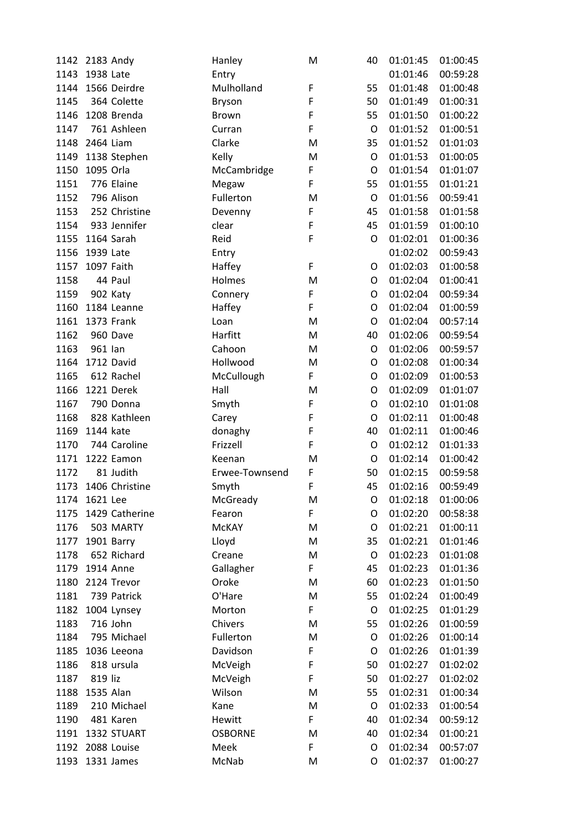| 1142 | 2183 Andy         | Hanley         | M | 40          | 01:01:45 | 01:00:45 |
|------|-------------------|----------------|---|-------------|----------|----------|
| 1143 | 1938 Late         | Entry          |   |             | 01:01:46 | 00:59:28 |
|      | 1144 1566 Deirdre | Mulholland     | F | 55          | 01:01:48 | 01:00:48 |
| 1145 | 364 Colette       | <b>Bryson</b>  | F | 50          | 01:01:49 | 01:00:31 |
| 1146 | 1208 Brenda       | <b>Brown</b>   | F | 55          | 01:01:50 | 01:00:22 |
| 1147 | 761 Ashleen       | Curran         | F | $\circ$     | 01:01:52 | 01:00:51 |
|      | 1148 2464 Liam    | Clarke         | M | 35          | 01:01:52 | 01:01:03 |
| 1149 | 1138 Stephen      | Kelly          | M | $\circ$     | 01:01:53 | 01:00:05 |
| 1150 | 1095 Orla         | McCambridge    | F | O           | 01:01:54 | 01:01:07 |
| 1151 | 776 Elaine        | Megaw          | F | 55          | 01:01:55 | 01:01:21 |
| 1152 | 796 Alison        | Fullerton      | M | O           | 01:01:56 | 00:59:41 |
| 1153 | 252 Christine     | Devenny        | F | 45          | 01:01:58 | 01:01:58 |
| 1154 | 933 Jennifer      | clear          | F | 45          | 01:01:59 | 01:00:10 |
| 1155 | 1164 Sarah        | Reid           | F | O           | 01:02:01 | 01:00:36 |
| 1156 | 1939 Late         | Entry          |   |             | 01:02:02 | 00:59:43 |
| 1157 | 1097 Faith        | Haffey         | F | O           | 01:02:03 | 01:00:58 |
| 1158 | 44 Paul           | Holmes         | M | O           | 01:02:04 | 01:00:41 |
| 1159 | 902 Katy          | Connery        | F | O           | 01:02:04 | 00:59:34 |
| 1160 | 1184 Leanne       | Haffey         | F | O           | 01:02:04 | 01:00:59 |
| 1161 | 1373 Frank        | Loan           | M | O           | 01:02:04 | 00:57:14 |
| 1162 | 960 Dave          | Harfitt        | M | 40          | 01:02:06 | 00:59:54 |
| 1163 | 961 lan           | Cahoon         | M | O           | 01:02:06 | 00:59:57 |
| 1164 | 1712 David        | Hollwood       | M | O           | 01:02:08 | 01:00:34 |
| 1165 | 612 Rachel        | McCullough     | F | O           | 01:02:09 | 01:00:53 |
| 1166 | 1221 Derek        | Hall           | M | $\circ$     | 01:02:09 | 01:01:07 |
|      | 790 Donna         |                | F |             | 01:02:10 | 01:01:08 |
| 1167 |                   | Smyth          | F | O           |          |          |
| 1168 | 828 Kathleen      | Carey          |   | O           | 01:02:11 | 01:00:48 |
| 1169 | 1144 kate         | donaghy        | F | 40          | 01:02:11 | 01:00:46 |
| 1170 | 744 Caroline      | Frizzell       | F | O           | 01:02:12 | 01:01:33 |
| 1171 | 1222 Eamon        | Keenan         | M | O           | 01:02:14 | 01:00:42 |
| 1172 | 81 Judith         | Erwee-Townsend | F | 50          | 01:02:15 | 00:59:58 |
| 1173 | 1406 Christine    | Smyth          | F | 45          | 01:02:16 | 00:59:49 |
| 1174 | 1621 Lee          | McGready       | M | O           | 01:02:18 | 01:00:06 |
| 1175 | 1429 Catherine    | Fearon         | F | O           | 01:02:20 | 00:58:38 |
| 1176 | 503 MARTY         | <b>McKAY</b>   | M | O           | 01:02:21 | 01:00:11 |
| 1177 | 1901 Barry        | Lloyd          | M | 35          | 01:02:21 | 01:01:46 |
| 1178 | 652 Richard       | Creane         | M | O           | 01:02:23 | 01:01:08 |
| 1179 | 1914 Anne         | Gallagher      | F | 45          | 01:02:23 | 01:01:36 |
| 1180 | 2124 Trevor       | Oroke          | M | 60          | 01:02:23 | 01:01:50 |
| 1181 | 739 Patrick       | O'Hare         | M | 55          | 01:02:24 | 01:00:49 |
| 1182 | 1004 Lynsey       | Morton         | F | $\mathsf O$ | 01:02:25 | 01:01:29 |
| 1183 | 716 John          | Chivers        | M | 55          | 01:02:26 | 01:00:59 |
| 1184 | 795 Michael       | Fullerton      | M | O           | 01:02:26 | 01:00:14 |
| 1185 | 1036 Leeona       | Davidson       | F | O           | 01:02:26 | 01:01:39 |
| 1186 | 818 ursula        | McVeigh        | F | 50          | 01:02:27 | 01:02:02 |
| 1187 | 819 liz           | McVeigh        | F | 50          | 01:02:27 | 01:02:02 |
| 1188 | 1535 Alan         | Wilson         | M | 55          | 01:02:31 | 01:00:34 |
| 1189 | 210 Michael       | Kane           | M | O           | 01:02:33 | 01:00:54 |
| 1190 | 481 Karen         | Hewitt         | F | 40          | 01:02:34 | 00:59:12 |
|      | 1191 1332 STUART  | <b>OSBORNE</b> | M | 40          | 01:02:34 | 01:00:21 |
| 1192 | 2088 Louise       | Meek           | F | O           | 01:02:34 | 00:57:07 |
| 1193 | 1331 James        | McNab          | M | O           | 01:02:37 | 01:00:27 |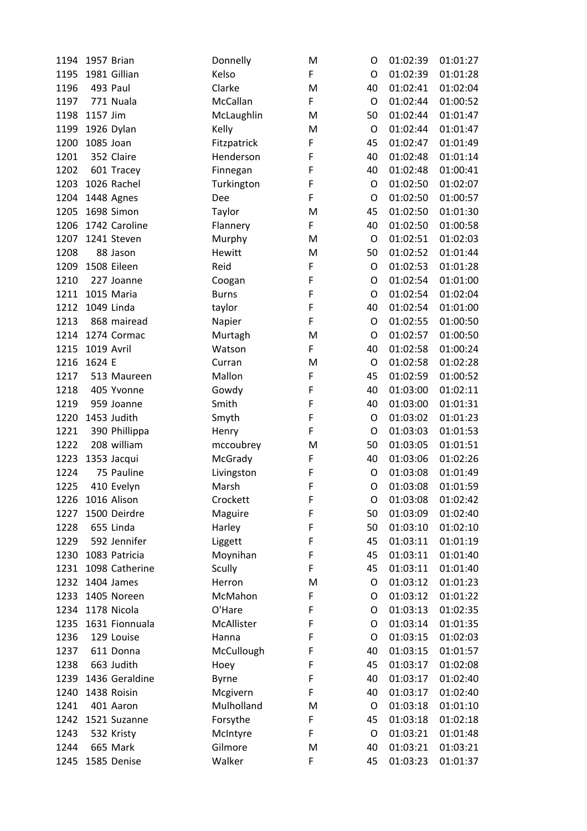| 1194 | 1957 Brian     | Donnelly            | M           | O           | 01:02:39 | 01:01:27 |
|------|----------------|---------------------|-------------|-------------|----------|----------|
| 1195 | 1981 Gillian   | Kelso               | F.          | O           | 01:02:39 | 01:01:28 |
| 1196 | 493 Paul       | Clarke              | M           | 40          | 01:02:41 | 01:02:04 |
| 1197 | 771 Nuala      | McCallan            | F           | $\circ$     | 01:02:44 | 01:00:52 |
| 1198 | 1157 Jim       | McLaughlin          | M           | 50          | 01:02:44 | 01:01:47 |
| 1199 | 1926 Dylan     | Kelly               | M           | O           | 01:02:44 | 01:01:47 |
| 1200 | 1085 Joan      | Fitzpatrick         | F           | 45          | 01:02:47 | 01:01:49 |
| 1201 | 352 Claire     | Henderson           | F           | 40          | 01:02:48 | 01:01:14 |
| 1202 | 601 Tracey     | Finnegan            | F           | 40          | 01:02:48 | 01:00:41 |
| 1203 | 1026 Rachel    | Turkington          | F           | $\mathsf O$ | 01:02:50 | 01:02:07 |
| 1204 | 1448 Agnes     | Dee                 | $\mathsf F$ | O           | 01:02:50 | 01:00:57 |
| 1205 | 1698 Simon     | Taylor              | M           | 45          | 01:02:50 | 01:01:30 |
| 1206 | 1742 Caroline  | Flannery            | F           | 40          | 01:02:50 | 01:00:58 |
| 1207 | 1241 Steven    | Murphy              | M           | $\mathsf O$ | 01:02:51 | 01:02:03 |
| 1208 | 88 Jason       | Hewitt              | M           | 50          | 01:02:52 | 01:01:44 |
| 1209 | 1508 Eileen    | Reid                | $\mathsf F$ | O           | 01:02:53 | 01:01:28 |
| 1210 | 227 Joanne     | Coogan              | $\mathsf F$ | O           | 01:02:54 | 01:01:00 |
| 1211 | 1015 Maria     | <b>Burns</b>        | F           | O           | 01:02:54 | 01:02:04 |
| 1212 | 1049 Linda     | taylor              | F           | 40          | 01:02:54 | 01:01:00 |
| 1213 | 868 mairead    | Napier              | F           | $\mathsf O$ | 01:02:55 | 01:00:50 |
| 1214 | 1274 Cormac    | Murtagh             | M           | O           | 01:02:57 | 01:00:50 |
| 1215 | 1019 Avril     | Watson              | F           | 40          | 01:02:58 | 01:00:24 |
| 1216 | 1624 E         | Curran              | M           | $\mathsf O$ | 01:02:58 | 01:02:28 |
| 1217 | 513 Maureen    | Mallon              | $\mathsf F$ | 45          | 01:02:59 | 01:00:52 |
| 1218 | 405 Yvonne     | Gowdy               | F           | 40          | 01:03:00 | 01:02:11 |
| 1219 | 959 Joanne     | Smith               | $\mathsf F$ | 40          | 01:03:00 | 01:01:31 |
| 1220 | 1453 Judith    | Smyth               | $\mathsf F$ | O           | 01:03:02 | 01:01:23 |
| 1221 | 390 Phillippa  | Henry               | F           | O           | 01:03:03 | 01:01:53 |
| 1222 | 208 william    | mccoubrey           | M           | 50          | 01:03:05 | 01:01:51 |
| 1223 | 1353 Jacqui    | McGrady             | F           | 40          | 01:03:06 | 01:02:26 |
| 1224 | 75 Pauline     |                     | F           | O           | 01:03:08 | 01:01:49 |
| 1225 | 410 Evelyn     | Livingston<br>Marsh | F           | O           | 01:03:08 | 01:01:59 |
| 1226 | 1016 Alison    | Crockett            |             |             | 01:03:08 | 01:02:42 |
| 1227 | 1500 Deirdre   |                     | F<br>F      | O<br>50     | 01:03:09 | 01:02:40 |
| 1228 | 655 Linda      | Maguire             | F           | 50          | 01:03:10 | 01:02:10 |
|      | 592 Jennifer   | Harley              | F           | 45          |          | 01:01:19 |
| 1229 | 1083 Patricia  | Liggett             | F           |             | 01:03:11 | 01:01:40 |
| 1230 |                | Moynihan            | F           | 45          | 01:03:11 |          |
| 1231 | 1098 Catherine | <b>Scully</b>       |             | 45          | 01:03:11 | 01:01:40 |
| 1232 | 1404 James     | Herron              | M           | O           | 01:03:12 | 01:01:23 |
| 1233 | 1405 Noreen    | McMahon             | F           | O           | 01:03:12 | 01:01:22 |
| 1234 | 1178 Nicola    | O'Hare              | F           | O           | 01:03:13 | 01:02:35 |
| 1235 | 1631 Fionnuala | McAllister          | F           | O           | 01:03:14 | 01:01:35 |
| 1236 | 129 Louise     | Hanna               | F           | O           | 01:03:15 | 01:02:03 |
| 1237 | 611 Donna      | McCullough          | F           | 40          | 01:03:15 | 01:01:57 |
| 1238 | 663 Judith     | Hoey                | F           | 45          | 01:03:17 | 01:02:08 |
| 1239 | 1436 Geraldine | <b>Byrne</b>        | F           | 40          | 01:03:17 | 01:02:40 |
| 1240 | 1438 Roisin    | Mcgivern            | F           | 40          | 01:03:17 | 01:02:40 |
| 1241 | 401 Aaron      | Mulholland          | M           | O           | 01:03:18 | 01:01:10 |
| 1242 | 1521 Suzanne   | Forsythe            | F           | 45          | 01:03:18 | 01:02:18 |
| 1243 | 532 Kristy     | McIntyre            | F           | $\mathsf O$ | 01:03:21 | 01:01:48 |
| 1244 | 665 Mark       | Gilmore             | M           | 40          | 01:03:21 | 01:03:21 |
| 1245 | 1585 Denise    | Walker              | F           | 45          | 01:03:23 | 01:01:37 |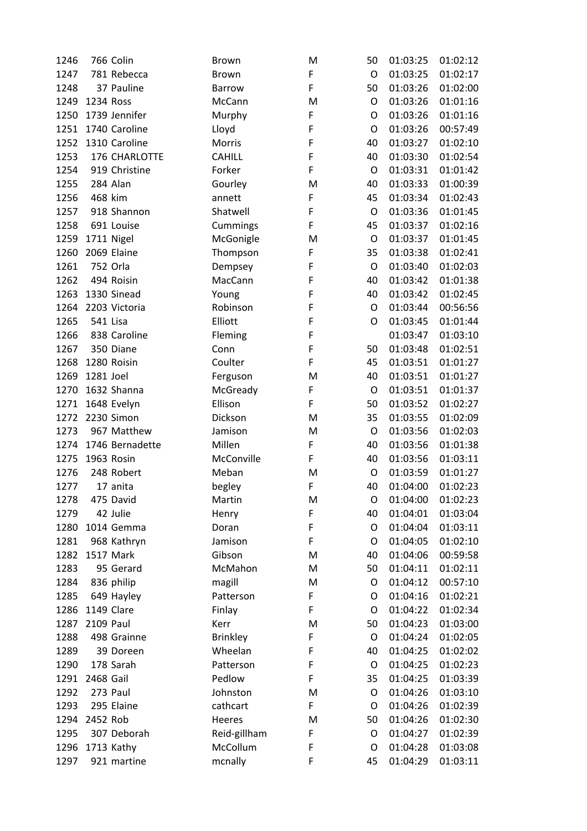| 1246 | 766 Colin                 | Brown               | M | 50          | 01:03:25 | 01:02:12 |
|------|---------------------------|---------------------|---|-------------|----------|----------|
| 1247 | 781 Rebecca               | <b>Brown</b>        | F | $\circ$     | 01:03:25 | 01:02:17 |
| 1248 | 37 Pauline                | Barrow              | F | 50          | 01:03:26 | 01:02:00 |
| 1249 | 1234 Ross                 | McCann              | M | O           | 01:03:26 | 01:01:16 |
| 1250 | 1739 Jennifer             | Murphy              | F | O           | 01:03:26 | 01:01:16 |
| 1251 | 1740 Caroline             | Lloyd               | F | O           | 01:03:26 | 00:57:49 |
| 1252 | 1310 Caroline             | Morris              | F | 40          | 01:03:27 | 01:02:10 |
| 1253 | 176 CHARLOTTE             | <b>CAHILL</b>       | F | 40          | 01:03:30 | 01:02:54 |
| 1254 | 919 Christine             | Forker              | F | $\circ$     | 01:03:31 | 01:01:42 |
| 1255 | 284 Alan                  | Gourley             | M | 40          | 01:03:33 | 01:00:39 |
| 1256 | 468 kim                   | annett              | F | 45          | 01:03:34 | 01:02:43 |
| 1257 | 918 Shannon               | Shatwell            | F | $\circ$     | 01:03:36 | 01:01:45 |
| 1258 | 691 Louise                | Cummings            | F | 45          | 01:03:37 | 01:02:16 |
| 1259 | 1711 Nigel                | McGonigle           | M | $\circ$     | 01:03:37 | 01:01:45 |
| 1260 | 2069 Elaine               | Thompson            | F | 35          | 01:03:38 | 01:02:41 |
| 1261 | 752 Orla                  | Dempsey             | F | $\mathsf O$ | 01:03:40 | 01:02:03 |
| 1262 | 494 Roisin                | MacCann             | F | 40          | 01:03:42 | 01:01:38 |
| 1263 | 1330 Sinead               | Young               | F | 40          | 01:03:42 | 01:02:45 |
| 1264 | 2203 Victoria             | Robinson            | F | $\mathsf O$ | 01:03:44 | 00:56:56 |
| 1265 | 541 Lisa                  | Elliott             | F | O           | 01:03:45 | 01:01:44 |
| 1266 | 838 Caroline              | Fleming             | F |             | 01:03:47 | 01:03:10 |
| 1267 | 350 Diane                 | Conn                | F | 50          | 01:03:48 | 01:02:51 |
| 1268 | 1280 Roisin               | Coulter             | F | 45          | 01:03:51 | 01:01:27 |
| 1269 | 1281 Joel                 |                     | M | 40          | 01:03:51 | 01:01:27 |
| 1270 | 1632 Shanna               | Ferguson            | F | $\mathsf O$ | 01:03:51 | 01:01:37 |
|      |                           | McGready<br>Ellison | F | 50          | 01:03:52 | 01:02:27 |
| 1271 | 1648 Evelyn<br>2230 Simon |                     |   |             |          |          |
| 1272 |                           | Dickson             | M | 35          | 01:03:55 | 01:02:09 |
| 1273 | 967 Matthew               | Jamison             | M | O           | 01:03:56 | 01:02:03 |
| 1274 | 1746 Bernadette           | Millen              | F | 40          | 01:03:56 | 01:01:38 |
| 1275 | 1963 Rosin                | McConville          | F | 40          | 01:03:56 | 01:03:11 |
| 1276 | 248 Robert                | Meban               | M | O           | 01:03:59 | 01:01:27 |
| 1277 | 17 anita                  | begley              | F | 40          | 01:04:00 | 01:02:23 |
| 1278 | 475 David                 | Martin              | M | O           | 01:04:00 | 01:02:23 |
| 1279 | 42 Julie                  | Henry               | F | 40          | 01:04:01 | 01:03:04 |
| 1280 | 1014 Gemma                | Doran               | F | O           | 01:04:04 | 01:03:11 |
| 1281 | 968 Kathryn               | Jamison             | F | O           | 01:04:05 | 01:02:10 |
| 1282 | 1517 Mark                 | Gibson              | M | 40          | 01:04:06 | 00:59:58 |
| 1283 | 95 Gerard                 | McMahon             | M | 50          | 01:04:11 | 01:02:11 |
| 1284 | 836 philip                | magill              | M | O           | 01:04:12 | 00:57:10 |
| 1285 | 649 Hayley                | Patterson           | F | O           | 01:04:16 | 01:02:21 |
| 1286 | 1149 Clare                | Finlay              | F | O           | 01:04:22 | 01:02:34 |
| 1287 | 2109 Paul                 | Kerr                | M | 50          | 01:04:23 | 01:03:00 |
| 1288 | 498 Grainne               | <b>Brinkley</b>     | F | O           | 01:04:24 | 01:02:05 |
| 1289 | 39 Doreen                 | Wheelan             | F | 40          | 01:04:25 | 01:02:02 |
| 1290 | 178 Sarah                 | Patterson           | F | O           | 01:04:25 | 01:02:23 |
| 1291 | 2468 Gail                 | Pedlow              | F | 35          | 01:04:25 | 01:03:39 |
| 1292 | 273 Paul                  | Johnston            | M | $\mathsf O$ | 01:04:26 | 01:03:10 |
| 1293 | 295 Elaine                | cathcart            | F | O           | 01:04:26 | 01:02:39 |
| 1294 | 2452 Rob                  | Heeres              | M | 50          | 01:04:26 | 01:02:30 |
| 1295 | 307 Deborah               | Reid-gillham        | F | O           | 01:04:27 | 01:02:39 |
| 1296 | 1713 Kathy                | McCollum            | F | O           | 01:04:28 | 01:03:08 |
| 1297 | 921 martine               | mcnally             | F | 45          | 01:04:29 | 01:03:11 |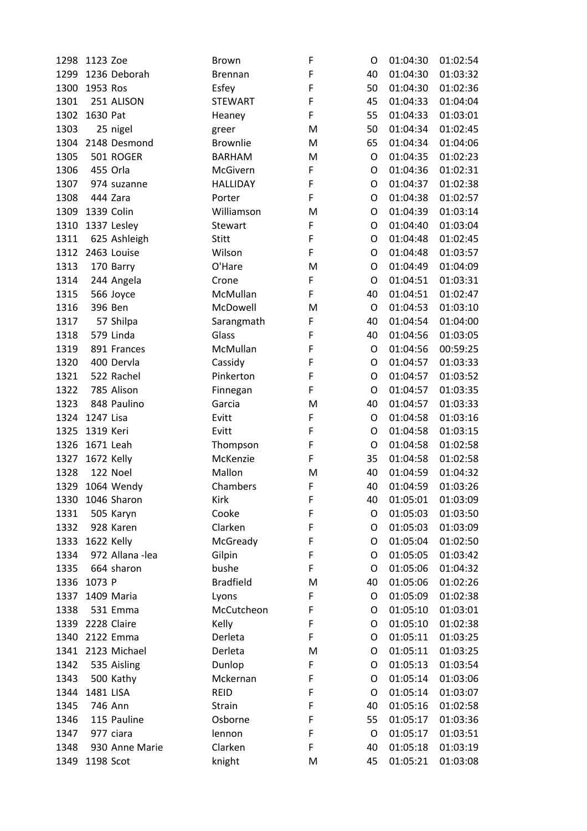| 1298 | 1123 Zoe          | <b>Brown</b>     | F | O  | 01:04:30 | 01:02:54 |
|------|-------------------|------------------|---|----|----------|----------|
| 1299 | 1236 Deborah      | <b>Brennan</b>   | F | 40 | 01:04:30 | 01:03:32 |
| 1300 | 1953 Ros          | Esfey            | F | 50 | 01:04:30 | 01:02:36 |
| 1301 | 251 ALISON        | <b>STEWART</b>   | F | 45 | 01:04:33 | 01:04:04 |
| 1302 | 1630 Pat          | Heaney           | F | 55 | 01:04:33 | 01:03:01 |
| 1303 | 25 nigel          | greer            | M | 50 | 01:04:34 | 01:02:45 |
| 1304 | 2148 Desmond      | <b>Brownlie</b>  | M | 65 | 01:04:34 | 01:04:06 |
| 1305 | 501 ROGER         | <b>BARHAM</b>    | M | O  | 01:04:35 | 01:02:23 |
| 1306 | 455 Orla          | McGivern         | F | O  | 01:04:36 | 01:02:31 |
| 1307 | 974 suzanne       | <b>HALLIDAY</b>  | F | O  | 01:04:37 | 01:02:38 |
| 1308 | 444 Zara          | Porter           | F | O  | 01:04:38 | 01:02:57 |
| 1309 | 1339 Colin        | Williamson       | M | O  | 01:04:39 | 01:03:14 |
| 1310 | 1337 Lesley       | Stewart          | F | O  | 01:04:40 | 01:03:04 |
| 1311 | 625 Ashleigh      | <b>Stitt</b>     | F | O  | 01:04:48 | 01:02:45 |
| 1312 | 2463 Louise       | Wilson           | F | O  | 01:04:48 | 01:03:57 |
| 1313 | 170 Barry         | O'Hare           | M | O  | 01:04:49 | 01:04:09 |
| 1314 | 244 Angela        | Crone            | F | O  | 01:04:51 | 01:03:31 |
| 1315 | 566 Joyce         | McMullan         | F | 40 | 01:04:51 | 01:02:47 |
| 1316 | 396 Ben           | McDowell         | M | O  | 01:04:53 | 01:03:10 |
| 1317 | 57 Shilpa         | Sarangmath       | F | 40 | 01:04:54 | 01:04:00 |
| 1318 | 579 Linda         | Glass            | F | 40 | 01:04:56 | 01:03:05 |
| 1319 | 891 Frances       | McMullan         | F | O  | 01:04:56 | 00:59:25 |
| 1320 | 400 Dervla        | Cassidy          | F | O  | 01:04:57 | 01:03:33 |
| 1321 | 522 Rachel        | Pinkerton        | F | O  | 01:04:57 | 01:03:52 |
| 1322 | 785 Alison        | Finnegan         | F | O  | 01:04:57 | 01:03:35 |
| 1323 | 848 Paulino       | Garcia           | M | 40 | 01:04:57 | 01:03:33 |
| 1324 | 1247 Lisa         | Evitt            | F | O  | 01:04:58 | 01:03:16 |
| 1325 | 1319 Keri         | Evitt            | F | O  | 01:04:58 | 01:03:15 |
| 1326 | 1671 Leah         | Thompson         | F | O  | 01:04:58 | 01:02:58 |
| 1327 | 1672 Kelly        | McKenzie         | F | 35 | 01:04:58 | 01:02:58 |
| 1328 | 122 Noel          | Mallon           | M | 40 | 01:04:59 | 01:04:32 |
| 1329 | 1064 Wendy        | Chambers         | F | 40 | 01:04:59 | 01:03:26 |
| 1330 | 1046 Sharon       | Kirk             | F | 40 | 01:05:01 | 01:03:09 |
| 1331 | 505 Karyn         | Cooke            | F | O  | 01:05:03 | 01:03:50 |
| 1332 | 928 Karen         | Clarken          | F | O  | 01:05:03 | 01:03:09 |
| 1333 | 1622 Kelly        | McGready         | F | O  | 01:05:04 | 01:02:50 |
| 1334 | 972 Allana - lea  | Gilpin           | F | O  | 01:05:05 | 01:03:42 |
| 1335 | 664 sharon        | bushe            | F | O  | 01:05:06 | 01:04:32 |
| 1336 | 1073 P            | <b>Bradfield</b> | M | 40 | 01:05:06 | 01:02:26 |
| 1337 | 1409 Maria        | Lyons            | F | O  | 01:05:09 | 01:02:38 |
| 1338 | 531 Emma          | McCutcheon       | F | O  | 01:05:10 | 01:03:01 |
| 1339 | 2228 Claire       | Kelly            | F | O  | 01:05:10 | 01:02:38 |
| 1340 | 2122 Emma         | Derleta          | F | O  | 01:05:11 | 01:03:25 |
|      | 1341 2123 Michael | Derleta          | M | O  | 01:05:11 | 01:03:25 |
|      |                   |                  | F |    |          |          |
| 1342 | 535 Aisling       | Dunlop           | F | O  | 01:05:13 | 01:03:54 |
| 1343 | 500 Kathy         | Mckernan         |   | O  | 01:05:14 | 01:03:06 |
| 1344 | 1481 LISA         | <b>REID</b>      | F | O  | 01:05:14 | 01:03:07 |
| 1345 | 746 Ann           | <b>Strain</b>    | F | 40 | 01:05:16 | 01:02:58 |
| 1346 | 115 Pauline       | Osborne          | F | 55 | 01:05:17 | 01:03:36 |
| 1347 | 977 ciara         | lennon           | F | O  | 01:05:17 | 01:03:51 |
| 1348 | 930 Anne Marie    | Clarken          | F | 40 | 01:05:18 | 01:03:19 |
| 1349 | 1198 Scot         | knight           | M | 45 | 01:05:21 | 01:03:08 |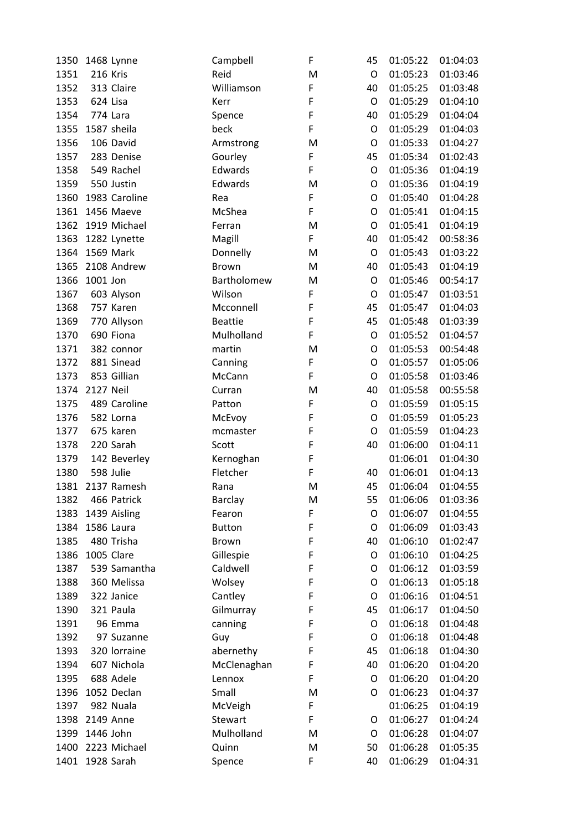| 1350 | 1468 Lynne                 | Campbell                | F | 45          | 01:05:22 | 01:04:03 |
|------|----------------------------|-------------------------|---|-------------|----------|----------|
| 1351 | <b>216 Kris</b>            | Reid                    | M | O           | 01:05:23 | 01:03:46 |
| 1352 | 313 Claire                 | Williamson              | F | 40          | 01:05:25 | 01:03:48 |
| 1353 | 624 Lisa                   | Kerr                    | F | $\mathsf O$ | 01:05:29 | 01:04:10 |
| 1354 | 774 Lara                   | Spence                  | F | 40          | 01:05:29 | 01:04:04 |
| 1355 | 1587 sheila                | beck                    | F | $\mathsf O$ | 01:05:29 | 01:04:03 |
| 1356 | 106 David                  | Armstrong               | M | $\mathsf O$ | 01:05:33 | 01:04:27 |
| 1357 | 283 Denise                 | Gourley                 | F | 45          | 01:05:34 | 01:02:43 |
| 1358 | 549 Rachel                 | Edwards                 | F | O           | 01:05:36 | 01:04:19 |
| 1359 | 550 Justin                 | Edwards                 | M | O           | 01:05:36 | 01:04:19 |
| 1360 | 1983 Caroline              | Rea                     | F | O           | 01:05:40 | 01:04:28 |
| 1361 | 1456 Maeve                 | McShea                  | F | O           | 01:05:41 | 01:04:15 |
| 1362 | 1919 Michael               | Ferran                  | M | $\mathsf O$ | 01:05:41 | 01:04:19 |
| 1363 | 1282 Lynette               | Magill                  | F | 40          | 01:05:42 | 00:58:36 |
| 1364 | 1569 Mark                  | Donnelly                | M | $\circ$     | 01:05:43 | 01:03:22 |
| 1365 | 2108 Andrew                | Brown                   | M | 40          | 01:05:43 | 01:04:19 |
| 1366 | 1001 Jon                   | Bartholomew             | M | O           | 01:05:46 | 00:54:17 |
| 1367 | 603 Alyson                 | Wilson                  | F | O           | 01:05:47 | 01:03:51 |
| 1368 | 757 Karen                  | Mcconnell               | F | 45          | 01:05:47 | 01:04:03 |
| 1369 | 770 Allyson                | <b>Beattie</b>          | F | 45          | 01:05:48 | 01:03:39 |
| 1370 | 690 Fiona                  | Mulholland              | F | $\mathsf O$ | 01:05:52 | 01:04:57 |
| 1371 | 382 connor                 | martin                  | M | O           | 01:05:53 | 00:54:48 |
| 1372 | 881 Sinead                 | Canning                 | F | O           | 01:05:57 | 01:05:06 |
| 1373 | 853 Gillian                | McCann                  | F | O           | 01:05:58 | 01:03:46 |
| 1374 | <b>2127 Neil</b>           | Curran                  | M | 40          | 01:05:58 | 00:55:58 |
| 1375 | 489 Caroline               | Patton                  | F | $\mathsf O$ | 01:05:59 | 01:05:15 |
| 1376 | 582 Lorna                  | McEvoy                  | F | O           | 01:05:59 | 01:05:23 |
| 1377 | 675 karen                  | mcmaster                | F | O           | 01:05:59 | 01:04:23 |
| 1378 | 220 Sarah                  | Scott                   | F | 40          | 01:06:00 | 01:04:11 |
| 1379 | 142 Beverley               | Kernoghan               | F |             | 01:06:01 | 01:04:30 |
| 1380 | 598 Julie                  | Fletcher                | F | 40          | 01:06:01 | 01:04:13 |
| 1381 | 2137 Ramesh                | Rana                    | M | 45          | 01:06:04 | 01:04:55 |
| 1382 | 466 Patrick                | Barclay                 | M | 55          | 01:06:06 | 01:03:36 |
| 1383 |                            |                         | F | O           | 01:06:07 | 01:04:55 |
| 1384 | 1439 Aisling<br>1586 Laura | Fearon<br><b>Button</b> | F | O           | 01:06:09 | 01:03:43 |
|      | 480 Trisha                 |                         | F | 40          |          |          |
| 1385 | 1005 Clare                 | <b>Brown</b>            | F |             | 01:06:10 | 01:02:47 |
| 1386 |                            | Gillespie               |   | O           | 01:06:10 | 01:04:25 |
| 1387 | 539 Samantha               | Caldwell                | F | O           | 01:06:12 | 01:03:59 |
| 1388 | 360 Melissa                | Wolsey                  | F | O           | 01:06:13 | 01:05:18 |
| 1389 | 322 Janice                 | Cantley                 | F | O           | 01:06:16 | 01:04:51 |
| 1390 | 321 Paula                  | Gilmurray               | F | 45          | 01:06:17 | 01:04:50 |
| 1391 | 96 Emma                    | canning                 | F | O           | 01:06:18 | 01:04:48 |
| 1392 | 97 Suzanne                 | Guy                     | F | O           | 01:06:18 | 01:04:48 |
| 1393 | 320 lorraine               | abernethy               | F | 45          | 01:06:18 | 01:04:30 |
| 1394 | 607 Nichola                | McClenaghan             | F | 40          | 01:06:20 | 01:04:20 |
| 1395 | 688 Adele                  | Lennox                  | F | O           | 01:06:20 | 01:04:20 |
| 1396 | 1052 Declan                | Small                   | M | O           | 01:06:23 | 01:04:37 |
| 1397 | 982 Nuala                  | McVeigh                 | F |             | 01:06:25 | 01:04:19 |
| 1398 | 2149 Anne                  | Stewart                 | F | O           | 01:06:27 | 01:04:24 |
| 1399 | 1446 John                  | Mulholland              | M | O           | 01:06:28 | 01:04:07 |
| 1400 | 2223 Michael               | Quinn                   | M | 50          | 01:06:28 | 01:05:35 |
| 1401 | 1928 Sarah                 | Spence                  | F | 40          | 01:06:29 | 01:04:31 |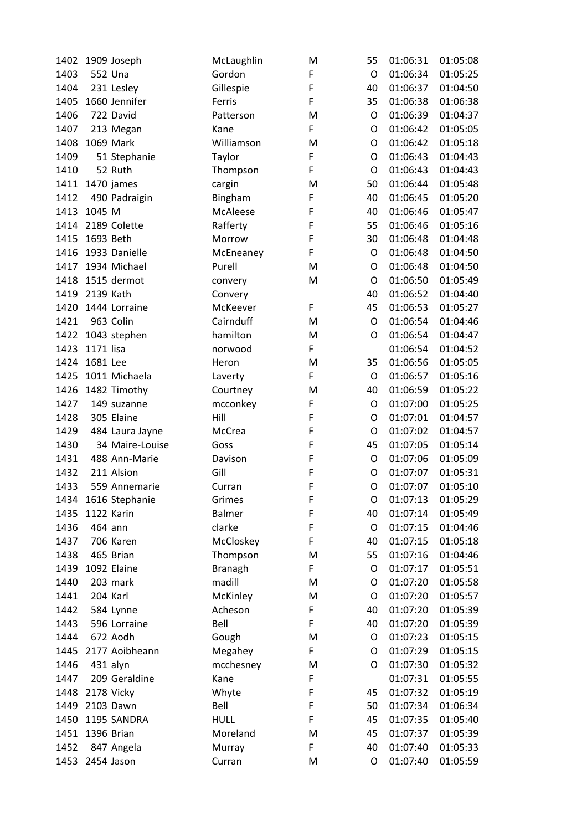| 1402 | 1909 Joseph               | McLaughlin               | M      | 55      | 01:06:31 | 01:05:08             |
|------|---------------------------|--------------------------|--------|---------|----------|----------------------|
| 1403 | 552 Una                   | Gordon                   | F      | O       | 01:06:34 | 01:05:25             |
| 1404 | 231 Lesley                | Gillespie                | F      | 40      | 01:06:37 | 01:04:50             |
| 1405 | 1660 Jennifer             | Ferris                   | F      | 35      | 01:06:38 | 01:06:38             |
| 1406 | 722 David                 | Patterson                | M      | O       | 01:06:39 | 01:04:37             |
| 1407 | 213 Megan                 | Kane                     | F      | O       | 01:06:42 | 01:05:05             |
| 1408 | 1069 Mark                 | Williamson               | M      | O       | 01:06:42 | 01:05:18             |
| 1409 | 51 Stephanie              | Taylor                   | F      | O       | 01:06:43 | 01:04:43             |
| 1410 | 52 Ruth                   | Thompson                 | F      | O       | 01:06:43 | 01:04:43             |
| 1411 | 1470 james                | cargin                   | M      | 50      | 01:06:44 | 01:05:48             |
| 1412 | 490 Padraigin             | Bingham                  | F      | 40      | 01:06:45 | 01:05:20             |
| 1413 | 1045 M                    | McAleese                 | F      | 40      | 01:06:46 | 01:05:47             |
| 1414 | 2189 Colette              | Rafferty                 | F      | 55      | 01:06:46 | 01:05:16             |
| 1415 | 1693 Beth                 | Morrow                   | F      | 30      | 01:06:48 | 01:04:48             |
| 1416 | 1933 Danielle             | McEneaney                | F      | O       | 01:06:48 | 01:04:50             |
| 1417 | 1934 Michael              | Purell                   | M      | O       | 01:06:48 | 01:04:50             |
| 1418 | 1515 dermot               | convery                  | M      | O       | 01:06:50 | 01:05:49             |
| 1419 | 2139 Kath                 | Convery                  |        | 40      | 01:06:52 | 01:04:40             |
| 1420 | 1444 Lorraine             | McKeever                 | F      | 45      | 01:06:53 | 01:05:27             |
| 1421 | 963 Colin                 | Cairnduff                | M      | O       | 01:06:54 | 01:04:46             |
| 1422 | 1043 stephen              | hamilton                 | M      | O       | 01:06:54 | 01:04:47             |
| 1423 | 1171 lisa                 | norwood                  | F      |         | 01:06:54 | 01:04:52             |
| 1424 | 1681 Lee                  | Heron                    | M      | 35      | 01:06:56 | 01:05:05             |
| 1425 | 1011 Michaela             | Laverty                  | F      | O       | 01:06:57 | 01:05:16             |
| 1426 | 1482 Timothy              | Courtney                 | M      | 40      | 01:06:59 | 01:05:22             |
| 1427 | 149 suzanne               | mcconkey                 | F      | O       | 01:07:00 | 01:05:25             |
| 1428 | 305 Elaine                | Hill                     | F      | O       | 01:07:01 | 01:04:57             |
| 1429 | 484 Laura Jayne           | McCrea                   | F      | O       | 01:07:02 | 01:04:57             |
| 1430 | 34 Maire-Louise           | Goss                     | F      | 45      | 01:07:05 | 01:05:14             |
| 1431 | 488 Ann-Marie             | Davison                  | F      | $\circ$ | 01:07:06 | 01:05:09             |
| 1432 | 211 Alsion                | Gill                     | F      | O       | 01:07:07 | 01:05:31             |
| 1433 | 559 Annemarie             | Curran                   | F      | O       | 01:07:07 | 01:05:10             |
| 1434 | 1616 Stephanie            | Grimes                   | F      | O       | 01:07:13 | 01:05:29             |
| 1435 | 1122 Karin                | <b>Balmer</b>            | F      | 40      | 01:07:14 | 01:05:49             |
| 1436 | 464 ann                   | clarke                   | F      | O       | 01:07:15 | 01:04:46             |
| 1437 | 706 Karen                 | McCloskey                | F      | 40      | 01:07:15 | 01:05:18             |
| 1438 | 465 Brian                 |                          | M      | 55      | 01:07:16 | 01:04:46             |
|      | 1092 Elaine               | Thompson                 | F      |         |          |                      |
| 1439 | 203 mark                  | <b>Branagh</b><br>madill |        | O       | 01:07:17 | 01:05:51<br>01:05:58 |
| 1440 | 204 Karl                  |                          | M      | O       | 01:07:20 |                      |
| 1441 |                           | McKinley                 | M<br>F | O<br>40 | 01:07:20 | 01:05:57             |
| 1442 | 584 Lynne<br>596 Lorraine | Acheson                  | F      |         | 01:07:20 | 01:05:39             |
| 1443 |                           | Bell                     |        | 40      | 01:07:20 | 01:05:39             |
| 1444 | 672 Aodh                  | Gough                    | M      | O       | 01:07:23 | 01:05:15             |
| 1445 | 2177 Aoibheann            | Megahey                  | F      | O       | 01:07:29 | 01:05:15             |
| 1446 | 431 alyn                  | mcchesney                | M      | O       | 01:07:30 | 01:05:32             |
| 1447 | 209 Geraldine             | Kane                     | F      |         | 01:07:31 | 01:05:55             |
| 1448 | 2178 Vicky                | Whyte                    | F      | 45      | 01:07:32 | 01:05:19             |
| 1449 | 2103 Dawn                 | Bell                     | F      | 50      | 01:07:34 | 01:06:34             |
| 1450 | 1195 SANDRA               | <b>HULL</b>              | F      | 45      | 01:07:35 | 01:05:40             |
| 1451 | 1396 Brian                | Moreland                 | M      | 45      | 01:07:37 | 01:05:39             |
| 1452 | 847 Angela                | Murray                   | F      | 40      | 01:07:40 | 01:05:33             |
| 1453 | 2454 Jason                | Curran                   | M      | O       | 01:07:40 | 01:05:59             |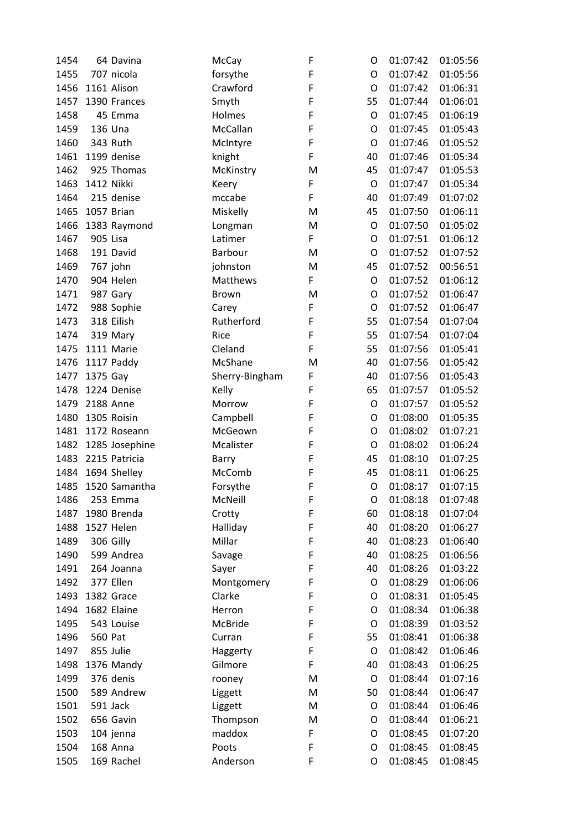| 1454 | 64 Davina      | McCay          | F | O       | 01:07:42 | 01:05:56 |
|------|----------------|----------------|---|---------|----------|----------|
| 1455 | 707 nicola     | forsythe       | F | O       | 01:07:42 | 01:05:56 |
| 1456 | 1161 Alison    | Crawford       | F | O       | 01:07:42 | 01:06:31 |
| 1457 | 1390 Frances   | Smyth          | F | 55      | 01:07:44 | 01:06:01 |
| 1458 | 45 Emma        | Holmes         | F | O       | 01:07:45 | 01:06:19 |
| 1459 | 136 Una        | McCallan       | F | O       | 01:07:45 | 01:05:43 |
| 1460 | 343 Ruth       | McIntyre       | F | O       | 01:07:46 | 01:05:52 |
| 1461 | 1199 denise    | knight         | F | 40      | 01:07:46 | 01:05:34 |
| 1462 | 925 Thomas     | McKinstry      | M | 45      | 01:07:47 | 01:05:53 |
| 1463 | 1412 Nikki     | Keery          | F | O       | 01:07:47 | 01:05:34 |
| 1464 | 215 denise     | mccabe         | F | 40      | 01:07:49 | 01:07:02 |
| 1465 | 1057 Brian     | Miskelly       | M | 45      | 01:07:50 | 01:06:11 |
| 1466 | 1383 Raymond   | Longman        | M | O       | 01:07:50 | 01:05:02 |
| 1467 | 905 Lisa       | Latimer        | F | O       | 01:07:51 | 01:06:12 |
| 1468 | 191 David      | Barbour        | M | O       | 01:07:52 | 01:07:52 |
| 1469 | 767 john       | johnston       | M | 45      | 01:07:52 | 00:56:51 |
| 1470 | 904 Helen      | Matthews       | F | O       | 01:07:52 | 01:06:12 |
| 1471 | 987 Gary       | Brown          | M | O       | 01:07:52 | 01:06:47 |
| 1472 | 988 Sophie     | Carey          | F | O       | 01:07:52 | 01:06:47 |
| 1473 | 318 Eilish     | Rutherford     | F | 55      | 01:07:54 | 01:07:04 |
|      |                | Rice           | F | 55      | 01:07:54 | 01:07:04 |
| 1474 | 319 Mary       |                |   |         |          |          |
| 1475 | 1111 Marie     | Cleland        | F | 55      | 01:07:56 | 01:05:41 |
| 1476 | 1117 Paddy     | McShane        | M | 40      | 01:07:56 | 01:05:42 |
| 1477 | 1375 Gay       | Sherry-Bingham | F | 40      | 01:07:56 | 01:05:43 |
| 1478 | 1224 Denise    | Kelly          | F | 65      | 01:07:57 | 01:05:52 |
| 1479 | 2188 Anne      | Morrow         | F | O       | 01:07:57 | 01:05:52 |
| 1480 | 1305 Roisin    | Campbell       | F | O       | 01:08:00 | 01:05:35 |
| 1481 | 1172 Roseann   | McGeown        | F | O       | 01:08:02 | 01:07:21 |
| 1482 | 1285 Josephine | Mcalister      | F | O       | 01:08:02 | 01:06:24 |
| 1483 | 2215 Patricia  | Barry          | F | 45      | 01:08:10 | 01:07:25 |
| 1484 | 1694 Shelley   | McComb         | F | 45      | 01:08:11 | 01:06:25 |
| 1485 | 1520 Samantha  | Forsythe       | F | O       | 01:08:17 | 01:07:15 |
| 1486 | 253 Emma       | McNeill        | F | O       | 01:08:18 | 01:07:48 |
| 1487 | 1980 Brenda    | Crotty         | F | 60      | 01:08:18 | 01:07:04 |
| 1488 | 1527 Helen     | Halliday       | F | 40      | 01:08:20 | 01:06:27 |
| 1489 | 306 Gilly      | Millar         | F | 40      | 01:08:23 | 01:06:40 |
| 1490 | 599 Andrea     | Savage         | F | 40      | 01:08:25 | 01:06:56 |
| 1491 | 264 Joanna     | Sayer          | F | 40      | 01:08:26 | 01:03:22 |
| 1492 | 377 Ellen      | Montgomery     | F | O       | 01:08:29 | 01:06:06 |
| 1493 | 1382 Grace     | Clarke         | F | O       | 01:08:31 | 01:05:45 |
| 1494 | 1682 Elaine    | Herron         | F | O       | 01:08:34 | 01:06:38 |
| 1495 | 543 Louise     | McBride        | F | O       | 01:08:39 | 01:03:52 |
| 1496 | 560 Pat        | Curran         | F | 55      | 01:08:41 | 01:06:38 |
| 1497 | 855 Julie      | Haggerty       | F | O       | 01:08:42 | 01:06:46 |
| 1498 | 1376 Mandy     | Gilmore        | F | 40      | 01:08:43 | 01:06:25 |
| 1499 | 376 denis      | rooney         | M | $\circ$ | 01:08:44 | 01:07:16 |
| 1500 | 589 Andrew     | Liggett        | M | 50      | 01:08:44 | 01:06:47 |
| 1501 | 591 Jack       | Liggett        | M | O       | 01:08:44 | 01:06:46 |
| 1502 | 656 Gavin      | Thompson       | M | O       | 01:08:44 | 01:06:21 |
| 1503 | 104 jenna      | maddox         | F | O       | 01:08:45 | 01:07:20 |
| 1504 | 168 Anna       | Poots          | F | O       | 01:08:45 | 01:08:45 |
|      |                |                | F |         |          |          |
| 1505 | 169 Rachel     | Anderson       |   | O       | 01:08:45 | 01:08:45 |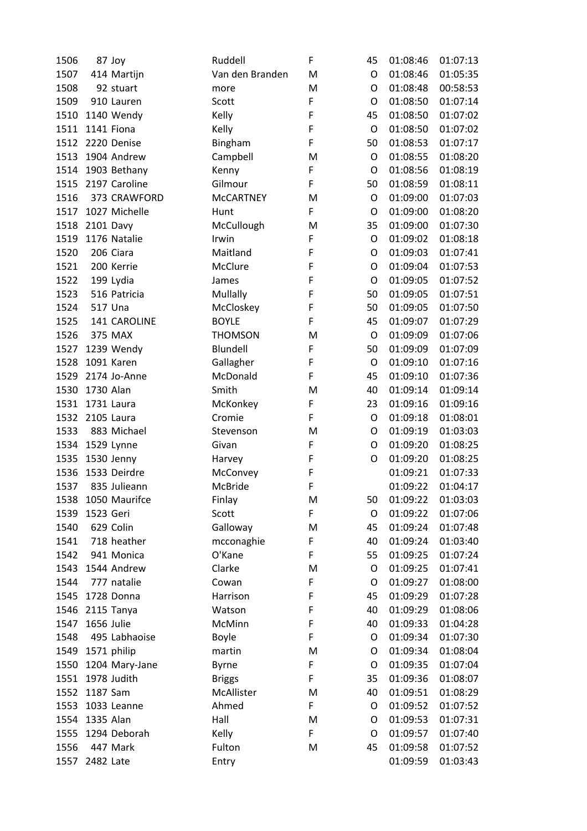| 1506 |                 | 87 Joy             | Ruddell          | F      | 45      | 01:08:46 | 01:07:13 |
|------|-----------------|--------------------|------------------|--------|---------|----------|----------|
| 1507 |                 | 414 Martijn        | Van den Branden  | M      | O       | 01:08:46 | 01:05:35 |
| 1508 |                 | 92 stuart          | more             | M      | O       | 01:08:48 | 00:58:53 |
| 1509 |                 | 910 Lauren         | Scott            | F      | O       | 01:08:50 | 01:07:14 |
| 1510 |                 | 1140 Wendy         | Kelly            | F      | 45      | 01:08:50 | 01:07:02 |
| 1511 |                 | 1141 Fiona         | Kelly            | F      | $\circ$ | 01:08:50 | 01:07:02 |
|      |                 | 1512 2220 Denise   | Bingham          | F      | 50      | 01:08:53 | 01:07:17 |
| 1513 |                 | 1904 Andrew        | Campbell         | M      | O       | 01:08:55 | 01:08:20 |
|      |                 | 1514 1903 Bethany  | Kenny            | F      | O       | 01:08:56 | 01:08:19 |
|      |                 | 1515 2197 Caroline | Gilmour          | F      | 50      | 01:08:59 | 01:08:11 |
| 1516 |                 | 373 CRAWFORD       | <b>McCARTNEY</b> | M      | O       | 01:09:00 | 01:07:03 |
| 1517 |                 | 1027 Michelle      | Hunt             | F      | O       | 01:09:00 | 01:08:20 |
| 1518 | 2101 Davy       |                    | McCullough       | M      | 35      | 01:09:00 | 01:07:30 |
| 1519 |                 | 1176 Natalie       | Irwin            | F      | O       | 01:09:02 | 01:08:18 |
| 1520 |                 | 206 Ciara          | Maitland         | F      | O       | 01:09:03 | 01:07:41 |
| 1521 |                 | 200 Kerrie         | McClure          | F      | O       | 01:09:04 | 01:07:53 |
| 1522 |                 | 199 Lydia          | James            | F      | O       | 01:09:05 | 01:07:52 |
| 1523 |                 | 516 Patricia       | Mullally         | F      | 50      | 01:09:05 | 01:07:51 |
| 1524 |                 | 517 Una            | McCloskey        | F      | 50      | 01:09:05 | 01:07:50 |
| 1525 |                 | 141 CAROLINE       | <b>BOYLE</b>     | F      | 45      | 01:09:07 | 01:07:29 |
| 1526 |                 | 375 MAX            | <b>THOMSON</b>   | M      | O       | 01:09:09 | 01:07:06 |
| 1527 |                 | 1239 Wendy         | Blundell         | F      | 50      | 01:09:09 | 01:07:09 |
| 1528 |                 | 1091 Karen         | Gallagher        | F      | O       | 01:09:10 | 01:07:16 |
| 1529 |                 | 2174 Jo-Anne       | McDonald         | F      | 45      | 01:09:10 | 01:07:36 |
| 1530 | 1730 Alan       |                    | Smith            | M      | 40      | 01:09:14 | 01:09:14 |
|      | 1531 1731 Laura |                    | McKonkey         | F      | 23      | 01:09:16 | 01:09:16 |
| 1532 | 2105 Laura      |                    | Cromie           | F      | O       | 01:09:18 | 01:08:01 |
| 1533 |                 | 883 Michael        | Stevenson        | M      | O       | 01:09:19 | 01:03:03 |
|      |                 | 1534 1529 Lynne    | Givan            | F      | O       | 01:09:20 | 01:08:25 |
| 1535 |                 | 1530 Jenny         | Harvey           | F      | O       | 01:09:20 | 01:08:25 |
| 1536 |                 | 1533 Deirdre       | McConvey         | F      |         | 01:09:21 | 01:07:33 |
| 1537 |                 | 835 Julieann       | McBride          | F      |         | 01:09:22 | 01:04:17 |
| 1538 |                 | 1050 Maurifce      | Finlay           | M      | 50      | 01:09:22 | 01:03:03 |
| 1539 | 1523 Geri       |                    | Scott            | F      | O       | 01:09:22 | 01:07:06 |
| 1540 |                 | 629 Colin          | Galloway         | M      | 45      | 01:09:24 | 01:07:48 |
| 1541 |                 | 718 heather        | mcconaghie       | F      | 40      | 01:09:24 | 01:03:40 |
| 1542 |                 | 941 Monica         | O'Kane           | F      | 55      | 01:09:25 | 01:07:24 |
| 1543 |                 | 1544 Andrew        | Clarke           | M      | O       | 01:09:25 | 01:07:41 |
| 1544 |                 | 777 natalie        | Cowan            | F      | O       | 01:09:27 | 01:08:00 |
| 1545 |                 | 1728 Donna         | Harrison         | F      | 45      | 01:09:29 | 01:07:28 |
| 1546 |                 | 2115 Tanya         | Watson           | F      | 40      | 01:09:29 | 01:08:06 |
| 1547 | 1656 Julie      |                    | McMinn           | F      | 40      | 01:09:33 | 01:04:28 |
| 1548 |                 | 495 Labhaoise      | Boyle            | F      | O       | 01:09:34 | 01:07:30 |
|      |                 |                    | martin           | M      | O       | 01:09:34 | 01:08:04 |
|      |                 | 1549 1571 philip   |                  |        |         |          |          |
| 1550 |                 | 1204 Mary-Jane     | <b>Byrne</b>     | F<br>F | O       | 01:09:35 | 01:07:04 |
| 1551 |                 | 1978 Judith        | <b>Briggs</b>    |        | 35      | 01:09:36 | 01:08:07 |
| 1552 | 1187 Sam        |                    | McAllister       | M      | 40      | 01:09:51 | 01:08:29 |
| 1553 |                 | 1033 Leanne        | Ahmed            | F      | O       | 01:09:52 | 01:07:52 |
| 1554 | 1335 Alan       |                    | Hall             | M      | O       | 01:09:53 | 01:07:31 |
| 1555 |                 | 1294 Deborah       | Kelly            | F      | O       | 01:09:57 | 01:07:40 |
| 1556 |                 | 447 Mark           | Fulton           | M      | 45      | 01:09:58 | 01:07:52 |
| 1557 | 2482 Late       |                    | Entry            |        |         | 01:09:59 | 01:03:43 |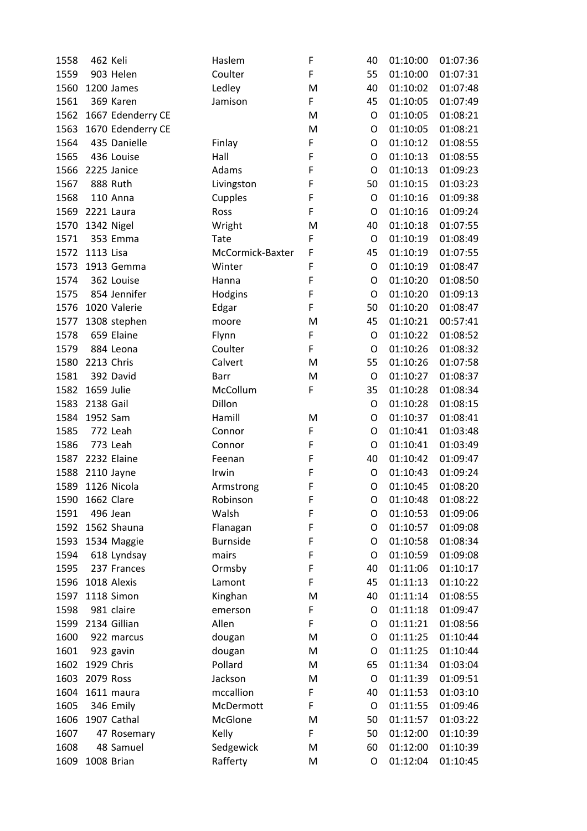| 1558 | 462 Keli   |                   | Haslem           | F | 40          | 01:10:00 | 01:07:36 |
|------|------------|-------------------|------------------|---|-------------|----------|----------|
| 1559 |            | 903 Helen         | Coulter          | F | 55          | 01:10:00 | 01:07:31 |
| 1560 |            | 1200 James        | Ledley           | M | 40          | 01:10:02 | 01:07:48 |
| 1561 |            | 369 Karen         | Jamison          | F | 45          | 01:10:05 | 01:07:49 |
| 1562 |            | 1667 Edenderry CE |                  | M | O           | 01:10:05 | 01:08:21 |
| 1563 |            | 1670 Edenderry CE |                  | M | O           | 01:10:05 | 01:08:21 |
| 1564 |            | 435 Danielle      | Finlay           | F | O           | 01:10:12 | 01:08:55 |
| 1565 |            | 436 Louise        | Hall             | F | O           | 01:10:13 | 01:08:55 |
| 1566 |            | 2225 Janice       | Adams            | F | O           | 01:10:13 | 01:09:23 |
| 1567 |            | 888 Ruth          | Livingston       | F | 50          | 01:10:15 | 01:03:23 |
| 1568 |            | 110 Anna          | Cupples          | F | O           | 01:10:16 | 01:09:38 |
| 1569 |            | 2221 Laura        | Ross             | F | O           | 01:10:16 | 01:09:24 |
| 1570 | 1342 Nigel |                   | Wright           | M | 40          | 01:10:18 | 01:07:55 |
| 1571 |            | 353 Emma          | <b>Tate</b>      | F | O           | 01:10:19 | 01:08:49 |
| 1572 | 1113 Lisa  |                   | McCormick-Baxter | F | 45          | 01:10:19 | 01:07:55 |
| 1573 |            | 1913 Gemma        | Winter           | F | O           | 01:10:19 | 01:08:47 |
| 1574 |            | 362 Louise        | Hanna            | F | O           | 01:10:20 | 01:08:50 |
| 1575 |            | 854 Jennifer      | Hodgins          | F | $\mathsf O$ | 01:10:20 | 01:09:13 |
| 1576 |            | 1020 Valerie      | Edgar            | F | 50          | 01:10:20 | 01:08:47 |
| 1577 |            | 1308 stephen      | moore            | M | 45          | 01:10:21 | 00:57:41 |
| 1578 |            | 659 Elaine        | Flynn            | F | O           | 01:10:22 | 01:08:52 |
| 1579 |            | 884 Leona         | Coulter          | F | O           | 01:10:26 | 01:08:32 |
| 1580 | 2213 Chris |                   | Calvert          | M | 55          | 01:10:26 | 01:07:58 |
| 1581 |            | 392 David         | Barr             | M | O           | 01:10:27 | 01:08:37 |
| 1582 | 1659 Julie |                   | McCollum         | F | 35          | 01:10:28 | 01:08:34 |
| 1583 | 2138 Gail  |                   | Dillon           |   | O           | 01:10:28 | 01:08:15 |
| 1584 | 1952 Sam   |                   | Hamill           | M | O           | 01:10:37 | 01:08:41 |
| 1585 |            | 772 Leah          | Connor           | F | O           | 01:10:41 | 01:03:48 |
| 1586 |            | 773 Leah          | Connor           | F | O           | 01:10:41 | 01:03:49 |
| 1587 |            | 2232 Elaine       | Feenan           | F | 40          | 01:10:42 | 01:09:47 |
| 1588 |            | 2110 Jayne        | Irwin            | F | O           | 01:10:43 | 01:09:24 |
| 1589 |            | 1126 Nicola       | Armstrong        | F | O           | 01:10:45 | 01:08:20 |
| 1590 | 1662 Clare |                   | Robinson         | F | O           | 01:10:48 | 01:08:22 |
| 1591 |            | 496 Jean          | Walsh            | F | O           | 01:10:53 | 01:09:06 |
| 1592 |            | 1562 Shauna       | Flanagan         | F | O           | 01:10:57 | 01:09:08 |
| 1593 |            | 1534 Maggie       | <b>Burnside</b>  | F | O           | 01:10:58 | 01:08:34 |
| 1594 |            | 618 Lyndsay       | mairs            | F | O           | 01:10:59 | 01:09:08 |
| 1595 |            | 237 Frances       | Ormsby           | F | 40          | 01:11:06 | 01:10:17 |
| 1596 |            | 1018 Alexis       | Lamont           | F | 45          | 01:11:13 | 01:10:22 |
| 1597 |            | 1118 Simon        | Kinghan          | M | 40          | 01:11:14 | 01:08:55 |
| 1598 |            | 981 claire        | emerson          | F | O           | 01:11:18 | 01:09:47 |
| 1599 |            | 2134 Gillian      | Allen            | F | O           | 01:11:21 | 01:08:56 |
| 1600 |            | 922 marcus        | dougan           | M | O           | 01:11:25 | 01:10:44 |
| 1601 |            | 923 gavin         | dougan           | M | O           | 01:11:25 | 01:10:44 |
| 1602 | 1929 Chris |                   | Pollard          | M | 65          | 01:11:34 | 01:03:04 |
| 1603 | 2079 Ross  |                   | Jackson          | M | O           | 01:11:39 | 01:09:51 |
| 1604 |            | 1611 maura        | mccallion        | F | 40          | 01:11:53 | 01:03:10 |
| 1605 |            | 346 Emily         | McDermott        | F | O           | 01:11:55 | 01:09:46 |
| 1606 |            | 1907 Cathal       | McGlone          | M | 50          | 01:11:57 | 01:03:22 |
| 1607 |            | 47 Rosemary       | Kelly            | F | 50          | 01:12:00 | 01:10:39 |
| 1608 |            | 48 Samuel         | Sedgewick        | M | 60          | 01:12:00 | 01:10:39 |
| 1609 |            | 1008 Brian        | Rafferty         | M | O           | 01:12:04 | 01:10:45 |
|      |            |                   |                  |   |             |          |          |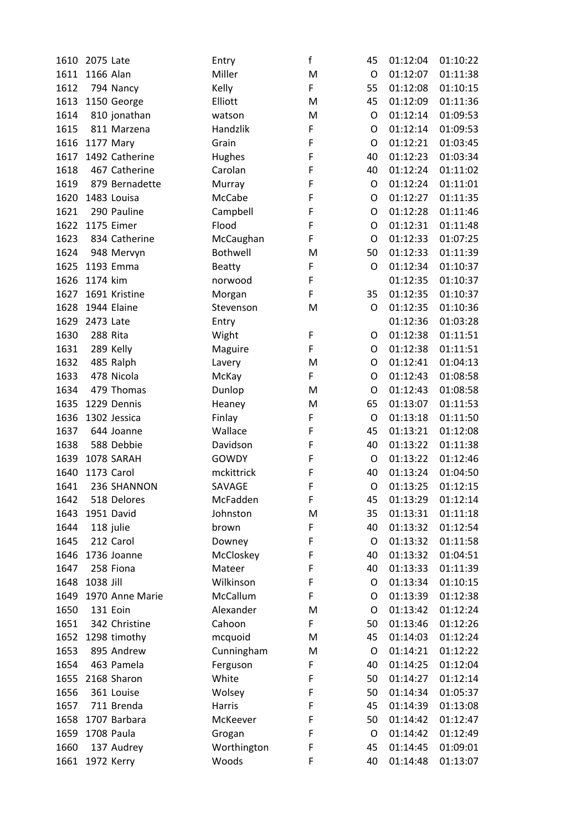| 1610 | 2075 Late       | Entry           | f      | 45      | 01:12:04 | 01:10:22 |
|------|-----------------|-----------------|--------|---------|----------|----------|
| 1611 | 1166 Alan       | Miller          | M      | $\circ$ | 01:12:07 | 01:11:38 |
| 1612 | 794 Nancy       | Kelly           | F      | 55      | 01:12:08 | 01:10:15 |
| 1613 | 1150 George     | Elliott         | M      | 45      | 01:12:09 | 01:11:36 |
| 1614 | 810 jonathan    | watson          | M      | O       | 01:12:14 | 01:09:53 |
| 1615 | 811 Marzena     | Handzlik        | F      | O       | 01:12:14 | 01:09:53 |
| 1616 | 1177 Mary       | Grain           | F      | O       | 01:12:21 | 01:03:45 |
| 1617 | 1492 Catherine  | Hughes          | F      | 40      | 01:12:23 | 01:03:34 |
| 1618 | 467 Catherine   | Carolan         | F      | 40      | 01:12:24 | 01:11:02 |
| 1619 | 879 Bernadette  | Murray          | F      | O       | 01:12:24 | 01:11:01 |
| 1620 | 1483 Louisa     | McCabe          | F      | O       | 01:12:27 | 01:11:35 |
| 1621 | 290 Pauline     | Campbell        | F      | O       | 01:12:28 | 01:11:46 |
| 1622 | 1175 Eimer      | Flood           | F      | O       | 01:12:31 | 01:11:48 |
| 1623 | 834 Catherine   | McCaughan       | F      | O       | 01:12:33 | 01:07:25 |
| 1624 | 948 Mervyn      | <b>Bothwell</b> | M      | 50      | 01:12:33 | 01:11:39 |
|      | 1625 1193 Emma  | <b>Beatty</b>   | F      | O       | 01:12:34 | 01:10:37 |
| 1626 | 1174 kim        | norwood         | F      |         | 01:12:35 | 01:10:37 |
| 1627 | 1691 Kristine   | Morgan          | F      | 35      | 01:12:35 | 01:10:37 |
| 1628 | 1944 Elaine     | Stevenson       | M      | O       | 01:12:35 | 01:10:36 |
| 1629 | 2473 Late       | Entry           |        |         | 01:12:36 | 01:03:28 |
| 1630 | 288 Rita        | Wight           | F      | O       | 01:12:38 | 01:11:51 |
| 1631 | 289 Kelly       |                 | F      | O       | 01:12:38 | 01:11:51 |
| 1632 | 485 Ralph       | Maguire         | M      | O       | 01:12:41 | 01:04:13 |
| 1633 | 478 Nicola      | Lavery          | F      | O       | 01:12:43 | 01:08:58 |
| 1634 | 479 Thomas      | McKay           | M      | O       | 01:12:43 | 01:08:58 |
|      | 1229 Dennis     | Dunlop          |        | 65      | 01:13:07 | 01:11:53 |
| 1635 |                 | Heaney          | M<br>F | O       |          |          |
| 1636 | 1302 Jessica    | Finlay          |        |         | 01:13:18 | 01:11:50 |
| 1637 | 644 Joanne      | Wallace         | F      | 45      | 01:13:21 | 01:12:08 |
| 1638 | 588 Debbie      | Davidson        | F      | 40      | 01:13:22 | 01:11:38 |
| 1639 | 1078 SARAH      | <b>GOWDY</b>    | F      | O       | 01:13:22 | 01:12:46 |
| 1640 | 1173 Carol      | mckittrick      | F      | 40      | 01:13:24 | 01:04:50 |
| 1641 | 236 SHANNON     | SAVAGE          | F      | O       | 01:13:25 | 01:12:15 |
| 1642 | 518 Delores     | McFadden        | F      | 45      | 01:13:29 | 01:12:14 |
| 1643 | 1951 David      | Johnston        | M      | 35      | 01:13:31 | 01:11:18 |
| 1644 | 118 julie       | brown           | F      | 40      | 01:13:32 | 01:12:54 |
| 1645 | 212 Carol       | Downey          | F      | O       | 01:13:32 | 01:11:58 |
| 1646 | 1736 Joanne     | McCloskey       | F      | 40      | 01:13:32 | 01:04:51 |
| 1647 | 258 Fiona       | Mateer          | F      | 40      | 01:13:33 | 01:11:39 |
| 1648 | 1038 Jill       | Wilkinson       | F      | O       | 01:13:34 | 01:10:15 |
| 1649 | 1970 Anne Marie | McCallum        | F      | O       | 01:13:39 | 01:12:38 |
| 1650 | 131 Eoin        | Alexander       | M      | O       | 01:13:42 | 01:12:24 |
| 1651 | 342 Christine   | Cahoon          | F      | 50      | 01:13:46 | 01:12:26 |
| 1652 | 1298 timothy    | mcquoid         | M      | 45      | 01:14:03 | 01:12:24 |
| 1653 | 895 Andrew      | Cunningham      | M      | O       | 01:14:21 | 01:12:22 |
| 1654 | 463 Pamela      | Ferguson        | F      | 40      | 01:14:25 | 01:12:04 |
| 1655 | 2168 Sharon     | White           | F      | 50      | 01:14:27 | 01:12:14 |
| 1656 | 361 Louise      | Wolsey          | F      | 50      | 01:14:34 | 01:05:37 |
| 1657 | 711 Brenda      | Harris          | F      | 45      | 01:14:39 | 01:13:08 |
| 1658 | 1707 Barbara    | McKeever        | F      | 50      | 01:14:42 | 01:12:47 |
| 1659 | 1708 Paula      | Grogan          | F      | O       | 01:14:42 | 01:12:49 |
| 1660 | 137 Audrey      | Worthington     | F      | 45      | 01:14:45 | 01:09:01 |
| 1661 | 1972 Kerry      | Woods           | F      | 40      | 01:14:48 | 01:13:07 |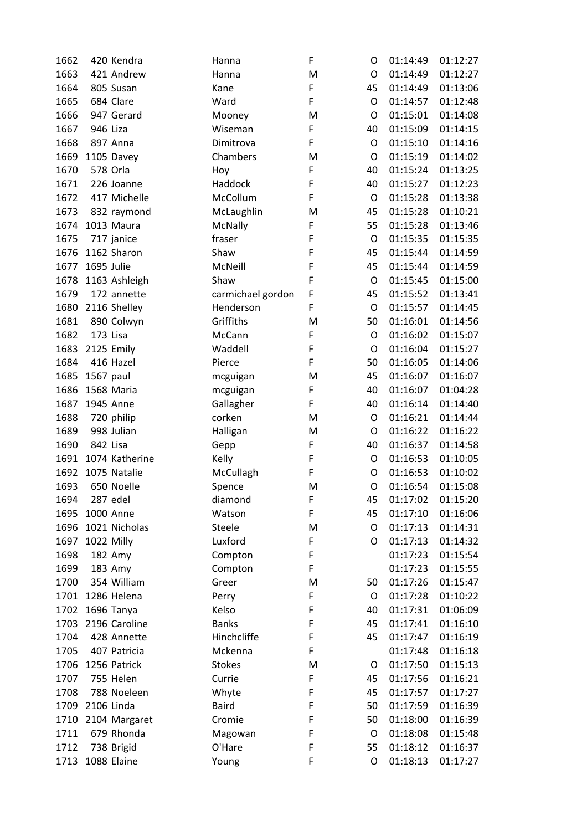| 1662 | 420 Kendra         | Hanna             | F      | O           | 01:14:49             | 01:12:27 |
|------|--------------------|-------------------|--------|-------------|----------------------|----------|
| 1663 | 421 Andrew         | Hanna             | M      | O           | 01:14:49             | 01:12:27 |
| 1664 | 805 Susan          | Kane              | F      | 45          | 01:14:49             | 01:13:06 |
| 1665 | 684 Clare          | Ward              | F      | O           | 01:14:57             | 01:12:48 |
| 1666 | 947 Gerard         | Mooney            | M      | O           | 01:15:01             | 01:14:08 |
| 1667 | 946 Liza           | Wiseman           | F      | 40          | 01:15:09             | 01:14:15 |
| 1668 | 897 Anna           | Dimitrova         | F      | O           | 01:15:10             | 01:14:16 |
| 1669 | 1105 Davey         | Chambers          | M      | O           | 01:15:19             | 01:14:02 |
| 1670 | 578 Orla           | Hoy               | F      | 40          | 01:15:24             | 01:13:25 |
| 1671 | 226 Joanne         | Haddock           | F      | 40          | 01:15:27             | 01:12:23 |
| 1672 | 417 Michelle       | McCollum          | F      | O           | 01:15:28             | 01:13:38 |
| 1673 | 832 raymond        | McLaughlin        | M      | 45          | 01:15:28             | 01:10:21 |
| 1674 | 1013 Maura         | McNally           | F      | 55          | 01:15:28             | 01:13:46 |
| 1675 | 717 janice         | fraser            | F      | O           | 01:15:35             | 01:15:35 |
| 1676 | 1162 Sharon        | Shaw              | F      | 45          | 01:15:44             | 01:14:59 |
| 1677 | 1695 Julie         | McNeill           | F      | 45          | 01:15:44             | 01:14:59 |
| 1678 | 1163 Ashleigh      | Shaw              | F      | O           | 01:15:45             | 01:15:00 |
| 1679 | 172 annette        | carmichael gordon | F      | 45          | 01:15:52             | 01:13:41 |
| 1680 | 2116 Shelley       | Henderson         | F      | $\mathsf O$ | 01:15:57             | 01:14:45 |
| 1681 | 890 Colwyn         | Griffiths         | M      | 50          | 01:16:01             | 01:14:56 |
| 1682 | 173 Lisa           | McCann            | F      | O           | 01:16:02             | 01:15:07 |
| 1683 | 2125 Emily         | Waddell           | F      | O           | 01:16:04             | 01:15:27 |
| 1684 | 416 Hazel          | Pierce            | F      | 50          | 01:16:05             | 01:14:06 |
| 1685 | 1567 paul          | mcguigan          | M      | 45          | 01:16:07             | 01:16:07 |
| 1686 | 1568 Maria         | mcguigan          | F      | 40          | 01:16:07             | 01:04:28 |
| 1687 | 1945 Anne          | Gallagher         | F      | 40          | 01:16:14             | 01:14:40 |
| 1688 | 720 philip         | corken            | M      | O           | 01:16:21             | 01:14:44 |
| 1689 | 998 Julian         | Halligan          | M      | O           | 01:16:22             | 01:16:22 |
| 1690 | 842 Lisa           | Gepp              | F      | 40          | 01:16:37             | 01:14:58 |
| 1691 | 1074 Katherine     | Kelly             | F      | O           | 01:16:53             | 01:10:05 |
| 1692 | 1075 Natalie       | McCullagh         | F      | O           | 01:16:53             | 01:10:02 |
| 1693 | 650 Noelle         | Spence            | M      | O           | 01:16:54             | 01:15:08 |
| 1694 | 287 edel           | diamond           | F      | 45          | 01:17:02             | 01:15:20 |
| 1695 | 1000 Anne          | Watson            | F      | 45          | 01:17:10             | 01:16:06 |
| 1696 | 1021 Nicholas      | <b>Steele</b>     | M      | O           | 01:17:13             | 01:14:31 |
| 1697 | 1022 Milly         | Luxford           | F      | O           | 01:17:13             | 01:14:32 |
| 1698 |                    |                   | F      |             | 01:17:23             | 01:15:54 |
| 1699 | 182 Amy<br>183 Amy | Compton           | F      |             | 01:17:23             | 01:15:55 |
|      | 354 William        | Compton           |        |             |                      |          |
| 1700 | 1286 Helena        | Greer             | M      | 50          | 01:17:26<br>01:17:28 | 01:15:47 |
| 1701 |                    | Perry             | F<br>F | O           |                      | 01:10:22 |
| 1702 | 1696 Tanya         | Kelso             | F      | 40          | 01:17:31             | 01:06:09 |
| 1703 | 2196 Caroline      | <b>Banks</b>      | F      | 45          | 01:17:41             | 01:16:10 |
| 1704 | 428 Annette        | Hinchcliffe       |        | 45          | 01:17:47             | 01:16:19 |
| 1705 | 407 Patricia       | Mckenna           | F      |             | 01:17:48             | 01:16:18 |
| 1706 | 1256 Patrick       | <b>Stokes</b>     | M      | O           | 01:17:50             | 01:15:13 |
| 1707 | 755 Helen          | Currie            | F      | 45          | 01:17:56             | 01:16:21 |
| 1708 | 788 Noeleen        | Whyte             | F      | 45          | 01:17:57             | 01:17:27 |
| 1709 | 2106 Linda         | <b>Baird</b>      | F      | 50          | 01:17:59             | 01:16:39 |
| 1710 | 2104 Margaret      | Cromie            | F      | 50          | 01:18:00             | 01:16:39 |
| 1711 | 679 Rhonda         | Magowan           | F      | O           | 01:18:08             | 01:15:48 |
| 1712 | 738 Brigid         | O'Hare            | F      | 55          | 01:18:12             | 01:16:37 |
| 1713 | 1088 Elaine        | Young             | F      | O           | 01:18:13             | 01:17:27 |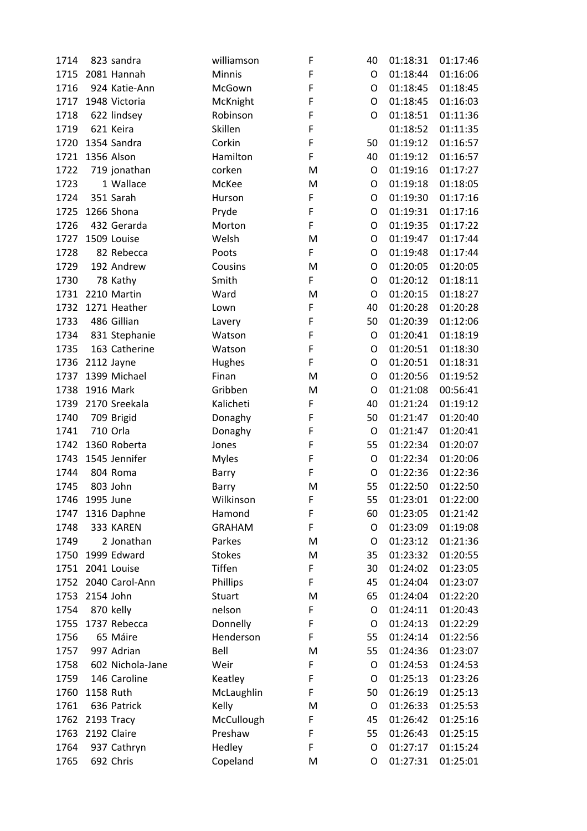| 1714 | 823 sandra    |                  | williamson    | F | 40          | 01:18:31 | 01:17:46             |
|------|---------------|------------------|---------------|---|-------------|----------|----------------------|
| 1715 | 2081 Hannah   |                  | <b>Minnis</b> | F | O           | 01:18:44 | 01:16:06             |
| 1716 |               | 924 Katie-Ann    | McGown        | F | O           | 01:18:45 | 01:18:45             |
| 1717 | 1948 Victoria |                  | McKnight      | F | O           | 01:18:45 | 01:16:03             |
| 1718 | 622 lindsey   |                  | Robinson      | F | O           | 01:18:51 | 01:11:36             |
| 1719 | 621 Keira     |                  | Skillen       | F |             | 01:18:52 | 01:11:35             |
| 1720 | 1354 Sandra   |                  | Corkin        | F | 50          | 01:19:12 | 01:16:57             |
| 1721 | 1356 Alson    |                  | Hamilton      | F | 40          | 01:19:12 | 01:16:57             |
| 1722 |               | 719 jonathan     | corken        | M | O           | 01:19:16 | 01:17:27             |
| 1723 |               | 1 Wallace        | McKee         | M | O           | 01:19:18 | 01:18:05             |
| 1724 | 351 Sarah     |                  | Hurson        | F | O           | 01:19:30 | 01:17:16             |
| 1725 | 1266 Shona    |                  | Pryde         | F | O           | 01:19:31 | 01:17:16             |
| 1726 |               | 432 Gerarda      | Morton        | F | $\mathsf O$ | 01:19:35 | 01:17:22             |
| 1727 | 1509 Louise   |                  | Welsh         | M | O           | 01:19:47 | 01:17:44             |
| 1728 |               | 82 Rebecca       | Poots         | F | O           | 01:19:48 | 01:17:44             |
| 1729 |               | 192 Andrew       | Cousins       | M | $\mathsf O$ | 01:20:05 | 01:20:05             |
| 1730 | 78 Kathy      |                  | Smith         | F | O           | 01:20:12 | 01:18:11             |
| 1731 | 2210 Martin   |                  | Ward          | M | $\circ$     | 01:20:15 | 01:18:27             |
| 1732 | 1271 Heather  |                  | Lown          | F | 40          | 01:20:28 | 01:20:28             |
| 1733 | 486 Gillian   |                  | Lavery        | F | 50          | 01:20:39 | 01:12:06             |
| 1734 |               | 831 Stephanie    | Watson        | F | O           | 01:20:41 | 01:18:19             |
| 1735 |               | 163 Catherine    | Watson        | F | O           | 01:20:51 | 01:18:30             |
| 1736 | 2112 Jayne    |                  | Hughes        | F | O           | 01:20:51 | 01:18:31             |
| 1737 | 1399 Michael  |                  | Finan         | M | $\mathsf O$ | 01:20:56 | 01:19:52             |
| 1738 | 1916 Mark     |                  | Gribben       | M | O           | 01:21:08 | 00:56:41             |
| 1739 | 2170 Sreekala |                  | Kalicheti     | F | 40          | 01:21:24 | 01:19:12             |
| 1740 | 709 Brigid    |                  | Donaghy       | F | 50          | 01:21:47 | 01:20:40             |
| 1741 | 710 Orla      |                  | Donaghy       | F | O           | 01:21:47 | 01:20:41             |
| 1742 | 1360 Roberta  |                  | Jones         | F | 55          | 01:22:34 | 01:20:07             |
| 1743 | 1545 Jennifer |                  | <b>Myles</b>  | F | O           | 01:22:34 | 01:20:06             |
| 1744 | 804 Roma      |                  | Barry         | F | O           | 01:22:36 | 01:22:36             |
| 1745 | 803 John      |                  | Barry         | M | 55          | 01:22:50 | 01:22:50             |
| 1746 | 1995 June     |                  | Wilkinson     | F | 55          | 01:23:01 | 01:22:00             |
| 1747 | 1316 Daphne   |                  | Hamond        | F | 60          | 01:23:05 | 01:21:42             |
| 1748 | 333 KAREN     |                  | <b>GRAHAM</b> | F | O           | 01:23:09 | 01:19:08             |
| 1749 |               | 2 Jonathan       | Parkes        | M | O           | 01:23:12 | 01:21:36             |
| 1750 | 1999 Edward   |                  | <b>Stokes</b> | M | 35          | 01:23:32 | 01:20:55             |
| 1751 | 2041 Louise   |                  | Tiffen        | F | 30          | 01:24:02 | 01:23:05             |
| 1752 |               | 2040 Carol-Ann   | Phillips      | F | 45          | 01:24:04 | 01:23:07             |
| 1753 | 2154 John     |                  | Stuart        | M | 65          | 01:24:04 | 01:22:20             |
| 1754 | 870 kelly     |                  | nelson        | F | O           | 01:24:11 | 01:20:43             |
| 1755 | 1737 Rebecca  |                  | Donnelly      | F | O           | 01:24:13 | 01:22:29             |
| 1756 | 65 Máire      |                  | Henderson     | F | 55          | 01:24:14 | 01:22:56             |
| 1757 | 997 Adrian    |                  | Bell          | M | 55          | 01:24:36 | 01:23:07             |
|      |               | 602 Nichola-Jane | Weir          | F | O           | 01:24:53 |                      |
| 1758 |               | 146 Caroline     |               | F | $\circ$     | 01:25:13 | 01:24:53<br>01:23:26 |
| 1759 |               |                  | Keatley       | F |             |          |                      |
| 1760 | 1158 Ruth     |                  | McLaughlin    |   | 50          | 01:26:19 | 01:25:13             |
| 1761 | 636 Patrick   |                  | Kelly         | M | O           | 01:26:33 | 01:25:53             |
| 1762 | 2193 Tracy    |                  | McCullough    | F | 45          | 01:26:42 | 01:25:16             |
| 1763 | 2192 Claire   |                  | Preshaw       | F | 55          | 01:26:43 | 01:25:15             |
| 1764 |               | 937 Cathryn      | Hedley        | F | O           | 01:27:17 | 01:15:24             |
| 1765 | 692 Chris     |                  | Copeland      | M | O           | 01:27:31 | 01:25:01             |